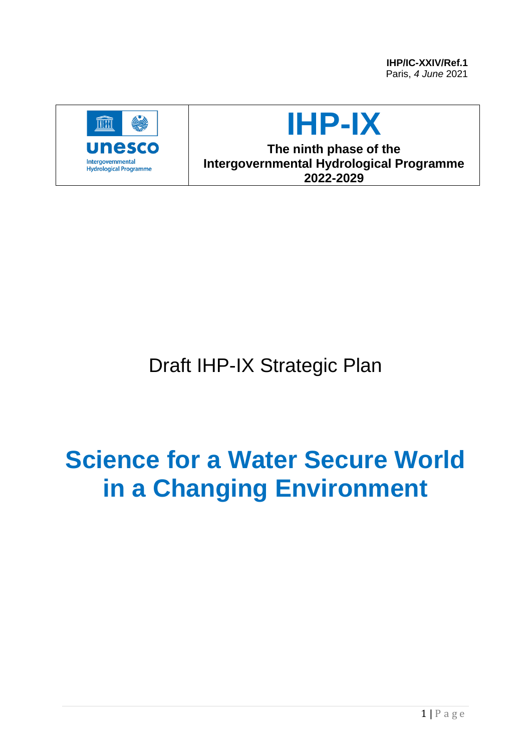**IHP/IC-XXIV/Ref.1** Paris, *4 June* 2021



# **IHP-IX**

**The ninth phase of the Intergovernmental Hydrological Programme 2022-2029**

Draft IHP-IX Strategic Plan

# **Science for a Water Secure World in a Changing Environment**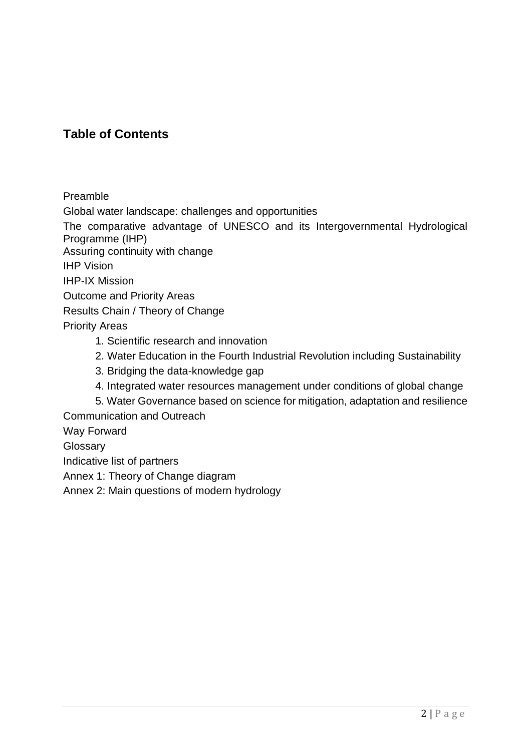## **Table of Contents**

Preamble

Global water landscape: challenges and opportunities

The comparative advantage of UNESCO and its Intergovernmental Hydrological Programme (IHP)

Assuring continuity with change

IHP Vision

IHP-IX Mission

Outcome and Priority Areas

Results Chain / Theory of Change

Priority Areas

- 1. Scientific research and innovation
- 2. Water Education in the Fourth Industrial Revolution including Sustainability
- 3. Bridging the data-knowledge gap
- 4. Integrated water resources management under conditions of global change

5. Water Governance based on science for mitigation, adaptation and resilience

Communication and Outreach

Way Forward

**Glossary** 

Indicative list of partners

Annex 1: Theory of Change diagram

Annex 2: Main questions of modern hydrology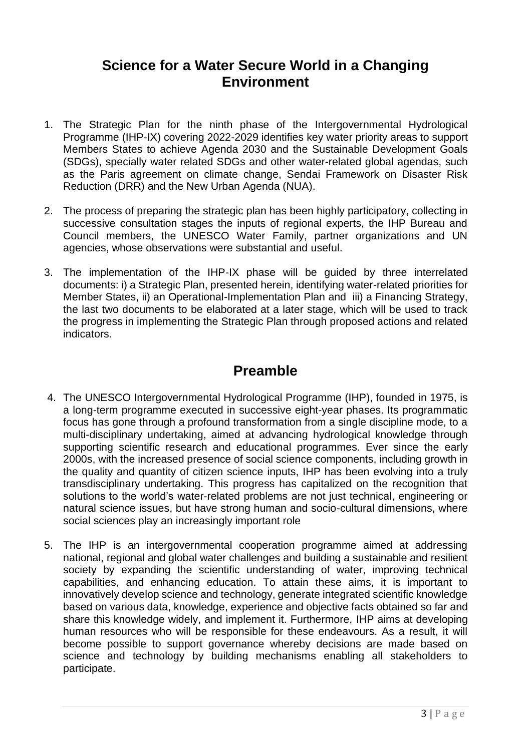# **Science for a Water Secure World in a Changing Environment**

- 1. The Strategic Plan for the ninth phase of the Intergovernmental Hydrological Programme (IHP-IX) covering 2022-2029 identifies key water priority areas to support Members States to achieve Agenda 2030 and the Sustainable Development Goals (SDGs), specially water related SDGs and other water-related global agendas, such as the Paris agreement on climate change, Sendai Framework on Disaster Risk Reduction (DRR) and the New Urban Agenda (NUA).
- 2. The process of preparing the strategic plan has been highly participatory, collecting in successive consultation stages the inputs of regional experts, the IHP Bureau and Council members, the UNESCO Water Family, partner organizations and UN agencies, whose observations were substantial and useful.
- 3. The implementation of the IHP-IX phase will be guided by three interrelated documents: i) a Strategic Plan, presented herein, identifying water-related priorities for Member States, ii) an Operational-Implementation Plan and iii) a Financing Strategy, the last two documents to be elaborated at a later stage, which will be used to track the progress in implementing the Strategic Plan through proposed actions and related indicators.

# **Preamble**

- 4. The UNESCO Intergovernmental Hydrological Programme (IHP), founded in 1975, is a long-term programme executed in successive eight-year phases. Its programmatic focus has gone through a profound transformation from a single discipline mode, to a multi-disciplinary undertaking, aimed at advancing hydrological knowledge through supporting scientific research and educational programmes. Ever since the early 2000s, with the increased presence of social science components, including growth in the quality and quantity of citizen science inputs, IHP has been evolving into a truly transdisciplinary undertaking. This progress has capitalized on the recognition that solutions to the world's water-related problems are not just technical, engineering or natural science issues, but have strong human and socio-cultural dimensions, where social sciences play an increasingly important role
- 5. The IHP is an intergovernmental cooperation programme aimed at addressing national, regional and global water challenges and building a sustainable and resilient society by expanding the scientific understanding of water, improving technical capabilities, and enhancing education. To attain these aims, it is important to innovatively develop science and technology, generate integrated scientific knowledge based on various data, knowledge, experience and objective facts obtained so far and share this knowledge widely, and implement it. Furthermore, IHP aims at developing human resources who will be responsible for these endeavours. As a result, it will become possible to support governance whereby decisions are made based on science and technology by building mechanisms enabling all stakeholders to participate.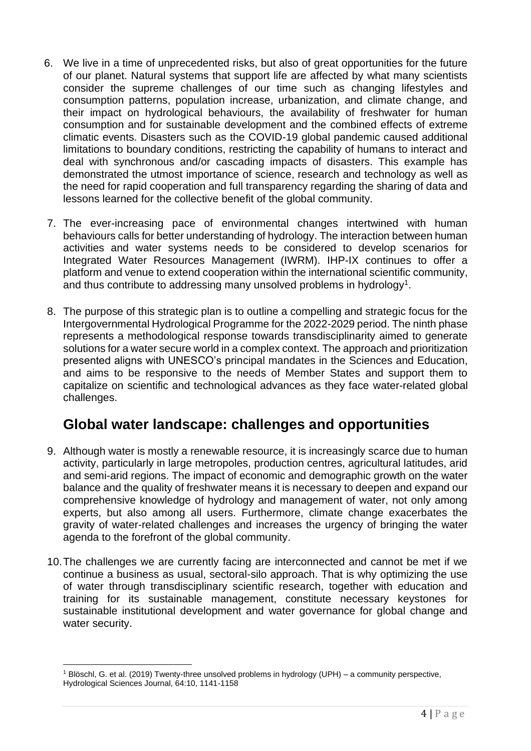- 6. We live in a time of unprecedented risks, but also of great opportunities for the future of our planet. Natural systems that support life are affected by what many scientists consider the supreme challenges of our time such as changing lifestyles and consumption patterns, population increase, urbanization, and climate change, and their impact on hydrological behaviours, the availability of freshwater for human consumption and for sustainable development and the combined effects of extreme climatic events. Disasters such as the COVID-19 global pandemic caused additional limitations to boundary conditions, restricting the capability of humans to interact and deal with synchronous and/or cascading impacts of disasters. This example has demonstrated the utmost importance of science, research and technology as well as the need for rapid cooperation and full transparency regarding the sharing of data and lessons learned for the collective benefit of the global community.
- 7. The ever-increasing pace of environmental changes intertwined with human behaviours calls for better understanding of hydrology. The interaction between human activities and water systems needs to be considered to develop scenarios for Integrated Water Resources Management (IWRM). IHP-IX continues to offer a platform and venue to extend cooperation within the international scientific community, and thus contribute to addressing many unsolved problems in hydrology<sup>1</sup>.
- 8. The purpose of this strategic plan is to outline a compelling and strategic focus for the Intergovernmental Hydrological Programme for the 2022-2029 period. The ninth phase represents a methodological response towards transdisciplinarity aimed to generate solutions for a water secure world in a complex context. The approach and prioritization presented aligns with UNESCO's principal mandates in the Sciences and Education, and aims to be responsive to the needs of Member States and support them to capitalize on scientific and technological advances as they face water-related global challenges.

# **Global water landscape: challenges and opportunities**

- 9. Although water is mostly a renewable resource, it is increasingly scarce due to human activity, particularly in large metropoles, production centres, agricultural latitudes, arid and semi-arid regions. The impact of economic and demographic growth on the water balance and the quality of freshwater means it is necessary to deepen and expand our comprehensive knowledge of hydrology and management of water, not only among experts, but also among all users. Furthermore, climate change exacerbates the gravity of water-related challenges and increases the urgency of bringing the water agenda to the forefront of the global community.
- 10.The challenges we are currently facing are interconnected and cannot be met if we continue a business as usual, sectoral-silo approach. That is why optimizing the use of water through transdisciplinary scientific research, together with education and training for its sustainable management, constitute necessary keystones for sustainable institutional development and water governance for global change and water security.

<sup>1</sup> Blöschl, G. et al. (2019) Twenty-three unsolved problems in hydrology (UPH) – a community perspective, Hydrological Sciences Journal, 64:10, 1141-1158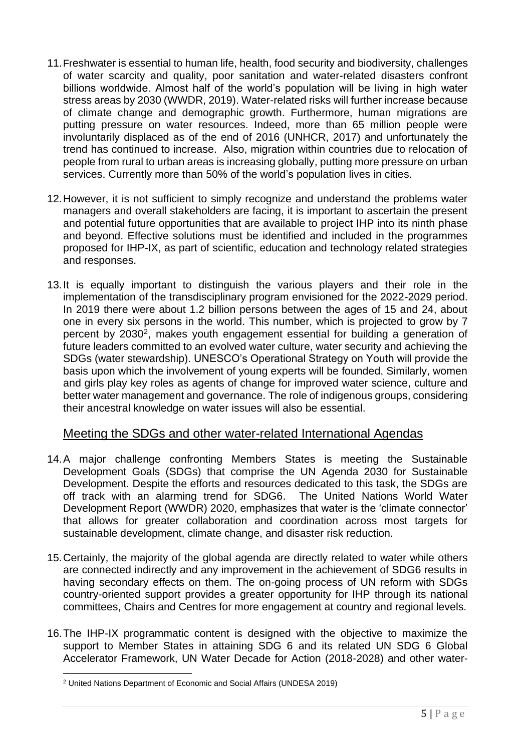- 11.Freshwater is essential to human life, health, food security and biodiversity, challenges of water scarcity and quality, poor sanitation and water-related disasters confront billions worldwide. Almost half of the world's population will be living in high water stress areas by 2030 (WWDR, 2019). Water-related risks will further increase because of climate change and demographic growth. Furthermore, human migrations are putting pressure on water resources. Indeed, more than 65 million people were involuntarily displaced as of the end of 2016 (UNHCR, 2017) and unfortunately the trend has continued to increase. Also, migration within countries due to relocation of people from rural to urban areas is increasing globally, putting more pressure on urban services. Currently more than 50% of the world's population lives in cities.
- 12.However, it is not sufficient to simply recognize and understand the problems water managers and overall stakeholders are facing, it is important to ascertain the present and potential future opportunities that are available to project IHP into its ninth phase and beyond. Effective solutions must be identified and included in the programmes proposed for IHP-IX, as part of scientific, education and technology related strategies and responses.
- 13.It is equally important to distinguish the various players and their role in the implementation of the transdisciplinary program envisioned for the 2022-2029 period. In 2019 there were about 1.2 billion persons between the ages of 15 and 24, about one in every six persons in the world. This number, which is projected to grow by 7 percent by 2030<sup>2</sup>, makes youth engagement essential for building a generation of future leaders committed to an evolved water culture, water security and achieving the SDGs (water stewardship). UNESCO's Operational Strategy on Youth will provide the basis upon which the involvement of young experts will be founded. Similarly, women and girls play key roles as agents of change for improved water science, culture and better water management and governance. The role of indigenous groups, considering their ancestral knowledge on water issues will also be essential.

### Meeting the SDGs and other water-related International Agendas

- 14.A major challenge confronting Members States is meeting the Sustainable Development Goals (SDGs) that comprise the UN Agenda 2030 for Sustainable Development. Despite the efforts and resources dedicated to this task, the SDGs are off track with an alarming trend for SDG6. The United Nations World Water Development Report (WWDR) 2020, emphasizes that water is the 'climate connector' that allows for greater collaboration and coordination across most targets for sustainable development, climate change, and disaster risk reduction.
- 15.Certainly, the majority of the global agenda are directly related to water while others are connected indirectly and any improvement in the achievement of SDG6 results in having secondary effects on them. The on-going process of UN reform with SDGs country-oriented support provides a greater opportunity for IHP through its national committees, Chairs and Centres for more engagement at country and regional levels.
- 16.The IHP-IX programmatic content is designed with the objective to maximize the support to Member States in attaining SDG 6 and its related UN SDG 6 Global Accelerator Framework, UN Water Decade for Action (2018-2028) and other water-

<sup>2</sup> United Nations Department of Economic and Social Affairs (UNDESA 2019)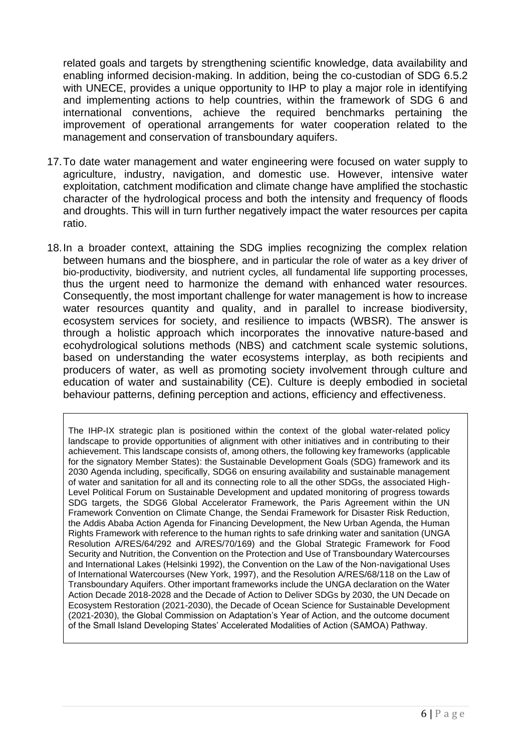related goals and targets by strengthening scientific knowledge, data availability and enabling informed decision-making. In addition, being the co-custodian of SDG 6.5.2 with UNECE, provides a unique opportunity to IHP to play a major role in identifying and implementing actions to help countries, within the framework of SDG 6 and international conventions, achieve the required benchmarks pertaining the improvement of operational arrangements for water cooperation related to the management and conservation of transboundary aquifers.

- 17.To date water management and water engineering were focused on water supply to agriculture, industry, navigation, and domestic use. However, intensive water exploitation, catchment modification and climate change have amplified the stochastic character of the hydrological process and both the intensity and frequency of floods and droughts. This will in turn further negatively impact the water resources per capita ratio.
- 18.In a broader context, attaining the SDG implies recognizing the complex relation between humans and the biosphere, and in particular the role of water as a key driver of bio-productivity, biodiversity, and nutrient cycles, all fundamental life supporting processes, thus the urgent need to harmonize the demand with enhanced water resources. Consequently, the most important challenge for water management is how to increase water resources quantity and quality, and in parallel to increase biodiversity, ecosystem services for society, and resilience to impacts (WBSR). The answer is through a holistic approach which incorporates the innovative nature-based and ecohydrological solutions methods (NBS) and catchment scale systemic solutions, based on understanding the water ecosystems interplay, as both recipients and producers of water, as well as promoting society involvement through culture and education of water and sustainability (CE). Culture is deeply embodied in societal behaviour patterns, defining perception and actions, efficiency and effectiveness.

The IHP-IX strategic plan is positioned within the context of the global water-related policy landscape to provide opportunities of alignment with other initiatives and in contributing to their achievement. This landscape consists of, among others, the following key frameworks (applicable for the signatory Member States): the Sustainable Development Goals (SDG) framework and its 2030 Agenda including, specifically, SDG6 on ensuring availability and sustainable management of water and sanitation for all and its connecting role to all the other SDGs, the associated High-Level Political Forum on Sustainable Development and updated monitoring of progress towards SDG targets, the SDG6 Global Accelerator Framework, the Paris Agreement within the UN Framework Convention on Climate Change, the Sendai Framework for Disaster Risk Reduction, the Addis Ababa Action Agenda for Financing Development, the New Urban Agenda, the Human Rights Framework with reference to the human rights to safe drinking water and sanitation (UNGA Resolution A/RES/64/292 and A/RES/70/169) and the Global Strategic Framework for Food Security and Nutrition, the Convention on the Protection and Use of Transboundary Watercourses and International Lakes (Helsinki 1992), the Convention on the Law of the Non-navigational Uses of International Watercourses (New York, 1997), and the Resolution A/RES/68/118 on the Law of Transboundary Aquifers. Other important frameworks include the UNGA declaration on the Water Action Decade 2018-2028 and the Decade of Action to Deliver SDGs by 2030, the UN Decade on Ecosystem Restoration (2021-2030), the Decade of Ocean Science for Sustainable Development (2021-2030), the Global Commission on Adaptation's Year of Action, and the outcome document of the Small Island Developing States' Accelerated Modalities of Action (SAMOA) Pathway.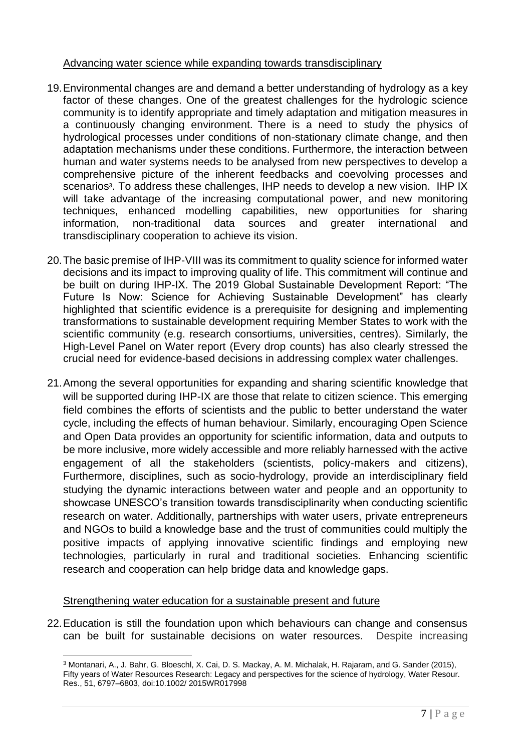#### Advancing water science while expanding towards transdisciplinary

- 19.Environmental changes are and demand a better understanding of hydrology as a key factor of these changes. One of the greatest challenges for the hydrologic science community is to identify appropriate and timely adaptation and mitigation measures in a continuously changing environment. There is a need to study the physics of hydrological processes under conditions of non-stationary climate change, and then adaptation mechanisms under these conditions. Furthermore, the interaction between human and water systems needs to be analysed from new perspectives to develop a comprehensive picture of the inherent feedbacks and coevolving processes and scenarios<sup>3</sup>. To address these challenges, IHP needs to develop a new vision. IHP IX will take advantage of the increasing computational power, and new monitoring techniques, enhanced modelling capabilities, new opportunities for sharing information, non-traditional data sources and greater international and transdisciplinary cooperation to achieve its vision.
- 20.The basic premise of IHP-VIII was its commitment to quality science for informed water decisions and its impact to improving quality of life. This commitment will continue and be built on during IHP-IX. The 2019 Global Sustainable Development Report: "The Future Is Now: Science for Achieving Sustainable Development" has clearly highlighted that scientific evidence is a prerequisite for designing and implementing transformations to sustainable development requiring Member States to work with the scientific community (e.g. research consortiums, universities, centres). Similarly, the High-Level Panel on Water report (Every drop counts) has also clearly stressed the crucial need for evidence-based decisions in addressing complex water challenges.
- 21.Among the several opportunities for expanding and sharing scientific knowledge that will be supported during IHP-IX are those that relate to citizen science. This emerging field combines the efforts of scientists and the public to better understand the water cycle, including the effects of human behaviour. Similarly, encouraging Open Science and Open Data provides an opportunity for scientific information, data and outputs to be more inclusive, more widely accessible and more reliably harnessed with the active engagement of all the stakeholders (scientists, policy-makers and citizens), Furthermore, disciplines, such as socio-hydrology, provide an interdisciplinary field studying the dynamic interactions between water and people and an opportunity to showcase UNESCO's transition towards transdisciplinarity when conducting scientific research on water. Additionally, partnerships with water users, private entrepreneurs and NGOs to build a knowledge base and the trust of communities could multiply the positive impacts of applying innovative scientific findings and employing new technologies, particularly in rural and traditional societies. Enhancing scientific research and cooperation can help bridge data and knowledge gaps.

#### Strengthening water education for a sustainable present and future

22.Education is still the foundation upon which behaviours can change and consensus can be built for sustainable decisions on water resources. Despite increasing

<sup>3</sup> Montanari, A., J. Bahr, G. Bloeschl, X. Cai, D. S. Mackay, A. M. Michalak, H. Rajaram, and G. Sander (2015), Fifty years of Water Resources Research: Legacy and perspectives for the science of hydrology, Water Resour. Res., 51, 6797–6803, doi:10.1002/ 2015WR017998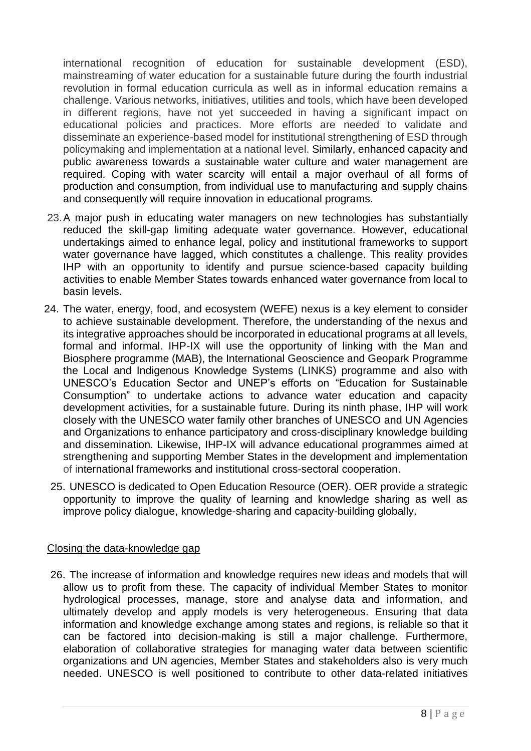international recognition of education for sustainable development (ESD), mainstreaming of water education for a sustainable future during the fourth industrial revolution in formal education curricula as well as in informal education remains a challenge. Various networks, initiatives, utilities and tools, which have been developed in different regions, have not yet succeeded in having a significant impact on educational policies and practices. More efforts are needed to validate and disseminate an experience-based model for institutional strengthening of ESD through policymaking and implementation at a national level. Similarly, enhanced capacity and public awareness towards a sustainable water culture and water management are required. Coping with water scarcity will entail a major overhaul of all forms of production and consumption, from individual use to manufacturing and supply chains and consequently will require innovation in educational programs.

- 23.A major push in educating water managers on new technologies has substantially reduced the skill-gap limiting adequate water governance. However, educational undertakings aimed to enhance legal, policy and institutional frameworks to support water governance have lagged, which constitutes a challenge. This reality provides IHP with an opportunity to identify and pursue science-based capacity building activities to enable Member States towards enhanced water governance from local to basin levels.
- 24. The water, energy, food, and ecosystem (WEFE) nexus is a key element to consider to achieve sustainable development. Therefore, the understanding of the nexus and its integrative approaches should be incorporated in educational programs at all levels, formal and informal. IHP-IX will use the opportunity of linking with the Man and Biosphere programme (MAB), the International Geoscience and Geopark Programme the Local and Indigenous Knowledge Systems (LINKS) programme and also with UNESCO's Education Sector and UNEP's efforts on "Education for Sustainable Consumption" to undertake actions to advance water education and capacity development activities, for a sustainable future. During its ninth phase, IHP will work closely with the UNESCO water family other branches of UNESCO and UN Agencies and Organizations to enhance participatory and cross-disciplinary knowledge building and dissemination. Likewise, IHP-IX will advance educational programmes aimed at strengthening and supporting Member States in the development and implementation of international frameworks and institutional cross-sectoral cooperation.
	- 25. UNESCO is dedicated to Open Education Resource (OER). OER provide a strategic opportunity to improve the quality of learning and knowledge sharing as well as improve policy dialogue, knowledge-sharing and capacity-building globally.

#### Closing the data-knowledge gap

26. The increase of information and knowledge requires new ideas and models that will allow us to profit from these. The capacity of individual Member States to monitor hydrological processes, manage, store and analyse data and information, and ultimately develop and apply models is very heterogeneous. Ensuring that data information and knowledge exchange among states and regions, is reliable so that it can be factored into decision-making is still a major challenge. Furthermore, elaboration of collaborative strategies for managing water data between scientific organizations and UN agencies, Member States and stakeholders also is very much needed. UNESCO is well positioned to contribute to other data-related initiatives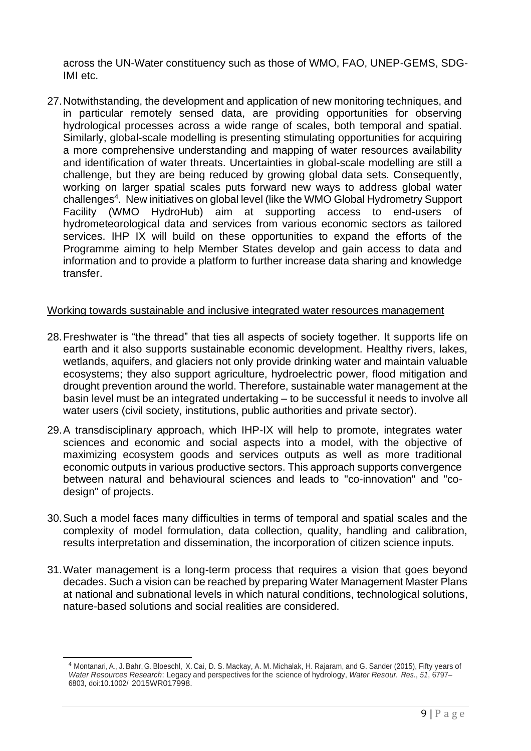across the UN-Water constituency such as those of WMO, FAO, UNEP-GEMS, SDG-IMI etc.

27.Notwithstanding, the development and application of new monitoring techniques, and in particular remotely sensed data, are providing opportunities for observing hydrological processes across a wide range of scales, both temporal and spatial. Similarly, global-scale modelling is presenting stimulating opportunities for acquiring a more comprehensive understanding and mapping of water resources availability and identification of water threats. Uncertainties in global-scale modelling are still a challenge, but they are being reduced by growing global data sets. Consequently, working on larger spatial scales puts forward new ways to address global water challenges<sup>4</sup>. New initiatives on global level (like the WMO Global Hydrometry Support Facility (WMO HydroHub) aim at supporting access to end-users of hydrometeorological data and services from various economic sectors as tailored services. IHP IX will build on these opportunities to expand the efforts of the Programme aiming to help Member States develop and gain access to data and information and to provide a platform to further increase data sharing and knowledge transfer.

#### Working towards sustainable and inclusive integrated water resources management

- 28.Freshwater is "the thread" that ties all aspects of society together. It supports life on earth and it also supports sustainable economic development. Healthy rivers, lakes, wetlands, aquifers, and glaciers not only provide drinking water and maintain valuable ecosystems; they also support agriculture, hydroelectric power, flood mitigation and drought prevention around the world. Therefore, sustainable water management at the basin level must be an integrated undertaking – to be successful it needs to involve all water users (civil society, institutions, public authorities and private sector).
- 29.A transdisciplinary approach, which IHP-IX will help to promote, integrates water sciences and economic and social aspects into a model, with the objective of maximizing ecosystem goods and services outputs as well as more traditional economic outputs in various productive sectors. This approach supports convergence between natural and behavioural sciences and leads to "co-innovation" and "codesign" of projects.
- 30.Such a model faces many difficulties in terms of temporal and spatial scales and the complexity of model formulation, data collection, quality, handling and calibration, results interpretation and dissemination, the incorporation of citizen science inputs.
- 31.Water management is a long-term process that requires a vision that goes beyond decades. Such a vision can be reached by preparing Water Management Master Plans at national and subnational levels in which natural conditions, technological solutions, nature-based solutions and social realities are considered.

<sup>4</sup> Montanari, A., J. Bahr, G. Bloeschl, X. Cai, D. S. Mackay, A. M. Michalak, H. Rajaram, and G. Sander (2015), Fifty years of *Water Resources Research*: Legacy and perspectives for the science of hydrology, *Water Resour. Res.*, *51*, 6797– 6803, doi:10.1002/ 2015WR017998.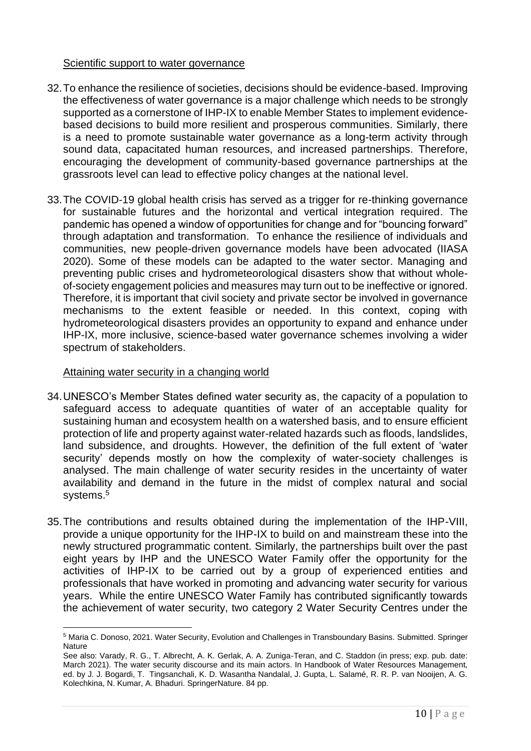#### Scientific support to water governance

- 32.To enhance the resilience of societies, decisions should be evidence-based. Improving the effectiveness of water governance is a major challenge which needs to be strongly supported as a cornerstone of IHP-IX to enable Member States to implement evidencebased decisions to build more resilient and prosperous communities. Similarly, there is a need to promote sustainable water governance as a long-term activity through sound data, capacitated human resources, and increased partnerships. Therefore, encouraging the development of community-based governance partnerships at the grassroots level can lead to effective policy changes at the national level.
- 33.The COVID-19 global health crisis has served as a trigger for re-thinking governance for sustainable futures and the horizontal and vertical integration required. The pandemic has opened a window of opportunities for change and for "bouncing forward" through adaptation and transformation. To enhance the resilience of individuals and communities, new people-driven governance models have been advocated (IIASA 2020). Some of these models can be adapted to the water sector. Managing and preventing public crises and hydrometeorological disasters show that without wholeof-society engagement policies and measures may turn out to be ineffective or ignored. Therefore, it is important that civil society and private sector be involved in governance mechanisms to the extent feasible or needed. In this context, coping with hydrometeorological disasters provides an opportunity to expand and enhance under IHP-IX, more inclusive, science-based water governance schemes involving a wider spectrum of stakeholders.

#### Attaining water security in a changing world

- 34.UNESCO's Member States defined water security as, the capacity of a population to safeguard access to adequate quantities of water of an acceptable quality for sustaining human and ecosystem health on a watershed basis, and to ensure efficient protection of life and property against water-related hazards such as floods, landslides, land subsidence, and droughts. However, the definition of the full extent of 'water security' depends mostly on how the complexity of water-society challenges is analysed. The main challenge of water security resides in the uncertainty of water availability and demand in the future in the midst of complex natural and social systems. 5
- 35.The contributions and results obtained during the implementation of the IHP-VIII, provide a unique opportunity for the IHP-IX to build on and mainstream these into the newly structured programmatic content. Similarly, the partnerships built over the past eight years by IHP and the UNESCO Water Family offer the opportunity for the activities of IHP-IX to be carried out by a group of experienced entities and professionals that have worked in promoting and advancing water security for various years. While the entire UNESCO Water Family has contributed significantly towards the achievement of water security, two category 2 Water Security Centres under the

<sup>5</sup> Maria C. Donoso, 2021. Water Security, Evolution and Challenges in Transboundary Basins. Submitted. Springer **Nature** 

See also: Varady, R. G., T. Albrecht, A. K. Gerlak, A. A. Zuniga-Teran, and C. Staddon (in press; exp. pub. date: March 2021). The water security discourse and its main actors. In Handbook of Water Resources Management, ed. by J. J. Bogardi, T. Tingsanchali, K. D. Wasantha Nandalal, J. Gupta, L. Salamé, R. R. P. van Nooijen, A. G. Kolechkina, N. Kumar, A. Bhaduri. SpringerNature. 84 pp.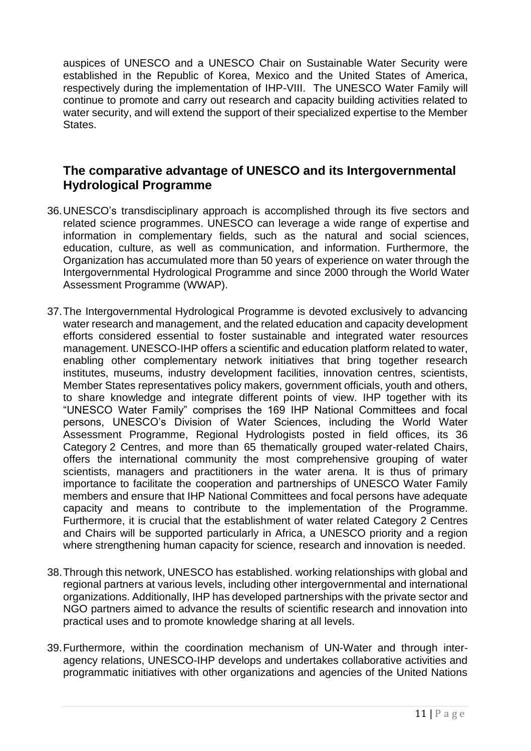auspices of UNESCO and a UNESCO Chair on Sustainable Water Security were established in the Republic of Korea, Mexico and the United States of America, respectively during the implementation of IHP-VIII. The UNESCO Water Family will continue to promote and carry out research and capacity building activities related to water security, and will extend the support of their specialized expertise to the Member States.

## **The comparative advantage of UNESCO and its Intergovernmental Hydrological Programme**

- 36.UNESCO's transdisciplinary approach is accomplished through its five sectors and related science programmes. UNESCO can leverage a wide range of expertise and information in complementary fields, such as the natural and social sciences, education, culture, as well as communication, and information. Furthermore, the Organization has accumulated more than 50 years of experience on water through the Intergovernmental Hydrological Programme and since 2000 through the World Water Assessment Programme (WWAP).
- 37.The Intergovernmental Hydrological Programme is devoted exclusively to advancing water research and management, and the related education and capacity development efforts considered essential to foster sustainable and integrated water resources management. UNESCO-IHP offers a scientific and education platform related to water, enabling other complementary network initiatives that bring together research institutes, museums, industry development facilities, innovation centres, scientists, Member States representatives policy makers, government officials, youth and others, to share knowledge and integrate different points of view. IHP together with its "UNESCO Water Family" comprises the 169 IHP National Committees and focal persons, UNESCO's Division of Water Sciences, including the World Water Assessment Programme, Regional Hydrologists posted in field offices, its 36 Category 2 Centres, and more than 65 thematically grouped water-related Chairs, offers the international community the most comprehensive grouping of water scientists, managers and practitioners in the water arena. It is thus of primary importance to facilitate the cooperation and partnerships of UNESCO Water Family members and ensure that IHP National Committees and focal persons have adequate capacity and means to contribute to the implementation of the Programme. Furthermore, it is crucial that the establishment of water related Category 2 Centres and Chairs will be supported particularly in Africa, a UNESCO priority and a region where strengthening human capacity for science, research and innovation is needed.
- 38.Through this network, UNESCO has established. working relationships with global and regional partners at various levels, including other intergovernmental and international organizations. Additionally, IHP has developed partnerships with the private sector and NGO partners aimed to advance the results of scientific research and innovation into practical uses and to promote knowledge sharing at all levels.
- 39.Furthermore, within the coordination mechanism of UN-Water and through interagency relations, UNESCO-IHP develops and undertakes collaborative activities and programmatic initiatives with other organizations and agencies of the United Nations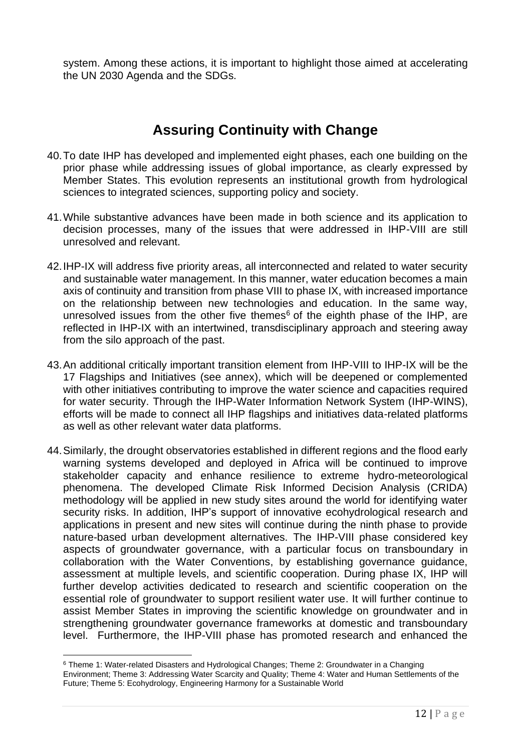system. Among these actions, it is important to highlight those aimed at accelerating the UN 2030 Agenda and the SDGs.

# **Assuring Continuity with Change**

- 40.To date IHP has developed and implemented eight phases, each one building on the prior phase while addressing issues of global importance, as clearly expressed by Member States. This evolution represents an institutional growth from hydrological sciences to integrated sciences, supporting policy and society.
- 41.While substantive advances have been made in both science and its application to decision processes, many of the issues that were addressed in IHP-VIII are still unresolved and relevant.
- 42.IHP-IX will address five priority areas, all interconnected and related to water security and sustainable water management. In this manner, water education becomes a main axis of continuity and transition from phase VIII to phase IX, with increased importance on the relationship between new technologies and education. In the same way, unresolved issues from the other five themes<sup> $6$ </sup> of the eighth phase of the IHP, are reflected in IHP-IX with an intertwined, transdisciplinary approach and steering away from the silo approach of the past.
- 43.An additional critically important transition element from IHP-VIII to IHP-IX will be the 17 Flagships and Initiatives (see annex), which will be deepened or complemented with other initiatives contributing to improve the water science and capacities required for water security. Through the IHP-Water Information Network System (IHP-WINS), efforts will be made to connect all IHP flagships and initiatives data-related platforms as well as other relevant water data platforms.
- 44.Similarly, the drought observatories established in different regions and the flood early warning systems developed and deployed in Africa will be continued to improve stakeholder capacity and enhance resilience to extreme hydro-meteorological phenomena. The developed Climate Risk Informed Decision Analysis (CRIDA) methodology will be applied in new study sites around the world for identifying water security risks. In addition, IHP's support of innovative ecohydrological research and applications in present and new sites will continue during the ninth phase to provide nature-based urban development alternatives. The IHP-VIII phase considered key aspects of groundwater governance, with a particular focus on transboundary in collaboration with the Water Conventions, by establishing governance guidance, assessment at multiple levels, and scientific cooperation. During phase IX, IHP will further develop activities dedicated to research and scientific cooperation on the essential role of groundwater to support resilient water use. It will further continue to assist Member States in improving the scientific knowledge on groundwater and in strengthening groundwater governance frameworks at domestic and transboundary level. Furthermore, the IHP-VIII phase has promoted research and enhanced the

<sup>6</sup> Theme 1: Water-related Disasters and Hydrological Changes; Theme 2: Groundwater in a Changing Environment; Theme 3: Addressing Water Scarcity and Quality; Theme 4: Water and Human Settlements of the Future; Theme 5: Ecohydrology, Engineering Harmony for a Sustainable World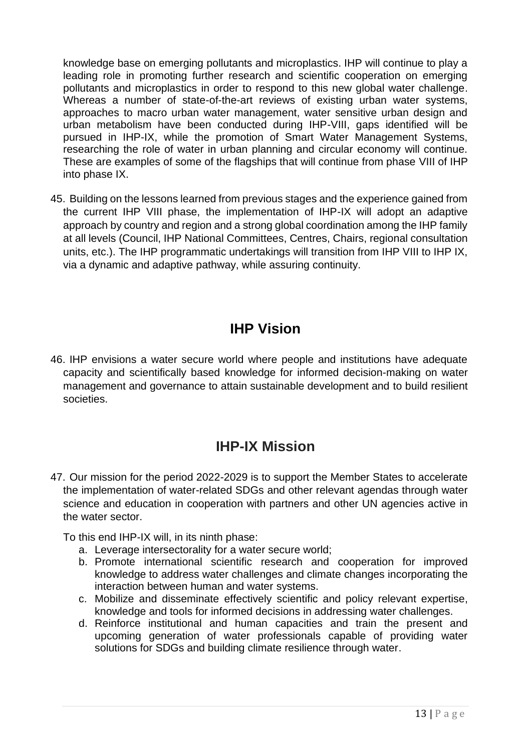knowledge base on emerging pollutants and microplastics. IHP will continue to play a leading role in promoting further research and scientific cooperation on emerging pollutants and microplastics in order to respond to this new global water challenge. Whereas a number of state-of-the-art reviews of existing urban water systems, approaches to macro urban water management, water sensitive urban design and urban metabolism have been conducted during IHP-VIII, gaps identified will be pursued in IHP-IX, while the promotion of Smart Water Management Systems, researching the role of water in urban planning and circular economy will continue. These are examples of some of the flagships that will continue from phase VIII of IHP into phase IX.

45. Building on the lessons learned from previous stages and the experience gained from the current IHP VIII phase, the implementation of IHP-IX will adopt an adaptive approach by country and region and a strong global coordination among the IHP family at all levels (Council, IHP National Committees, Centres, Chairs, regional consultation units, etc.). The IHP programmatic undertakings will transition from IHP VIII to IHP IX, via a dynamic and adaptive pathway, while assuring continuity.

# **IHP Vision**

46. IHP envisions a water secure world where people and institutions have adequate capacity and scientifically based knowledge for informed decision-making on water management and governance to attain sustainable development and to build resilient societies.

# **IHP-IX Mission**

47. Our mission for the period 2022-2029 is to support the Member States to accelerate the implementation of water-related SDGs and other relevant agendas through water science and education in cooperation with partners and other UN agencies active in the water sector.

To this end IHP-IX will, in its ninth phase:

- a. Leverage intersectorality for a water secure world;
- b. Promote international scientific research and cooperation for improved knowledge to address water challenges and climate changes incorporating the interaction between human and water systems.
- c. Mobilize and disseminate effectively scientific and policy relevant expertise, knowledge and tools for informed decisions in addressing water challenges.
- d. Reinforce institutional and human capacities and train the present and upcoming generation of water professionals capable of providing water solutions for SDGs and building climate resilience through water.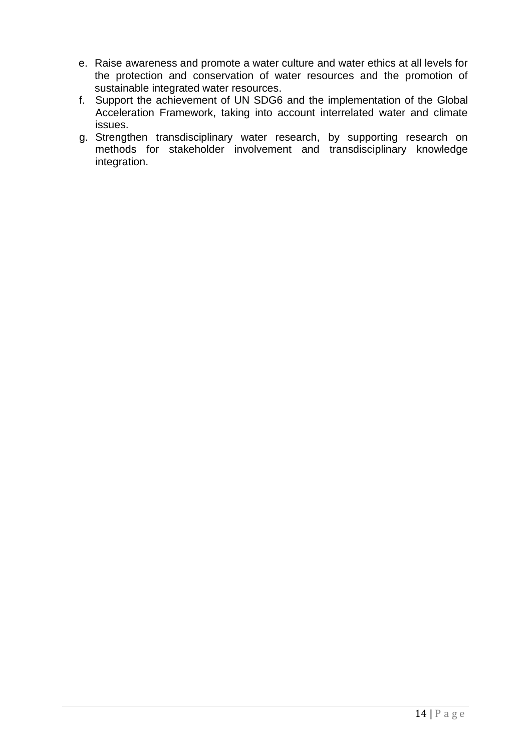- e. Raise awareness and promote a water culture and water ethics at all levels for the protection and conservation of water resources and the promotion of sustainable integrated water resources.
- f. Support the achievement of UN SDG6 and the implementation of the Global Acceleration Framework, taking into account interrelated water and climate issues.
- g. Strengthen transdisciplinary water research, by supporting research on methods for stakeholder involvement and transdisciplinary knowledge integration.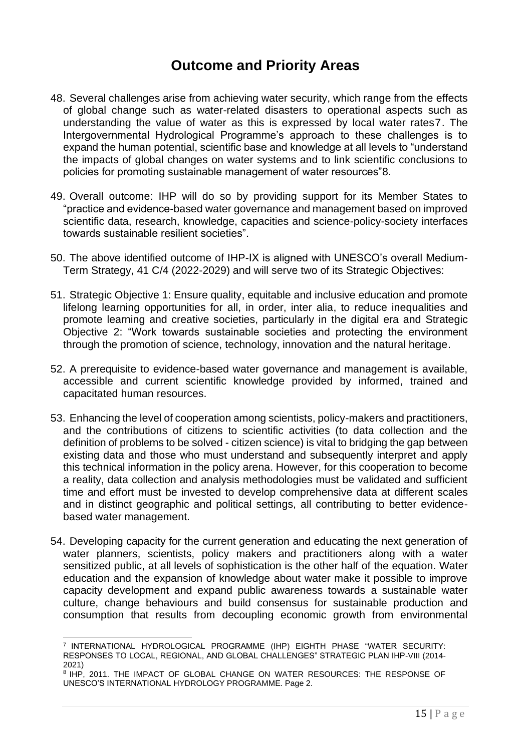# **Outcome and Priority Areas**

- 48. Several challenges arise from achieving water security, which range from the effects of global change such as water-related disasters to operational aspects such as understanding the value of water as this is expressed by local water rates7. The Intergovernmental Hydrological Programme's approach to these challenges is to expand the human potential, scientific base and knowledge at all levels to "understand the impacts of global changes on water systems and to link scientific conclusions to policies for promoting sustainable management of water resources"8.
- 49. Overall outcome: IHP will do so by providing support for its Member States to "practice and evidence-based water governance and management based on improved scientific data, research, knowledge, capacities and science-policy-society interfaces towards sustainable resilient societies".
- 50. The above identified outcome of IHP-IX is aligned with UNESCO's overall Medium-Term Strategy, 41 C/4 (2022-2029) and will serve two of its Strategic Objectives:
- 51. Strategic Objective 1: Ensure quality, equitable and inclusive education and promote lifelong learning opportunities for all, in order, inter alia, to reduce inequalities and promote learning and creative societies, particularly in the digital era and Strategic Objective 2: "Work towards sustainable societies and protecting the environment through the promotion of science, technology, innovation and the natural heritage.
- 52. A prerequisite to evidence-based water governance and management is available, accessible and current scientific knowledge provided by informed, trained and capacitated human resources.
- 53. Enhancing the level of cooperation among scientists, policy-makers and practitioners, and the contributions of citizens to scientific activities (to data collection and the definition of problems to be solved - citizen science) is vital to bridging the gap between existing data and those who must understand and subsequently interpret and apply this technical information in the policy arena. However, for this cooperation to become a reality, data collection and analysis methodologies must be validated and sufficient time and effort must be invested to develop comprehensive data at different scales and in distinct geographic and political settings, all contributing to better evidencebased water management.
- 54. Developing capacity for the current generation and educating the next generation of water planners, scientists, policy makers and practitioners along with a water sensitized public, at all levels of sophistication is the other half of the equation. Water education and the expansion of knowledge about water make it possible to improve capacity development and expand public awareness towards a sustainable water culture, change behaviours and build consensus for sustainable production and consumption that results from decoupling economic growth from environmental

<sup>7</sup> INTERNATIONAL HYDROLOGICAL PROGRAMME (IHP) EIGHTH PHASE "WATER SECURITY: RESPONSES TO LOCAL, REGIONAL, AND GLOBAL CHALLENGES" STRATEGIC PLAN IHP-VIII (2014- 2021)

<sup>8</sup> IHP, 2011. THE IMPACT OF GLOBAL CHANGE ON WATER RESOURCES: THE RESPONSE OF UNESCO'S INTERNATIONAL HYDROLOGY PROGRAMME. Page 2.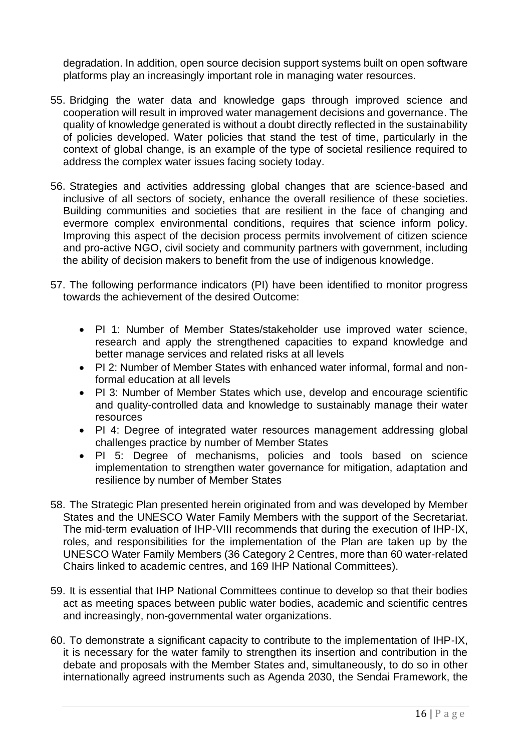degradation. In addition, open source decision support systems built on open software platforms play an increasingly important role in managing water resources.

- 55. Bridging the water data and knowledge gaps through improved science and cooperation will result in improved water management decisions and governance. The quality of knowledge generated is without a doubt directly reflected in the sustainability of policies developed. Water policies that stand the test of time, particularly in the context of global change, is an example of the type of societal resilience required to address the complex water issues facing society today.
- 56. Strategies and activities addressing global changes that are science-based and inclusive of all sectors of society, enhance the overall resilience of these societies. Building communities and societies that are resilient in the face of changing and evermore complex environmental conditions, requires that science inform policy. Improving this aspect of the decision process permits involvement of citizen science and pro-active NGO, civil society and community partners with government, including the ability of decision makers to benefit from the use of indigenous knowledge.
- 57. The following performance indicators (PI) have been identified to monitor progress towards the achievement of the desired Outcome:
	- PI 1: Number of Member States/stakeholder use improved water science, research and apply the strengthened capacities to expand knowledge and better manage services and related risks at all levels
	- PI 2: Number of Member States with enhanced water informal, formal and nonformal education at all levels
	- PI 3: Number of Member States which use, develop and encourage scientific and quality-controlled data and knowledge to sustainably manage their water **resources**
	- PI 4: Degree of integrated water resources management addressing global challenges practice by number of Member States
	- PI 5: Degree of mechanisms, policies and tools based on science implementation to strengthen water governance for mitigation, adaptation and resilience by number of Member States
- 58. The Strategic Plan presented herein originated from and was developed by Member States and the UNESCO Water Family Members with the support of the Secretariat. The mid-term evaluation of IHP-VIII recommends that during the execution of IHP-IX, roles, and responsibilities for the implementation of the Plan are taken up by the UNESCO Water Family Members (36 Category 2 Centres, more than 60 water-related Chairs linked to academic centres, and 169 IHP National Committees).
- 59. It is essential that IHP National Committees continue to develop so that their bodies act as meeting spaces between public water bodies, academic and scientific centres and increasingly, non-governmental water organizations.
- 60. To demonstrate a significant capacity to contribute to the implementation of IHP-IX, it is necessary for the water family to strengthen its insertion and contribution in the debate and proposals with the Member States and, simultaneously, to do so in other internationally agreed instruments such as Agenda 2030, the Sendai Framework, the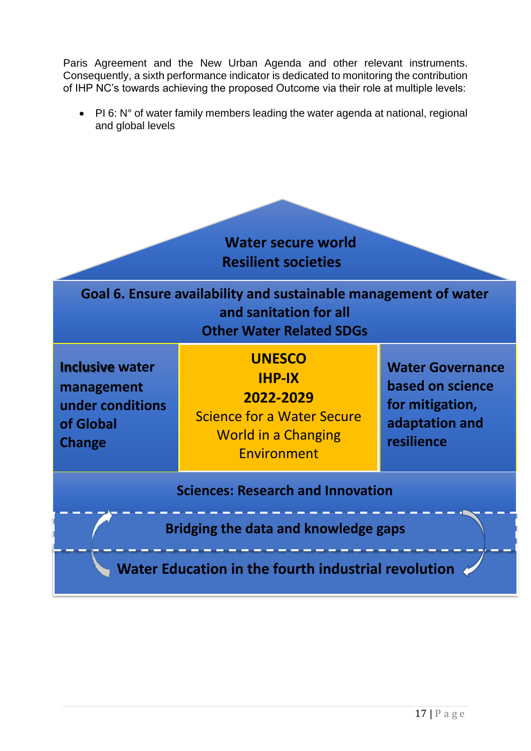Paris Agreement and the New Urban Agenda and other relevant instruments. Consequently, a sixth performance indicator is dedicated to monitoring the contribution of IHP NC's towards achieving the proposed Outcome via their role at multiple levels:

• PI 6: N° of water family members leading the water agenda at national, regional and global levels

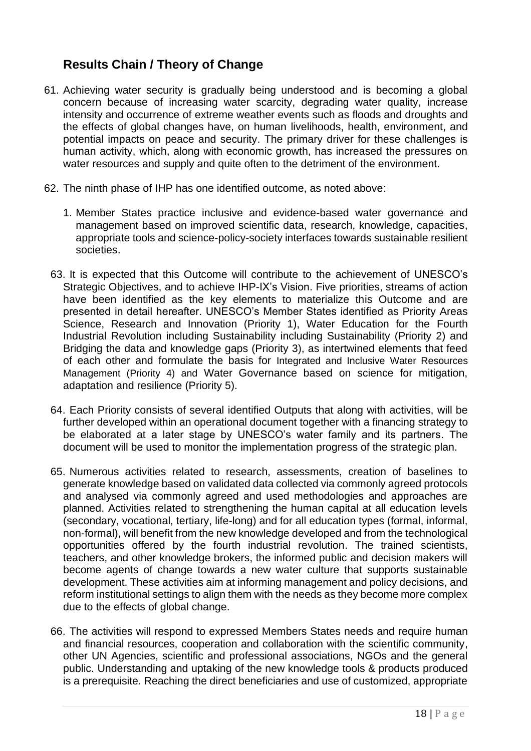## **Results Chain / Theory of Change**

- 61. Achieving water security is gradually being understood and is becoming a global concern because of increasing water scarcity, degrading water quality, increase intensity and occurrence of extreme weather events such as floods and droughts and the effects of global changes have, on human livelihoods, health, environment, and potential impacts on peace and security. The primary driver for these challenges is human activity, which, along with economic growth, has increased the pressures on water resources and supply and quite often to the detriment of the environment.
- 62. The ninth phase of IHP has one identified outcome, as noted above:
	- 1. Member States practice inclusive and evidence-based water governance and management based on improved scientific data, research, knowledge, capacities, appropriate tools and science-policy-society interfaces towards sustainable resilient societies.
	- 63. It is expected that this Outcome will contribute to the achievement of UNESCO's Strategic Objectives, and to achieve IHP-IX's Vision. Five priorities, streams of action have been identified as the key elements to materialize this Outcome and are presented in detail hereafter. UNESCO's Member States identified as Priority Areas Science, Research and Innovation (Priority 1), Water Education for the Fourth Industrial Revolution including Sustainability including Sustainability (Priority 2) and Bridging the data and knowledge gaps (Priority 3), as intertwined elements that feed of each other and formulate the basis for Integrated and Inclusive Water Resources Management (Priority 4) and Water Governance based on science for mitigation, adaptation and resilience (Priority 5).
	- 64. Each Priority consists of several identified Outputs that along with activities, will be further developed within an operational document together with a financing strategy to be elaborated at a later stage by UNESCO's water family and its partners. The document will be used to monitor the implementation progress of the strategic plan.
	- 65. Numerous activities related to research, assessments, creation of baselines to generate knowledge based on validated data collected via commonly agreed protocols and analysed via commonly agreed and used methodologies and approaches are planned. Activities related to strengthening the human capital at all education levels (secondary, vocational, tertiary, life-long) and for all education types (formal, informal, non-formal), will benefit from the new knowledge developed and from the technological opportunities offered by the fourth industrial revolution. The trained scientists, teachers, and other knowledge brokers, the informed public and decision makers will become agents of change towards a new water culture that supports sustainable development. These activities aim at informing management and policy decisions, and reform institutional settings to align them with the needs as they become more complex due to the effects of global change.
	- 66. The activities will respond to expressed Members States needs and require human and financial resources, cooperation and collaboration with the scientific community, other UN Agencies, scientific and professional associations, NGOs and the general public. Understanding and uptaking of the new knowledge tools & products produced is a prerequisite. Reaching the direct beneficiaries and use of customized, appropriate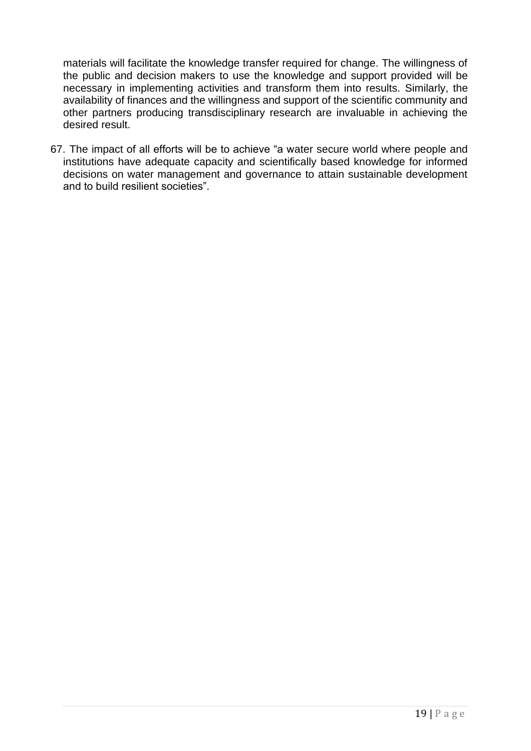materials will facilitate the knowledge transfer required for change. The willingness of the public and decision makers to use the knowledge and support provided will be necessary in implementing activities and transform them into results. Similarly, the availability of finances and the willingness and support of the scientific community and other partners producing transdisciplinary research are invaluable in achieving the desired result.

67. The impact of all efforts will be to achieve "a water secure world where people and institutions have adequate capacity and scientifically based knowledge for informed decisions on water management and governance to attain sustainable development and to build resilient societies".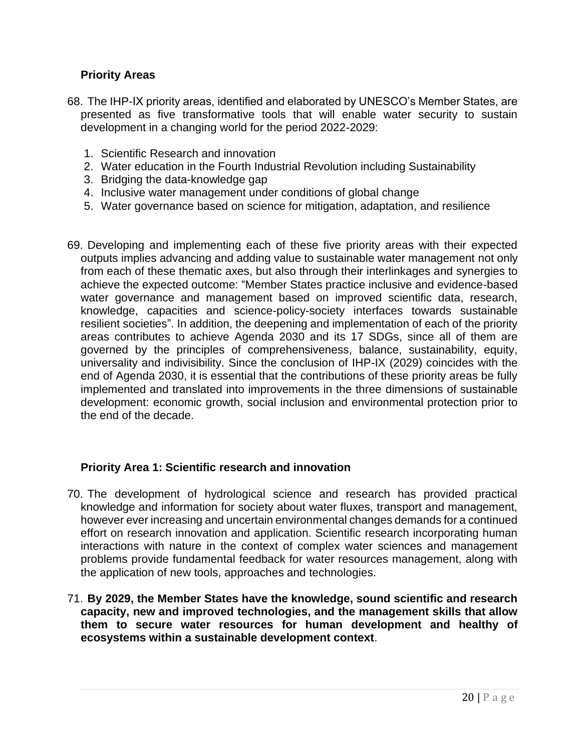#### **Priority Areas**

- 68. The IHP-IX priority areas, identified and elaborated by UNESCO's Member States, are presented as five transformative tools that will enable water security to sustain development in a changing world for the period 2022-2029:
	- 1. Scientific Research and innovation
	- 2. Water education in the Fourth Industrial Revolution including Sustainability
	- 3. Bridging the data-knowledge gap
	- 4. Inclusive water management under conditions of global change
	- 5. Water governance based on science for mitigation, adaptation, and resilience
- 69. Developing and implementing each of these five priority areas with their expected outputs implies advancing and adding value to sustainable water management not only from each of these thematic axes, but also through their interlinkages and synergies to achieve the expected outcome: "Member States practice inclusive and evidence-based water governance and management based on improved scientific data, research, knowledge, capacities and science-policy-society interfaces towards sustainable resilient societies". In addition, the deepening and implementation of each of the priority areas contributes to achieve Agenda 2030 and its 17 SDGs, since all of them are governed by the principles of comprehensiveness, balance, sustainability, equity, universality and indivisibility. Since the conclusion of IHP-IX (2029) coincides with the end of Agenda 2030, it is essential that the contributions of these priority areas be fully implemented and translated into improvements in the three dimensions of sustainable development: economic growth, social inclusion and environmental protection prior to the end of the decade.

#### **Priority Area 1: Scientific research and innovation**

- 70. The development of hydrological science and research has provided practical knowledge and information for society about water fluxes, transport and management, however ever increasing and uncertain environmental changes demands for a continued effort on research innovation and application. Scientific research incorporating human interactions with nature in the context of complex water sciences and management problems provide fundamental feedback for water resources management, along with the application of new tools, approaches and technologies.
- 71. **By 2029, the Member States have the knowledge, sound scientific and research capacity, new and improved technologies, and the management skills that allow them to secure water resources for human development and healthy of ecosystems within a sustainable development context**.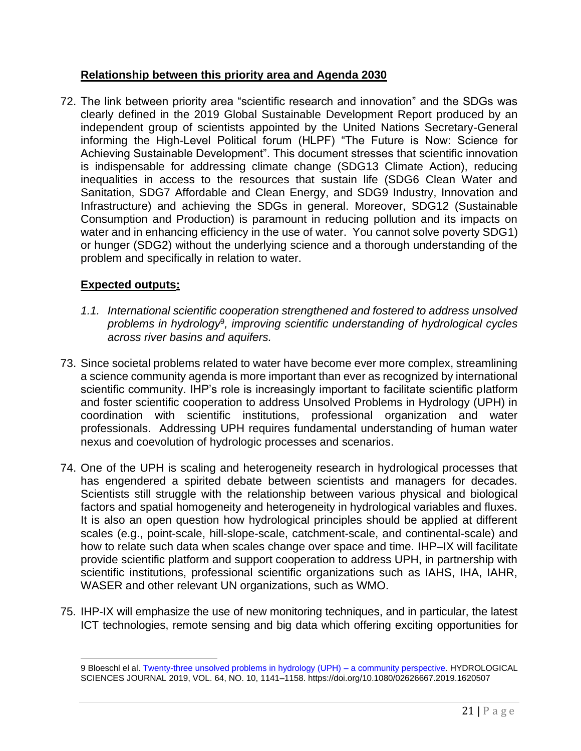#### **Relationship between this priority area and Agenda 2030**

72. The link between priority area "scientific research and innovation" and the SDGs was clearly defined in the 2019 Global Sustainable Development Report produced by an independent group of scientists appointed by the United Nations Secretary-General informing the High-Level Political forum (HLPF) "The Future is Now: Science for Achieving Sustainable Development". This document stresses that scientific innovation is indispensable for addressing climate change (SDG13 Climate Action), reducing inequalities in access to the resources that sustain life (SDG6 Clean Water and Sanitation, SDG7 Affordable and Clean Energy, and SDG9 Industry, Innovation and Infrastructure) and achieving the SDGs in general. Moreover, SDG12 (Sustainable Consumption and Production) is paramount in reducing pollution and its impacts on water and in enhancing efficiency in the use of water. You cannot solve poverty SDG1) or hunger (SDG2) without the underlying science and a thorough understanding of the problem and specifically in relation to water.

#### **Expected outputs:**

- *1.1. International scientific cooperation strengthened and fostered to address unsolved problems in hydrology*<sup>9</sup> *, improving scientific understanding of hydrological cycles across river basins and aquifers.*
- 73. Since societal problems related to water have become ever more complex, streamlining a science community agenda is more important than ever as recognized by international scientific community. IHP's role is increasingly important to facilitate scientific platform and foster scientific cooperation to address Unsolved Problems in Hydrology (UPH) in coordination with scientific institutions, professional organization and water professionals. Addressing UPH requires fundamental understanding of human water nexus and coevolution of hydrologic processes and scenarios.
- 74. One of the UPH is scaling and heterogeneity research in hydrological processes that has engendered a spirited debate between scientists and managers for decades. Scientists still struggle with the relationship between various physical and biological factors and spatial homogeneity and heterogeneity in hydrological variables and fluxes. It is also an open question how hydrological principles should be applied at different scales (e.g., point-scale, hill-slope-scale, catchment-scale, and continental-scale) and how to relate such data when scales change over space and time. IHP–IX will facilitate provide scientific platform and support cooperation to address UPH, in partnership with scientific institutions, professional scientific organizations such as IAHS, IHA, IAHR, WASER and other relevant UN organizations, such as WMO.
- 75. IHP-IX will emphasize the use of new monitoring techniques, and in particular, the latest ICT technologies, remote sensing and big data which offering exciting opportunities for

<sup>9</sup> Bloeschl el al[. Twenty-three unsolved problems in hydrology \(UPH\) –](https://digitalcommons.unl.edu/cgi/viewcontent.cgi?article=1020&context=wffdocs) a community perspective. HYDROLOGICAL SCIENCES JOURNAL 2019, VOL. 64, NO. 10, 1141–1158. https://doi.org/10.1080/02626667.2019.1620507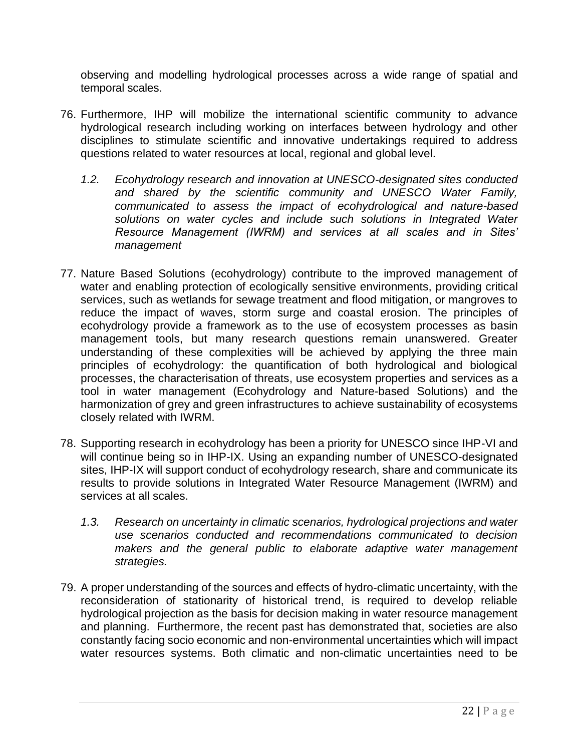observing and modelling hydrological processes across a wide range of spatial and temporal scales.

- 76. Furthermore, IHP will mobilize the international scientific community to advance hydrological research including working on interfaces between hydrology and other disciplines to stimulate scientific and innovative undertakings required to address questions related to water resources at local, regional and global level.
	- *1.2. Ecohydrology research and innovation at UNESCO-designated sites conducted and shared by the scientific community and UNESCO Water Family, communicated to assess the impact of ecohydrological and nature-based solutions on water cycles and include such solutions in Integrated Water Resource Management (IWRM) and services at all scales and in Sites' management*
- 77. Nature Based Solutions (ecohydrology) contribute to the improved management of water and enabling protection of ecologically sensitive environments, providing critical services, such as wetlands for sewage treatment and flood mitigation, or mangroves to reduce the impact of waves, storm surge and coastal erosion. The principles of ecohydrology provide a framework as to the use of ecosystem processes as basin management tools, but many research questions remain unanswered. Greater understanding of these complexities will be achieved by applying the three main principles of ecohydrology: the quantification of both hydrological and biological processes, the characterisation of threats, use ecosystem properties and services as a tool in water management (Ecohydrology and Nature-based Solutions) and the harmonization of grey and green infrastructures to achieve sustainability of ecosystems closely related with IWRM.
- 78. Supporting research in ecohydrology has been a priority for UNESCO since IHP-VI and will continue being so in IHP-IX. Using an expanding number of UNESCO-designated sites, IHP-IX will support conduct of ecohydrology research, share and communicate its results to provide solutions in Integrated Water Resource Management (IWRM) and services at all scales.
	- *1.3. Research on uncertainty in climatic scenarios, hydrological projections and water use scenarios conducted and recommendations communicated to decision makers and the general public to elaborate adaptive water management strategies.*
- 79. A proper understanding of the sources and effects of hydro-climatic uncertainty, with the reconsideration of stationarity of historical trend, is required to develop reliable hydrological projection as the basis for decision making in water resource management and planning. Furthermore, the recent past has demonstrated that, societies are also constantly facing socio economic and non-environmental uncertainties which will impact water resources systems. Both climatic and non-climatic uncertainties need to be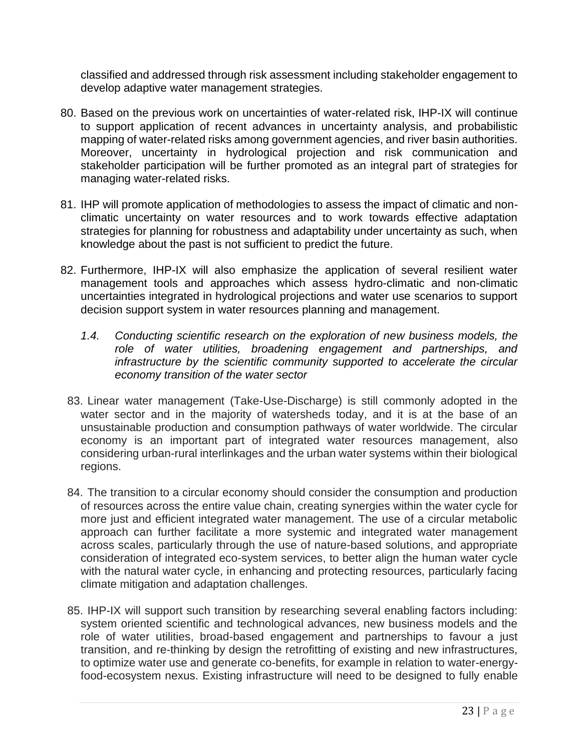classified and addressed through risk assessment including stakeholder engagement to develop adaptive water management strategies.

- 80. Based on the previous work on uncertainties of water-related risk, IHP-IX will continue to support application of recent advances in uncertainty analysis, and probabilistic mapping of water-related risks among government agencies, and river basin authorities. Moreover, uncertainty in hydrological projection and risk communication and stakeholder participation will be further promoted as an integral part of strategies for managing water-related risks.
- 81. IHP will promote application of methodologies to assess the impact of climatic and nonclimatic uncertainty on water resources and to work towards effective adaptation strategies for planning for robustness and adaptability under uncertainty as such, when knowledge about the past is not sufficient to predict the future.
- 82. Furthermore, IHP-IX will also emphasize the application of several resilient water management tools and approaches which assess hydro-climatic and non-climatic uncertainties integrated in hydrological projections and water use scenarios to support decision support system in water resources planning and management.
	- *1.4. Conducting scientific research on the exploration of new business models, the role of water utilities, broadening engagement and partnerships, and infrastructure by the scientific community supported to accelerate the circular economy transition of the water sector*
	- 83. Linear water management (Take-Use-Discharge) is still commonly adopted in the water sector and in the majority of watersheds today, and it is at the base of an unsustainable production and consumption pathways of water worldwide. The circular economy is an important part of integrated water resources management, also considering urban-rural interlinkages and the urban water systems within their biological regions.
	- 84. The transition to a circular economy should consider the consumption and production of resources across the entire value chain, creating synergies within the water cycle for more just and efficient integrated water management. The use of a circular metabolic approach can further facilitate a more systemic and integrated water management across scales, particularly through the use of nature-based solutions, and appropriate consideration of integrated eco-system services, to better align the human water cycle with the natural water cycle, in enhancing and protecting resources, particularly facing climate mitigation and adaptation challenges.
	- 85. IHP-IX will support such transition by researching several enabling factors including: system oriented scientific and technological advances, new business models and the role of water utilities, broad-based engagement and partnerships to favour a just transition, and re-thinking by design the retrofitting of existing and new infrastructures, to optimize water use and generate co-benefits, for example in relation to water-energyfood-ecosystem nexus. Existing infrastructure will need to be designed to fully enable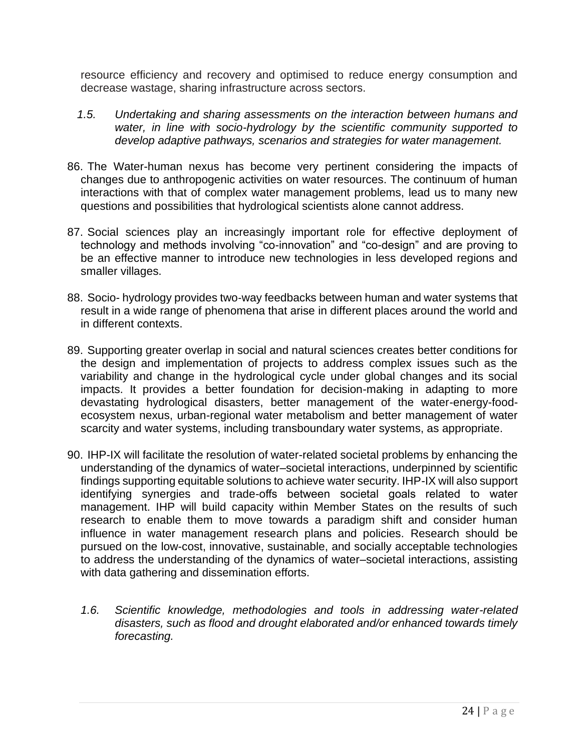resource efficiency and recovery and optimised to reduce energy consumption and decrease wastage, sharing infrastructure across sectors.

- *1.5. Undertaking and sharing assessments on the interaction between humans and water, in line with socio-hydrology by the scientific community supported to develop adaptive pathways, scenarios and strategies for water management.*
- 86. The Water-human nexus has become very pertinent considering the impacts of changes due to anthropogenic activities on water resources. The continuum of human interactions with that of complex water management problems, lead us to many new questions and possibilities that hydrological scientists alone cannot address.
- 87. Social sciences play an increasingly important role for effective deployment of technology and methods involving "co-innovation" and "co-design" and are proving to be an effective manner to introduce new technologies in less developed regions and smaller villages.
- 88. Socio- hydrology provides two-way feedbacks between human and water systems that result in a wide range of phenomena that arise in different places around the world and in different contexts.
- 89. Supporting greater overlap in social and natural sciences creates better conditions for the design and implementation of projects to address complex issues such as the variability and change in the hydrological cycle under global changes and its social impacts. It provides a better foundation for decision-making in adapting to more devastating hydrological disasters, better management of the water-energy-foodecosystem nexus, urban-regional water metabolism and better management of water scarcity and water systems, including transboundary water systems, as appropriate.
- 90. IHP-IX will facilitate the resolution of water-related societal problems by enhancing the understanding of the dynamics of water–societal interactions, underpinned by scientific findings supporting equitable solutions to achieve water security. IHP-IX will also support identifying synergies and trade-offs between societal goals related to water management. IHP will build capacity within Member States on the results of such research to enable them to move towards a paradigm shift and consider human influence in water management research plans and policies. Research should be pursued on the low-cost, innovative, sustainable, and socially acceptable technologies to address the understanding of the dynamics of water–societal interactions, assisting with data gathering and dissemination efforts.
	- *1.6. Scientific knowledge, methodologies and tools in addressing water-related disasters, such as flood and drought elaborated and/or enhanced towards timely forecasting.*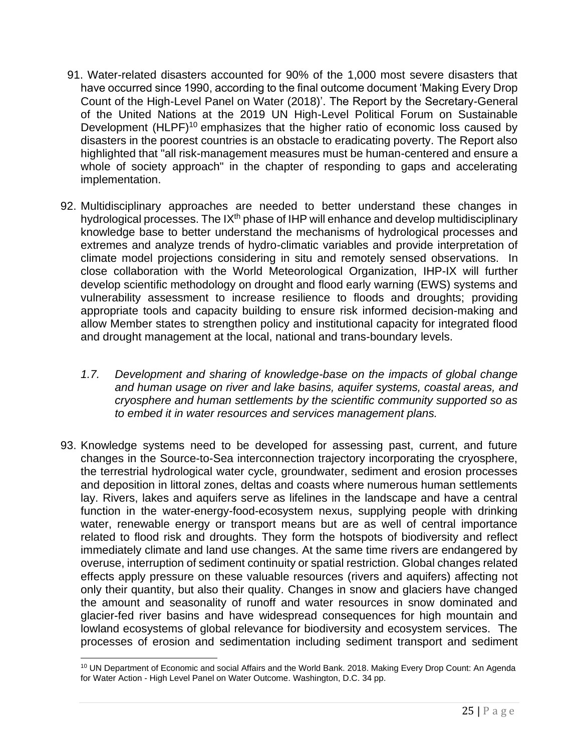- 91. Water-related disasters accounted for 90% of the 1,000 most severe disasters that have occurred since 1990, according to the final outcome document 'Making Every Drop Count of the High-Level Panel on Water (2018)'. The Report by the Secretary-General of the United Nations at the 2019 UN High-Level Political Forum on Sustainable Development (HLPF)<sup>10</sup> emphasizes that the higher ratio of economic loss caused by disasters in the poorest countries is an obstacle to eradicating poverty. The Report also highlighted that "all risk-management measures must be human-centered and ensure a whole of society approach" in the chapter of responding to gaps and accelerating implementation.
- 92. Multidisciplinary approaches are needed to better understand these changes in hydrological processes. The  $IX<sup>th</sup>$  phase of IHP will enhance and develop multidisciplinary knowledge base to better understand the mechanisms of hydrological processes and extremes and analyze trends of hydro-climatic variables and provide interpretation of climate model projections considering in situ and remotely sensed observations. In close collaboration with the World Meteorological Organization, IHP-IX will further develop scientific methodology on drought and flood early warning (EWS) systems and vulnerability assessment to increase resilience to floods and droughts; providing appropriate tools and capacity building to ensure risk informed decision-making and allow Member states to strengthen policy and institutional capacity for integrated flood and drought management at the local, national and trans-boundary levels.
	- *1.7. Development and sharing of knowledge-base on the impacts of global change and human usage on river and lake basins, aquifer systems, coastal areas, and cryosphere and human settlements by the scientific community supported so as to embed it in water resources and services management plans.*
- 93. Knowledge systems need to be developed for assessing past, current, and future changes in the Source-to-Sea interconnection trajectory incorporating the cryosphere, the terrestrial hydrological water cycle, groundwater, sediment and erosion processes and deposition in littoral zones, deltas and coasts where numerous human settlements lay. Rivers, lakes and aquifers serve as lifelines in the landscape and have a central function in the water-energy-food-ecosystem nexus, supplying people with drinking water, renewable energy or transport means but are as well of central importance related to flood risk and droughts. They form the hotspots of biodiversity and reflect immediately climate and land use changes. At the same time rivers are endangered by overuse, interruption of sediment continuity or spatial restriction. Global changes related effects apply pressure on these valuable resources (rivers and aquifers) affecting not only their quantity, but also their quality. Changes in snow and glaciers have changed the amount and seasonality of runoff and water resources in snow dominated and glacier-fed river basins and have widespread consequences for high mountain and lowland ecosystems of global relevance for biodiversity and ecosystem services. The processes of erosion and sedimentation including sediment transport and sediment

<sup>&</sup>lt;sup>10</sup> UN Department of Economic and social Affairs and the World Bank. 2018. Making Every Drop Count: An Agenda for Water Action - High Level Panel on Water Outcome. Washington, D.C. 34 pp.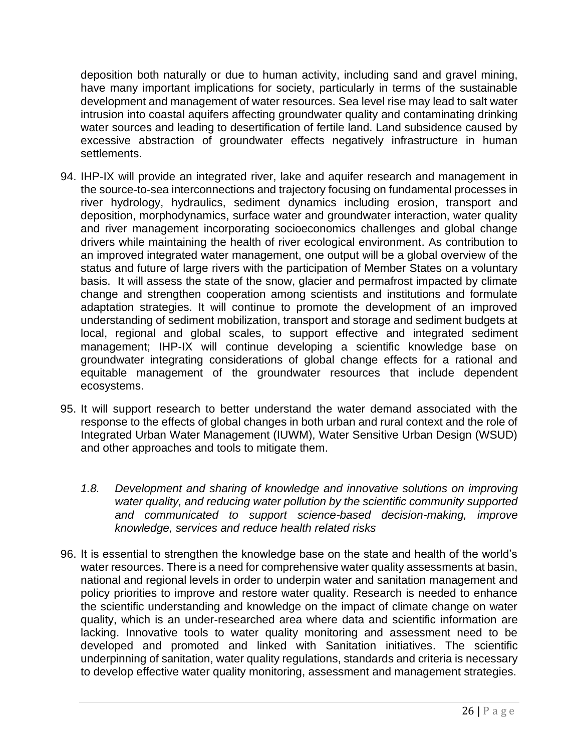deposition both naturally or due to human activity, including sand and gravel mining, have many important implications for society, particularly in terms of the sustainable development and management of water resources. Sea level rise may lead to salt water intrusion into coastal aquifers affecting groundwater quality and contaminating drinking water sources and leading to desertification of fertile land. Land subsidence caused by excessive abstraction of groundwater effects negatively infrastructure in human settlements.

- 94. IHP-IX will provide an integrated river, lake and aquifer research and management in the source-to-sea interconnections and trajectory focusing on fundamental processes in river hydrology, hydraulics, sediment dynamics including erosion, transport and deposition, morphodynamics, surface water and groundwater interaction, water quality and river management incorporating socioeconomics challenges and global change drivers while maintaining the health of river ecological environment. As contribution to an improved integrated water management, one output will be a global overview of the status and future of large rivers with the participation of Member States on a voluntary basis. It will assess the state of the snow, glacier and permafrost impacted by climate change and strengthen cooperation among scientists and institutions and formulate adaptation strategies. It will continue to promote the development of an improved understanding of sediment mobilization, transport and storage and sediment budgets at local, regional and global scales, to support effective and integrated sediment management; IHP-IX will continue developing a scientific knowledge base on groundwater integrating considerations of global change effects for a rational and equitable management of the groundwater resources that include dependent ecosystems.
- 95. It will support research to better understand the water demand associated with the response to the effects of global changes in both urban and rural context and the role of Integrated Urban Water Management (IUWM), Water Sensitive Urban Design (WSUD) and other approaches and tools to mitigate them.
	- *1.8. Development and sharing of knowledge and innovative solutions on improving water quality, and reducing water pollution by the scientific community supported and communicated to support science-based decision-making, improve knowledge, services and reduce health related risks*
- 96. It is essential to strengthen the knowledge base on the state and health of the world's water resources. There is a need for comprehensive water quality assessments at basin, national and regional levels in order to underpin water and sanitation management and policy priorities to improve and restore water quality. Research is needed to enhance the scientific understanding and knowledge on the impact of climate change on water quality, which is an under-researched area where data and scientific information are lacking. Innovative tools to water quality monitoring and assessment need to be developed and promoted and linked with Sanitation initiatives. The scientific underpinning of sanitation, water quality regulations, standards and criteria is necessary to develop effective water quality monitoring, assessment and management strategies.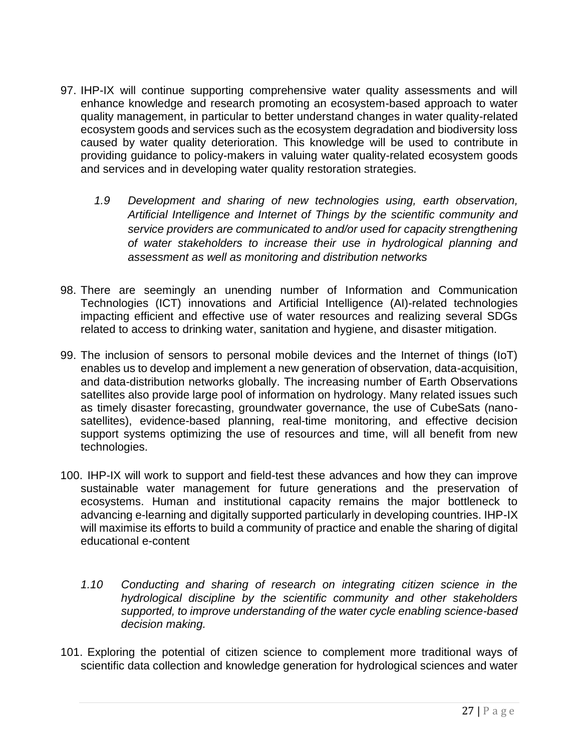- 97. IHP-IX will continue supporting comprehensive water quality assessments and will enhance knowledge and research promoting an ecosystem-based approach to water quality management, in particular to better understand changes in water quality-related ecosystem goods and services such as the ecosystem degradation and biodiversity loss caused by water quality deterioration. This knowledge will be used to contribute in providing guidance to policy-makers in valuing water quality-related ecosystem goods and services and in developing water quality restoration strategies.
	- *1.9 Development and sharing of new technologies using, earth observation, Artificial Intelligence and Internet of Things by the scientific community and service providers are communicated to and/or used for capacity strengthening of water stakeholders to increase their use in hydrological planning and assessment as well as monitoring and distribution networks*
- 98. There are seemingly an unending number of Information and Communication Technologies (ICT) innovations and Artificial Intelligence (AI)-related technologies impacting efficient and effective use of water resources and realizing several SDGs related to access to drinking water, sanitation and hygiene, and disaster mitigation.
- 99. The inclusion of sensors to personal mobile devices and the Internet of things (IoT) enables us to develop and implement a new generation of observation, data-acquisition, and data-distribution networks globally. The increasing number of Earth Observations satellites also provide large pool of information on hydrology. Many related issues such as timely disaster forecasting, groundwater governance, the use of CubeSats (nanosatellites), evidence-based planning, real-time monitoring, and effective decision support systems optimizing the use of resources and time, will all benefit from new technologies.
- 100. IHP-IX will work to support and field-test these advances and how they can improve sustainable water management for future generations and the preservation of ecosystems. Human and institutional capacity remains the major bottleneck to advancing e-learning and digitally supported particularly in developing countries. IHP-IX will maximise its efforts to build a community of practice and enable the sharing of digital educational e-content
	- *1.10 Conducting and sharing of research on integrating citizen science in the hydrological discipline by the scientific community and other stakeholders supported, to improve understanding of the water cycle enabling science-based decision making.*
- 101. Exploring the potential of citizen science to complement more traditional ways of scientific data collection and knowledge generation for hydrological sciences and water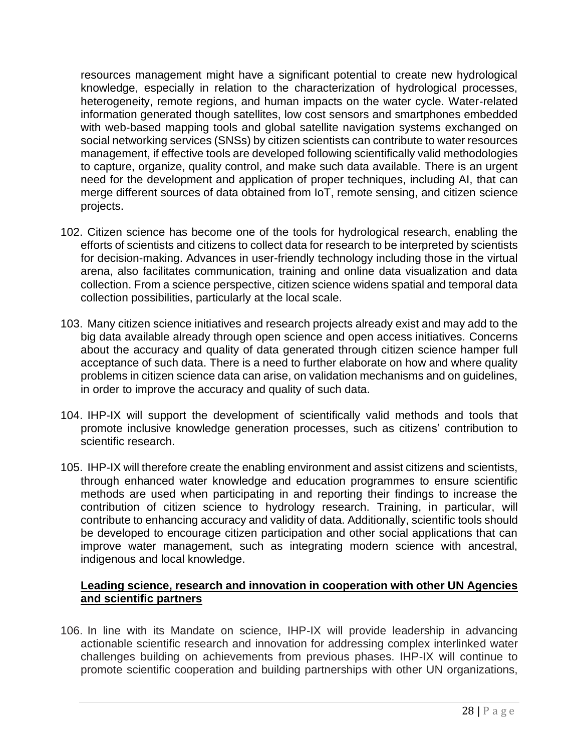resources management might have a significant potential to create new hydrological knowledge, especially in relation to the characterization of hydrological processes, heterogeneity, remote regions, and human impacts on the water cycle. Water-related information generated though satellites, low cost sensors and smartphones embedded with web-based mapping tools and global satellite navigation systems exchanged on social networking services (SNSs) by citizen scientists can contribute to water resources management, if effective tools are developed following scientifically valid methodologies to capture, organize, quality control, and make such data available. There is an urgent need for the development and application of proper techniques, including AI, that can merge different sources of data obtained from IoT, remote sensing, and citizen science projects.

- 102. Citizen science has become one of the tools for hydrological research, enabling the efforts of scientists and citizens to collect data for research to be interpreted by scientists for decision-making. Advances in user-friendly technology including those in the virtual arena, also facilitates communication, training and online data visualization and data collection. From a science perspective, citizen science widens spatial and temporal data collection possibilities, particularly at the local scale.
- 103. Many citizen science initiatives and research projects already exist and may add to the big data available already through open science and open access initiatives. Concerns about the accuracy and quality of data generated through citizen science hamper full acceptance of such data. There is a need to further elaborate on how and where quality problems in citizen science data can arise, on validation mechanisms and on guidelines, in order to improve the accuracy and quality of such data.
- 104. IHP-IX will support the development of scientifically valid methods and tools that promote inclusive knowledge generation processes, such as citizens' contribution to scientific research.
- 105. IHP-IX will therefore create the enabling environment and assist citizens and scientists, through enhanced water knowledge and education programmes to ensure scientific methods are used when participating in and reporting their findings to increase the contribution of citizen science to hydrology research. Training, in particular, will contribute to enhancing accuracy and validity of data. Additionally, scientific tools should be developed to encourage citizen participation and other social applications that can improve water management, such as integrating modern science with ancestral, indigenous and local knowledge.

#### **Leading science, research and innovation in cooperation with other UN Agencies and scientific partners**

106. In line with its Mandate on science, IHP-IX will provide leadership in advancing actionable scientific research and innovation for addressing complex interlinked water challenges building on achievements from previous phases. IHP-IX will continue to promote scientific cooperation and building partnerships with other UN organizations,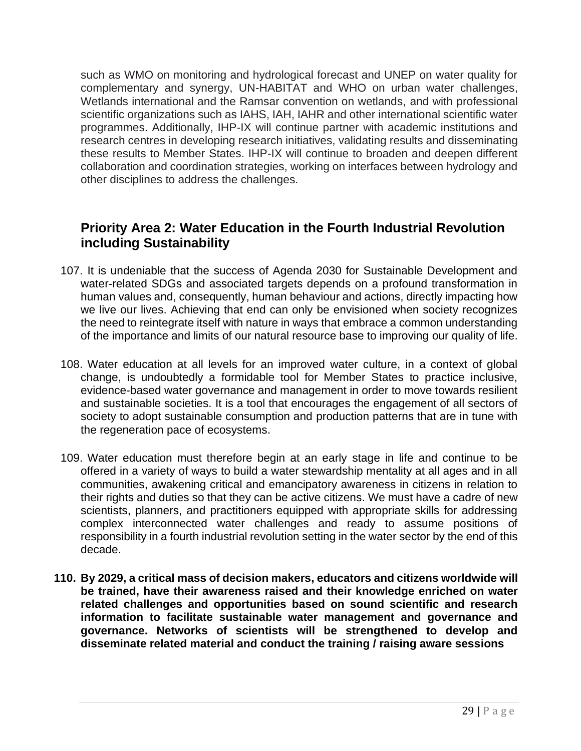such as WMO on monitoring and hydrological forecast and UNEP on water quality for complementary and synergy, UN-HABITAT and WHO on urban water challenges, Wetlands international and the Ramsar convention on wetlands, and with professional scientific organizations such as IAHS, IAH, IAHR and other international scientific water programmes. Additionally, IHP-IX will continue partner with academic institutions and research centres in developing research initiatives, validating results and disseminating these results to Member States. IHP-IX will continue to broaden and deepen different collaboration and coordination strategies, working on interfaces between hydrology and other disciplines to address the challenges.

## **Priority Area 2: Water Education in the Fourth Industrial Revolution including Sustainability**

- 107. It is undeniable that the success of Agenda 2030 for Sustainable Development and water-related SDGs and associated targets depends on a profound transformation in human values and, consequently, human behaviour and actions, directly impacting how we live our lives. Achieving that end can only be envisioned when society recognizes the need to reintegrate itself with nature in ways that embrace a common understanding of the importance and limits of our natural resource base to improving our quality of life.
- 108. Water education at all levels for an improved water culture, in a context of global change, is undoubtedly a formidable tool for Member States to practice inclusive, evidence-based water governance and management in order to move towards resilient and sustainable societies. It is a tool that encourages the engagement of all sectors of society to adopt sustainable consumption and production patterns that are in tune with the regeneration pace of ecosystems.
- 109. Water education must therefore begin at an early stage in life and continue to be offered in a variety of ways to build a water stewardship mentality at all ages and in all communities, awakening critical and emancipatory awareness in citizens in relation to their rights and duties so that they can be active citizens. We must have a cadre of new scientists, planners, and practitioners equipped with appropriate skills for addressing complex interconnected water challenges and ready to assume positions of responsibility in a fourth industrial revolution setting in the water sector by the end of this decade.
- **110. By 2029, a critical mass of decision makers, educators and citizens worldwide will be trained, have their awareness raised and their knowledge enriched on water related challenges and opportunities based on sound scientific and research information to facilitate sustainable water management and governance and governance. Networks of scientists will be strengthened to develop and disseminate related material and conduct the training / raising aware sessions**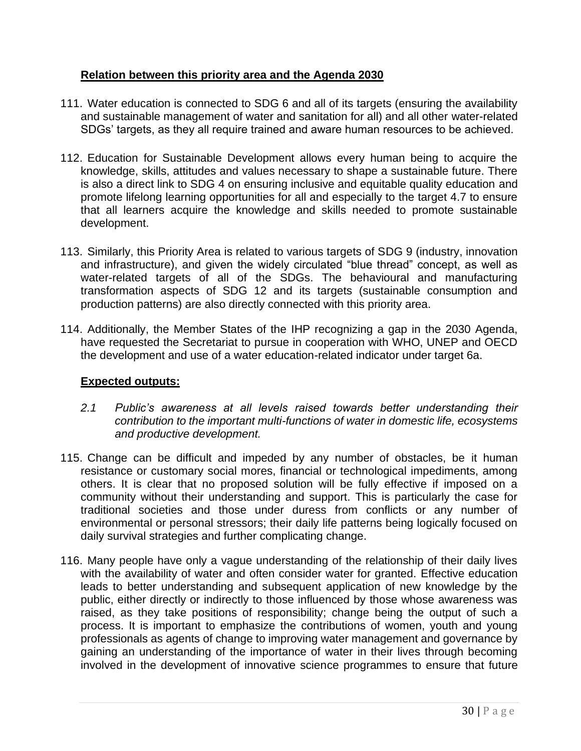#### **Relation between this priority area and the Agenda 2030**

- 111. Water education is connected to SDG 6 and all of its targets (ensuring the availability and sustainable management of water and sanitation for all) and all other water-related SDGs' targets, as they all require trained and aware human resources to be achieved.
- 112. Education for Sustainable Development allows every human being to acquire the knowledge, skills, attitudes and values necessary to shape a sustainable future. There is also a direct link to SDG 4 on ensuring inclusive and equitable quality education and promote lifelong learning opportunities for all and especially to the target 4.7 to ensure that all learners acquire the knowledge and skills needed to promote sustainable development.
- 113. Similarly, this Priority Area is related to various targets of SDG 9 (industry, innovation and infrastructure), and given the widely circulated "blue thread" concept, as well as water-related targets of all of the SDGs. The behavioural and manufacturing transformation aspects of SDG 12 and its targets (sustainable consumption and production patterns) are also directly connected with this priority area.
- 114. Additionally, the Member States of the IHP recognizing a gap in the 2030 Agenda, have requested the Secretariat to pursue in cooperation with WHO, UNEP and OECD the development and use of a water education-related indicator under target 6a.

#### **Expected outputs:**

- *2.1 Public's awareness at all levels raised towards better understanding their contribution to the important multi-functions of water in domestic life, ecosystems and productive development.*
- 115. Change can be difficult and impeded by any number of obstacles, be it human resistance or customary social mores, financial or technological impediments, among others. It is clear that no proposed solution will be fully effective if imposed on a community without their understanding and support. This is particularly the case for traditional societies and those under duress from conflicts or any number of environmental or personal stressors; their daily life patterns being logically focused on daily survival strategies and further complicating change.
- 116. Many people have only a vague understanding of the relationship of their daily lives with the availability of water and often consider water for granted. Effective education leads to better understanding and subsequent application of new knowledge by the public, either directly or indirectly to those influenced by those whose awareness was raised, as they take positions of responsibility; change being the output of such a process. It is important to emphasize the contributions of women, youth and young professionals as agents of change to improving water management and governance by gaining an understanding of the importance of water in their lives through becoming involved in the development of innovative science programmes to ensure that future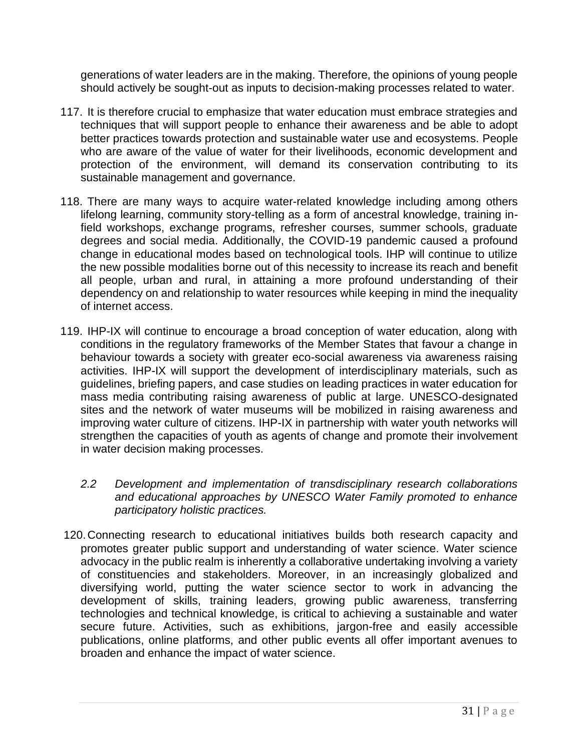generations of water leaders are in the making. Therefore, the opinions of young people should actively be sought-out as inputs to decision-making processes related to water.

- 117. It is therefore crucial to emphasize that water education must embrace strategies and techniques that will support people to enhance their awareness and be able to adopt better practices towards protection and sustainable water use and ecosystems. People who are aware of the value of water for their livelihoods, economic development and protection of the environment, will demand its conservation contributing to its sustainable management and governance.
- 118. There are many ways to acquire water-related knowledge including among others lifelong learning, community story-telling as a form of ancestral knowledge, training infield workshops, exchange programs, refresher courses, summer schools, graduate degrees and social media. Additionally, the COVID-19 pandemic caused a profound change in educational modes based on technological tools. IHP will continue to utilize the new possible modalities borne out of this necessity to increase its reach and benefit all people, urban and rural, in attaining a more profound understanding of their dependency on and relationship to water resources while keeping in mind the inequality of internet access.
- 119. IHP-IX will continue to encourage a broad conception of water education, along with conditions in the regulatory frameworks of the Member States that favour a change in behaviour towards a society with greater eco-social awareness via awareness raising activities. IHP-IX will support the development of interdisciplinary materials, such as guidelines, briefing papers, and case studies on leading practices in water education for mass media contributing raising awareness of public at large. UNESCO-designated sites and the network of water museums will be mobilized in raising awareness and improving water culture of citizens. IHP-IX in partnership with water youth networks will strengthen the capacities of youth as agents of change and promote their involvement in water decision making processes.
	- *2.2 Development and implementation of transdisciplinary research collaborations and educational approaches by UNESCO Water Family promoted to enhance participatory holistic practices.*
- 120.Connecting research to educational initiatives builds both research capacity and promotes greater public support and understanding of water science. Water science advocacy in the public realm is inherently a collaborative undertaking involving a variety of constituencies and stakeholders. Moreover, in an increasingly globalized and diversifying world, putting the water science sector to work in advancing the development of skills, training leaders, growing public awareness, transferring technologies and technical knowledge, is critical to achieving a sustainable and water secure future. Activities, such as exhibitions, jargon-free and easily accessible publications, online platforms, and other public events all offer important avenues to broaden and enhance the impact of water science.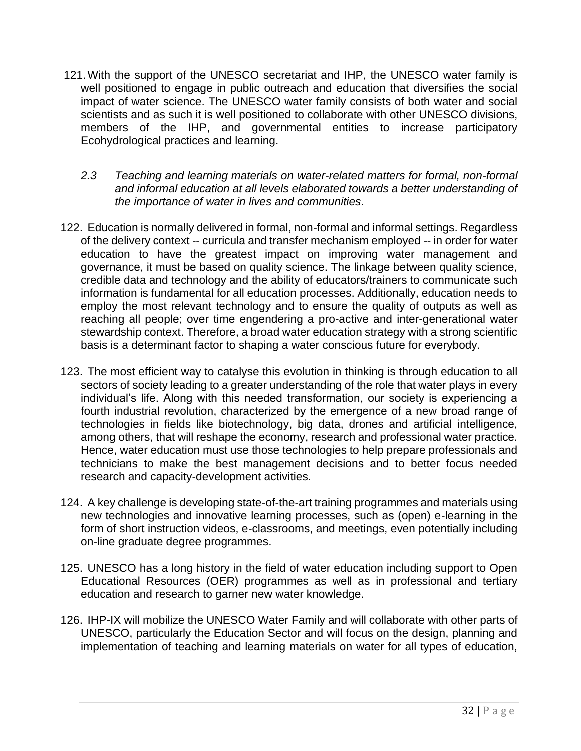- 121.With the support of the UNESCO secretariat and IHP, the UNESCO water family is well positioned to engage in public outreach and education that diversifies the social impact of water science. The UNESCO water family consists of both water and social scientists and as such it is well positioned to collaborate with other UNESCO divisions, members of the IHP, and governmental entities to increase participatory Ecohydrological practices and learning.
	- *2.3 Teaching and learning materials on water-related matters for formal, non-formal and informal education at all levels elaborated towards a better understanding of the importance of water in lives and communities.*
- 122. Education is normally delivered in formal, non-formal and informal settings. Regardless of the delivery context -- curricula and transfer mechanism employed -- in order for water education to have the greatest impact on improving water management and governance, it must be based on quality science. The linkage between quality science, credible data and technology and the ability of educators/trainers to communicate such information is fundamental for all education processes. Additionally, education needs to employ the most relevant technology and to ensure the quality of outputs as well as reaching all people; over time engendering a pro-active and inter-generational water stewardship context. Therefore, a broad water education strategy with a strong scientific basis is a determinant factor to shaping a water conscious future for everybody.
- 123. The most efficient way to catalyse this evolution in thinking is through education to all sectors of society leading to a greater understanding of the role that water plays in every individual's life. Along with this needed transformation, our society is experiencing a fourth industrial revolution, characterized by the emergence of a new broad range of technologies in fields like biotechnology, big data, drones and artificial intelligence, among others, that will reshape the economy, research and professional water practice. Hence, water education must use those technologies to help prepare professionals and technicians to make the best management decisions and to better focus needed research and capacity-development activities.
- 124. A key challenge is developing state-of-the-art training programmes and materials using new technologies and innovative learning processes, such as (open) e-learning in the form of short instruction videos, e-classrooms, and meetings, even potentially including on-line graduate degree programmes.
- 125. UNESCO has a long history in the field of water education including support to Open Educational Resources (OER) programmes as well as in professional and tertiary education and research to garner new water knowledge.
- 126. IHP-IX will mobilize the UNESCO Water Family and will collaborate with other parts of UNESCO, particularly the Education Sector and will focus on the design, planning and implementation of teaching and learning materials on water for all types of education,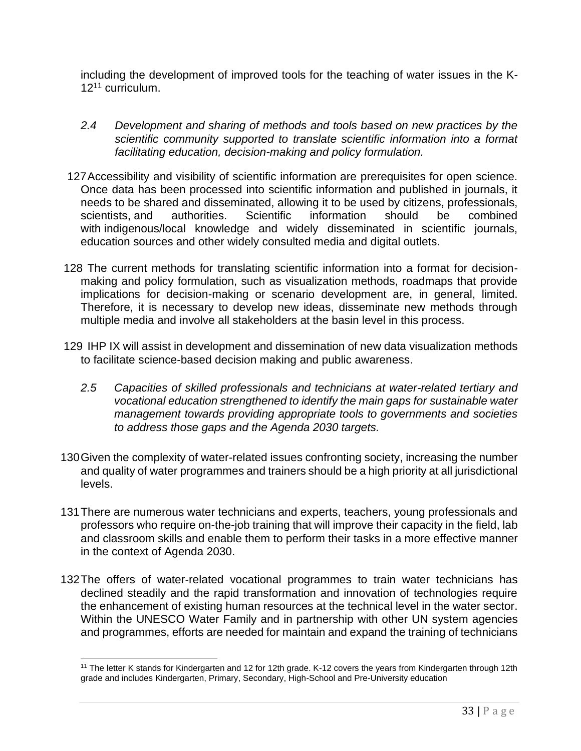including the development of improved tools for the teaching of water issues in the K-12<sup>11</sup> curriculum.

- *2.4 Development and sharing of methods and tools based on new practices by the scientific community supported to translate scientific information into a format facilitating education, decision-making and policy formulation.*
- 127Accessibility and visibility of scientific information are prerequisites for open science. Once data has been processed into scientific information and published in journals, it needs to be shared and disseminated, allowing it to be used by citizens, professionals, scientists, and authorities. Scientific information should be combined with indigenous/local knowledge and widely disseminated in scientific journals, education sources and other widely consulted media and digital outlets.
- 128 The current methods for translating scientific information into a format for decisionmaking and policy formulation, such as visualization methods, roadmaps that provide implications for decision-making or scenario development are, in general, limited. Therefore, it is necessary to develop new ideas, disseminate new methods through multiple media and involve all stakeholders at the basin level in this process.
- 129 IHP IX will assist in development and dissemination of new data visualization methods to facilitate science-based decision making and public awareness.
	- *2.5 Capacities of skilled professionals and technicians at water-related tertiary and vocational education strengthened to identify the main gaps for sustainable water management towards providing appropriate tools to governments and societies to address those gaps and the Agenda 2030 targets.*
- 130Given the complexity of water-related issues confronting society, increasing the number and quality of water programmes and trainers should be a high priority at all jurisdictional levels.
- 131There are numerous water technicians and experts, teachers, young professionals and professors who require on-the-job training that will improve their capacity in the field, lab and classroom skills and enable them to perform their tasks in a more effective manner in the context of Agenda 2030.
- 132The offers of water-related vocational programmes to train water technicians has declined steadily and the rapid transformation and innovation of technologies require the enhancement of existing human resources at the technical level in the water sector. Within the UNESCO Water Family and in partnership with other UN system agencies and programmes, efforts are needed for maintain and expand the training of technicians

<sup>11</sup> The letter K stands for Kindergarten and 12 for 12th grade. K-12 covers the years from Kindergarten through 12th grade and includes Kindergarten, Primary, Secondary, High-School and Pre-University education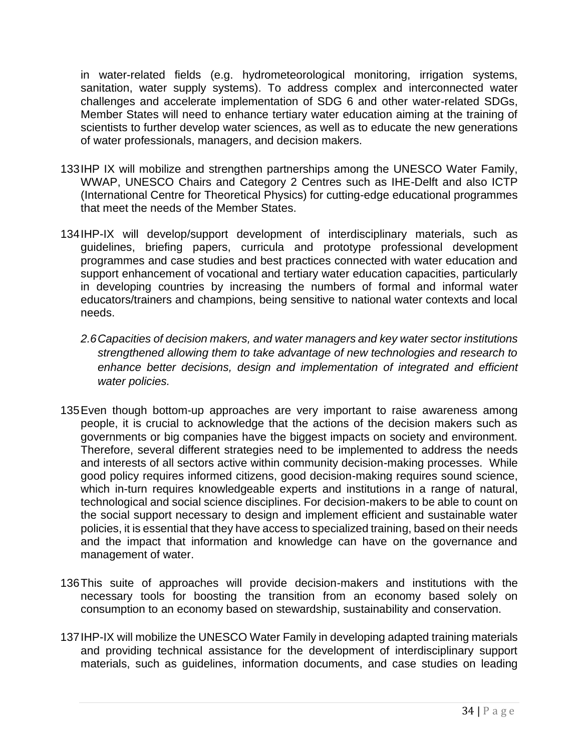in water-related fields (e.g. hydrometeorological monitoring, irrigation systems, sanitation, water supply systems). To address complex and interconnected water challenges and accelerate implementation of SDG 6 and other water-related SDGs, Member States will need to enhance tertiary water education aiming at the training of scientists to further develop water sciences, as well as to educate the new generations of water professionals, managers, and decision makers.

- 133IHP IX will mobilize and strengthen partnerships among the UNESCO Water Family, WWAP, UNESCO Chairs and Category 2 Centres such as IHE-Delft and also ICTP (International Centre for Theoretical Physics) for cutting-edge educational programmes that meet the needs of the Member States.
- 134IHP-IX will develop/support development of interdisciplinary materials, such as guidelines, briefing papers, curricula and prototype professional development programmes and case studies and best practices connected with water education and support enhancement of vocational and tertiary water education capacities, particularly in developing countries by increasing the numbers of formal and informal water educators/trainers and champions, being sensitive to national water contexts and local needs.
	- *2.6Capacities of decision makers, and water managers and key water sector institutions strengthened allowing them to take advantage of new technologies and research to enhance better decisions, design and implementation of integrated and efficient water policies.*
- 135Even though bottom-up approaches are very important to raise awareness among people, it is crucial to acknowledge that the actions of the decision makers such as governments or big companies have the biggest impacts on society and environment. Therefore, several different strategies need to be implemented to address the needs and interests of all sectors active within community decision-making processes. While good policy requires informed citizens, good decision-making requires sound science, which in-turn requires knowledgeable experts and institutions in a range of natural, technological and social science disciplines. For decision-makers to be able to count on the social support necessary to design and implement efficient and sustainable water policies, it is essential that they have access to specialized training, based on their needs and the impact that information and knowledge can have on the governance and management of water.
- 136This suite of approaches will provide decision-makers and institutions with the necessary tools for boosting the transition from an economy based solely on consumption to an economy based on stewardship, sustainability and conservation.
- 137IHP-IX will mobilize the UNESCO Water Family in developing adapted training materials and providing technical assistance for the development of interdisciplinary support materials, such as guidelines, information documents, and case studies on leading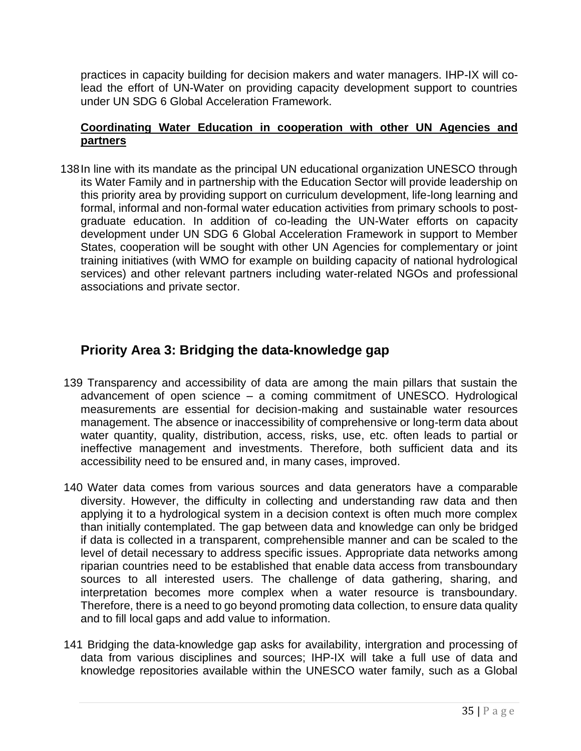practices in capacity building for decision makers and water managers. IHP-IX will colead the effort of UN-Water on providing capacity development support to countries under UN SDG 6 Global Acceleration Framework.

#### **Coordinating Water Education in cooperation with other UN Agencies and partners**

138In line with its mandate as the principal UN educational organization UNESCO through its Water Family and in partnership with the Education Sector will provide leadership on this priority area by providing support on curriculum development, life-long learning and formal, informal and non-formal water education activities from primary schools to postgraduate education. In addition of co-leading the UN-Water efforts on capacity development under UN SDG 6 Global Acceleration Framework in support to Member States, cooperation will be sought with other UN Agencies for complementary or joint training initiatives (with WMO for example on building capacity of national hydrological services) and other relevant partners including water-related NGOs and professional associations and private sector.

## **Priority Area 3: Bridging the data-knowledge gap**

- 139 Transparency and accessibility of data are among the main pillars that sustain the advancement of open science – a coming commitment of UNESCO. Hydrological measurements are essential for decision-making and sustainable water resources management. The absence or inaccessibility of comprehensive or long-term data about water quantity, quality, distribution, access, risks, use, etc. often leads to partial or ineffective management and investments. Therefore, both sufficient data and its accessibility need to be ensured and, in many cases, improved.
- 140 Water data comes from various sources and data generators have a comparable diversity. However, the difficulty in collecting and understanding raw data and then applying it to a hydrological system in a decision context is often much more complex than initially contemplated. The gap between data and knowledge can only be bridged if data is collected in a transparent, comprehensible manner and can be scaled to the level of detail necessary to address specific issues. Appropriate data networks among riparian countries need to be established that enable data access from transboundary sources to all interested users. The challenge of data gathering, sharing, and interpretation becomes more complex when a water resource is transboundary. Therefore, there is a need to go beyond promoting data collection, to ensure data quality and to fill local gaps and add value to information.
- 141 Bridging the data-knowledge gap asks for availability, intergration and processing of data from various disciplines and sources; IHP-IX will take a full use of data and knowledge repositories available within the UNESCO water family, such as a Global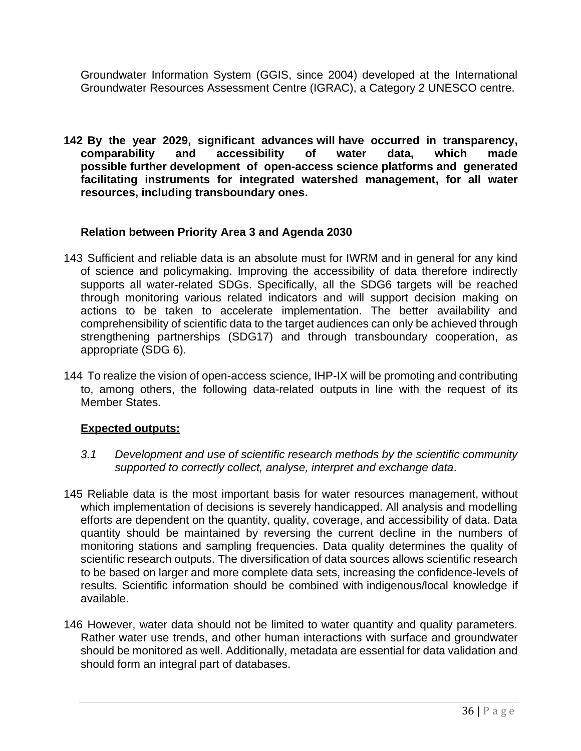Groundwater Information System (GGIS, since 2004) developed at the International Groundwater Resources Assessment Centre (IGRAC), a Category 2 UNESCO centre.

**142 By the year 2029, significant advances will have occurred in transparency, comparability and accessibility of water data, which made possible further development of open-access science platforms and generated facilitating instruments for integrated watershed management, for all water resources, including transboundary ones.**

#### **Relation between Priority Area 3 and Agenda 2030**

- 143 Sufficient and reliable data is an absolute must for IWRM and in general for any kind of science and policymaking. Improving the accessibility of data therefore indirectly supports all water-related SDGs. Specifically, all the SDG6 targets will be reached through monitoring various related indicators and will support decision making on actions to be taken to accelerate implementation. The better availability and comprehensibility of scientific data to the target audiences can only be achieved through strengthening partnerships (SDG17) and through transboundary cooperation, as appropriate (SDG 6).
- 144 To realize the vision of open-access science, IHP-IX will be promoting and contributing to, among others, the following data-related outputs in line with the request of its Member States.

#### **Expected outputs:**

- *3.1 Development and use of scientific research methods by the scientific community supported to correctly collect, analyse, interpret and exchange data*.
- 145 Reliable data is the most important basis for water resources management, without which implementation of decisions is severely handicapped. All analysis and modelling efforts are dependent on the quantity, quality, coverage, and accessibility of data. Data quantity should be maintained by reversing the current decline in the numbers of monitoring stations and sampling frequencies. Data quality determines the quality of scientific research outputs. The diversification of data sources allows scientific research to be based on larger and more complete data sets, increasing the confidence-levels of results. Scientific information should be combined with indigenous/local knowledge if available.
- 146 However, water data should not be limited to water quantity and quality parameters. Rather water use trends, and other human interactions with surface and groundwater should be monitored as well. Additionally, metadata are essential for data validation and should form an integral part of databases.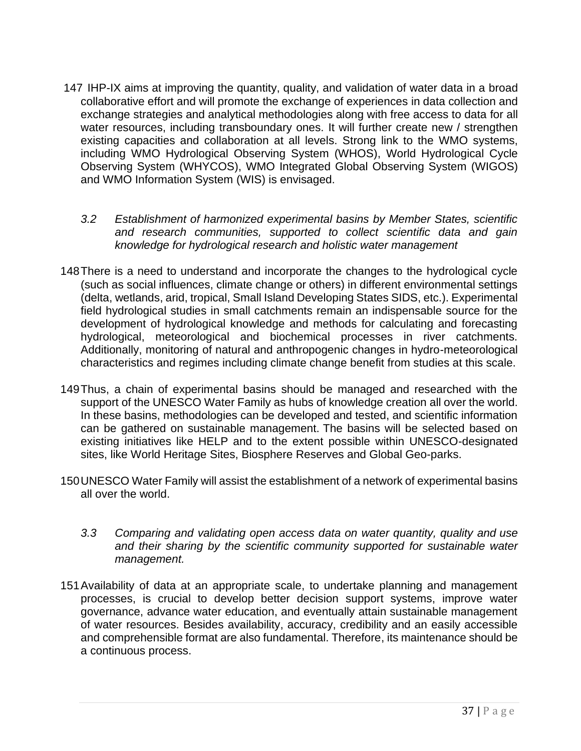- 147 IHP-IX aims at improving the quantity, quality, and validation of water data in a broad collaborative effort and will promote the exchange of experiences in data collection and exchange strategies and analytical methodologies along with free access to data for all water resources, including transboundary ones. It will further create new / strengthen existing capacities and collaboration at all levels. Strong link to the WMO systems, including WMO Hydrological Observing System (WHOS), World Hydrological Cycle Observing System (WHYCOS), WMO Integrated Global Observing System (WIGOS) and WMO Information System (WIS) is envisaged.
	- *3.2 Establishment of harmonized experimental basins by Member States, scientific and research communities, supported to collect scientific data and gain knowledge for hydrological research and holistic water management*
- 148There is a need to understand and incorporate the changes to the hydrological cycle (such as social influences, climate change or others) in different environmental settings (delta, wetlands, arid, tropical, Small Island Developing States SIDS, etc.). Experimental field hydrological studies in small catchments remain an indispensable source for the development of hydrological knowledge and methods for calculating and forecasting hydrological, meteorological and biochemical processes in river catchments. Additionally, monitoring of natural and anthropogenic changes in hydro-meteorological characteristics and regimes including climate change benefit from studies at this scale.
- 149Thus, a chain of experimental basins should be managed and researched with the support of the UNESCO Water Family as hubs of knowledge creation all over the world. In these basins, methodologies can be developed and tested, and scientific information can be gathered on sustainable management. The basins will be selected based on existing initiatives like HELP and to the extent possible within UNESCO-designated sites, like World Heritage Sites, Biosphere Reserves and Global Geo-parks.
- 150UNESCO Water Family will assist the establishment of a network of experimental basins all over the world.
	- *3.3 Comparing and validating open access data on water quantity, quality and use and their sharing by the scientific community supported for sustainable water management.*
- 151Availability of data at an appropriate scale, to undertake planning and management processes, is crucial to develop better decision support systems, improve water governance, advance water education, and eventually attain sustainable management of water resources. Besides availability, accuracy, credibility and an easily accessible and comprehensible format are also fundamental. Therefore, its maintenance should be a continuous process.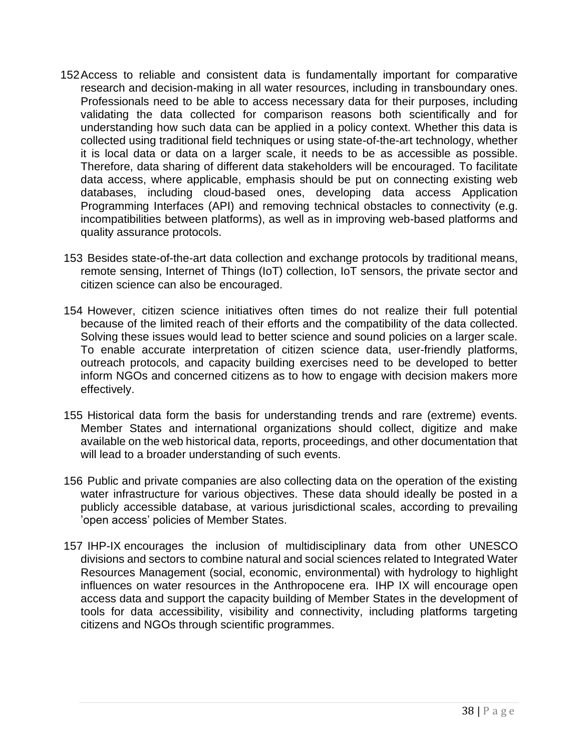- 152Access to reliable and consistent data is fundamentally important for comparative research and decision-making in all water resources, including in transboundary ones. Professionals need to be able to access necessary data for their purposes, including validating the data collected for comparison reasons both scientifically and for understanding how such data can be applied in a policy context. Whether this data is collected using traditional field techniques or using state-of-the-art technology, whether it is local data or data on a larger scale, it needs to be as accessible as possible. Therefore, data sharing of different data stakeholders will be encouraged. To facilitate data access, where applicable, emphasis should be put on connecting existing web databases, including cloud-based ones, developing data access Application Programming Interfaces (API) and removing technical obstacles to connectivity (e.g. incompatibilities between platforms), as well as in improving web-based platforms and quality assurance protocols.
- 153 Besides state-of-the-art data collection and exchange protocols by traditional means, remote sensing, Internet of Things (IoT) collection, IoT sensors, the private sector and citizen science can also be encouraged.
- 154 However, citizen science initiatives often times do not realize their full potential because of the limited reach of their efforts and the compatibility of the data collected. Solving these issues would lead to better science and sound policies on a larger scale. To enable accurate interpretation of citizen science data, user-friendly platforms, outreach protocols, and capacity building exercises need to be developed to better inform NGOs and concerned citizens as to how to engage with decision makers more effectively.
- 155 Historical data form the basis for understanding trends and rare (extreme) events. Member States and international organizations should collect, digitize and make available on the web historical data, reports, proceedings, and other documentation that will lead to a broader understanding of such events.
- 156 Public and private companies are also collecting data on the operation of the existing water infrastructure for various objectives. These data should ideally be posted in a publicly accessible database, at various jurisdictional scales, according to prevailing 'open access' policies of Member States.
- 157 IHP-IX encourages the inclusion of multidisciplinary data from other UNESCO divisions and sectors to combine natural and social sciences related to Integrated Water Resources Management (social, economic, environmental) with hydrology to highlight influences on water resources in the Anthropocene era. IHP IX will encourage open access data and support the capacity building of Member States in the development of tools for data accessibility, visibility and connectivity, including platforms targeting citizens and NGOs through scientific programmes.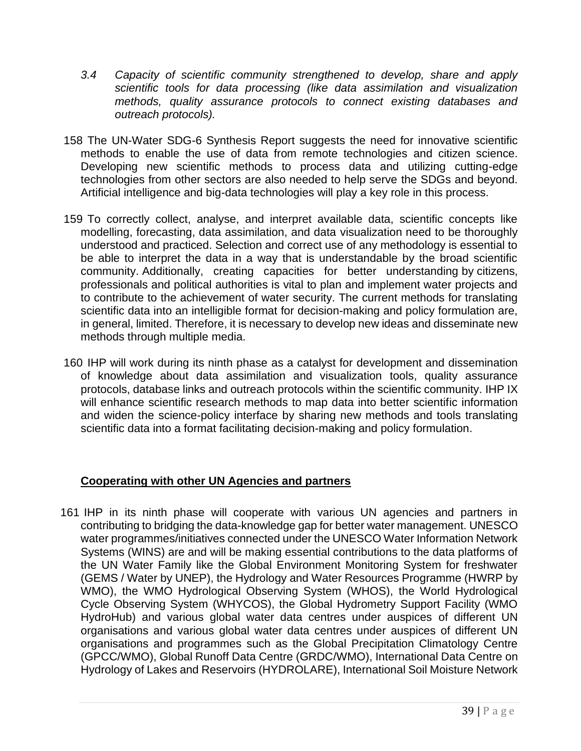- *3.4 Capacity of scientific community strengthened to develop, share and apply scientific tools for data processing (like data assimilation and visualization methods, quality assurance protocols to connect existing databases and outreach protocols).*
- 158 The UN-Water SDG-6 Synthesis Report suggests the need for innovative scientific methods to enable the use of data from remote technologies and citizen science. Developing new scientific methods to process data and utilizing cutting-edge technologies from other sectors are also needed to help serve the SDGs and beyond. Artificial intelligence and big-data technologies will play a key role in this process.
- 159 To correctly collect, analyse, and interpret available data, scientific concepts like modelling, forecasting, data assimilation, and data visualization need to be thoroughly understood and practiced. Selection and correct use of any methodology is essential to be able to interpret the data in a way that is understandable by the broad scientific community. Additionally, creating capacities for better understanding by citizens, professionals and political authorities is vital to plan and implement water projects and to contribute to the achievement of water security. The current methods for translating scientific data into an intelligible format for decision-making and policy formulation are, in general, limited. Therefore, it is necessary to develop new ideas and disseminate new methods through multiple media.
- 160 IHP will work during its ninth phase as a catalyst for development and dissemination of knowledge about data assimilation and visualization tools, quality assurance protocols, database links and outreach protocols within the scientific community. IHP IX will enhance scientific research methods to map data into better scientific information and widen the science-policy interface by sharing new methods and tools translating scientific data into a format facilitating decision-making and policy formulation.

#### **Cooperating with other UN Agencies and partners**

161 IHP in its ninth phase will cooperate with various UN agencies and partners in contributing to bridging the data-knowledge gap for better water management. UNESCO water programmes/initiatives connected under the UNESCO Water Information Network Systems (WINS) are and will be making essential contributions to the data platforms of the UN Water Family like the Global Environment Monitoring System for freshwater (GEMS / Water by UNEP), the Hydrology and Water Resources Programme (HWRP by WMO), the WMO Hydrological Observing System (WHOS), the World Hydrological Cycle Observing System (WHYCOS), the Global Hydrometry Support Facility (WMO HydroHub) and various global water data centres under auspices of different UN organisations and various global water data centres under auspices of different UN organisations and programmes such as the Global Precipitation Climatology Centre (GPCC/WMO), Global Runoff Data Centre (GRDC/WMO), International Data Centre on Hydrology of Lakes and Reservoirs (HYDROLARE), International Soil Moisture Network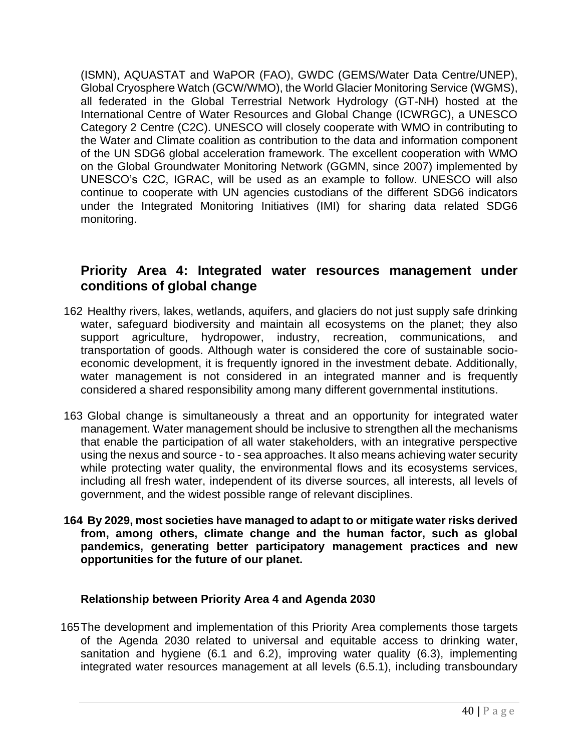(ISMN), AQUASTAT and WaPOR (FAO), GWDC (GEMS/Water Data Centre/UNEP), Global Cryosphere Watch (GCW/WMO), the World Glacier Monitoring Service (WGMS), all federated in the Global Terrestrial Network Hydrology (GT-NH) hosted at the International Centre of Water Resources and Global Change (ICWRGC), a UNESCO Category 2 Centre (C2C). UNESCO will closely cooperate with WMO in contributing to the Water and Climate coalition as contribution to the data and information component of the UN SDG6 global acceleration framework. The excellent cooperation with WMO on the Global Groundwater Monitoring Network (GGMN, since 2007) implemented by UNESCO's C2C, IGRAC, will be used as an example to follow. UNESCO will also continue to cooperate with UN agencies custodians of the different SDG6 indicators under the Integrated Monitoring Initiatives (IMI) for sharing data related SDG6 monitoring.

## **Priority Area 4: Integrated water resources management under conditions of global change**

- 162 Healthy rivers, lakes, wetlands, aquifers, and glaciers do not just supply safe drinking water, safeguard biodiversity and maintain all ecosystems on the planet; they also support agriculture, hydropower, industry, recreation, communications, and transportation of goods. Although water is considered the core of sustainable socioeconomic development, it is frequently ignored in the investment debate. Additionally, water management is not considered in an integrated manner and is frequently considered a shared responsibility among many different governmental institutions.
- 163 Global change is simultaneously a threat and an opportunity for integrated water management. Water management should be inclusive to strengthen all the mechanisms that enable the participation of all water stakeholders, with an integrative perspective using the nexus and source - to - sea approaches. It also means achieving water security while protecting water quality, the environmental flows and its ecosystems services, including all fresh water, independent of its diverse sources, all interests, all levels of government, and the widest possible range of relevant disciplines.
- **164 By 2029, most societies have managed to adapt to or mitigate water risks derived from, among others, climate change and the human factor, such as global pandemics, generating better participatory management practices and new opportunities for the future of our planet.**

#### **Relationship between Priority Area 4 and Agenda 2030**

165The development and implementation of this Priority Area complements those targets of the Agenda 2030 related to universal and equitable access to drinking water, sanitation and hygiene (6.1 and 6.2), improving water quality (6.3), implementing integrated water resources management at all levels (6.5.1), including transboundary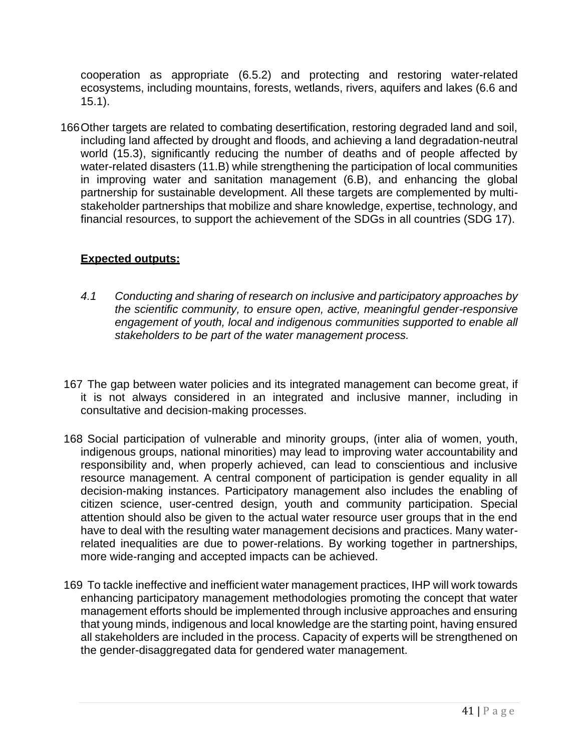cooperation as appropriate (6.5.2) and protecting and restoring water-related ecosystems, including mountains, forests, wetlands, rivers, aquifers and lakes (6.6 and 15.1).

166Other targets are related to combating desertification, restoring degraded land and soil, including land affected by drought and floods, and achieving a land degradation-neutral world (15.3), significantly reducing the number of deaths and of people affected by water-related disasters (11.B) while strengthening the participation of local communities in improving water and sanitation management (6.B), and enhancing the global partnership for sustainable development. All these targets are complemented by multistakeholder partnerships that mobilize and share knowledge, expertise, technology, and financial resources, to support the achievement of the SDGs in all countries (SDG 17).

#### **Expected outputs:**

- *4.1 Conducting and sharing of research on inclusive and participatory approaches by the scientific community, to ensure open, active, meaningful gender-responsive*  engagement of youth, local and indigenous communities supported to enable all *stakeholders to be part of the water management process.*
- 167 The gap between water policies and its integrated management can become great, if it is not always considered in an integrated and inclusive manner, including in consultative and decision-making processes.
- 168 Social participation of vulnerable and minority groups, (inter alia of women, youth, indigenous groups, national minorities) may lead to improving water accountability and responsibility and, when properly achieved, can lead to conscientious and inclusive resource management. A central component of participation is gender equality in all decision-making instances. Participatory management also includes the enabling of citizen science, user-centred design, youth and community participation. Special attention should also be given to the actual water resource user groups that in the end have to deal with the resulting water management decisions and practices. Many waterrelated inequalities are due to power-relations. By working together in partnerships, more wide-ranging and accepted impacts can be achieved.
- 169 To tackle ineffective and inefficient water management practices, IHP will work towards enhancing participatory management methodologies promoting the concept that water management efforts should be implemented through inclusive approaches and ensuring that young minds, indigenous and local knowledge are the starting point, having ensured all stakeholders are included in the process. Capacity of experts will be strengthened on the gender-disaggregated data for gendered water management.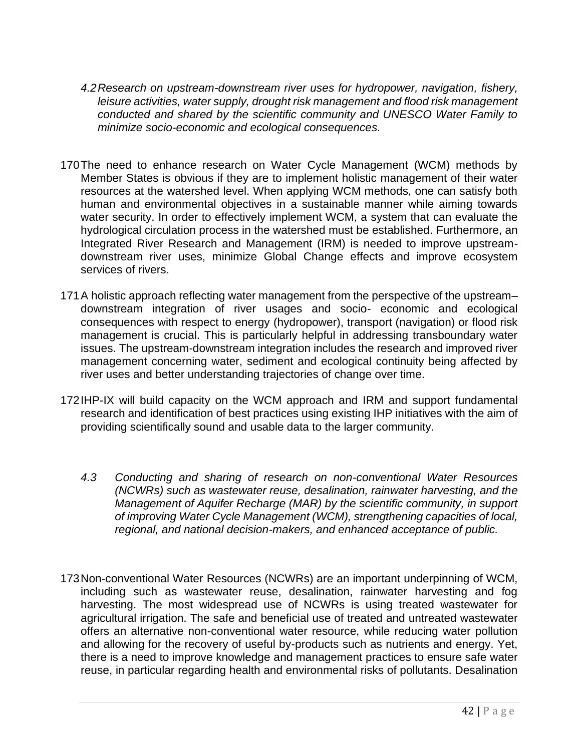- *4.2Research on upstream-downstream river uses for hydropower, navigation, fishery, leisure activities, water supply, drought risk management and flood risk management conducted and shared by the scientific community and UNESCO Water Family to minimize socio-economic and ecological consequences.*
- 170The need to enhance research on Water Cycle Management (WCM) methods by Member States is obvious if they are to implement holistic management of their water resources at the watershed level. When applying WCM methods, one can satisfy both human and environmental objectives in a sustainable manner while aiming towards water security. In order to effectively implement WCM, a system that can evaluate the hydrological circulation process in the watershed must be established. Furthermore, an Integrated River Research and Management (IRM) is needed to improve upstreamdownstream river uses, minimize Global Change effects and improve ecosystem services of rivers.
- 171A holistic approach reflecting water management from the perspective of the upstream– downstream integration of river usages and socio- economic and ecological consequences with respect to energy (hydropower), transport (navigation) or flood risk management is crucial. This is particularly helpful in addressing transboundary water issues. The upstream-downstream integration includes the research and improved river management concerning water, sediment and ecological continuity being affected by river uses and better understanding trajectories of change over time.
- 172IHP-IX will build capacity on the WCM approach and IRM and support fundamental research and identification of best practices using existing IHP initiatives with the aim of providing scientifically sound and usable data to the larger community.
	- *4.3 Conducting and sharing of research on non-conventional Water Resources (NCWRs) such as wastewater reuse, desalination, rainwater harvesting, and the Management of Aquifer Recharge (MAR) by the scientific community, in support of improving Water Cycle Management (WCM), strengthening capacities of local, regional, and national decision-makers, and enhanced acceptance of public.*
- 173Non-conventional Water Resources (NCWRs) are an important underpinning of WCM, including such as wastewater reuse, desalination, rainwater harvesting and fog harvesting. The most widespread use of NCWRs is using treated wastewater for agricultural irrigation. The safe and beneficial use of treated and untreated wastewater offers an alternative non-conventional water resource, while reducing water pollution and allowing for the recovery of useful by-products such as nutrients and energy. Yet, there is a need to improve knowledge and management practices to ensure safe water reuse, in particular regarding health and environmental risks of pollutants. Desalination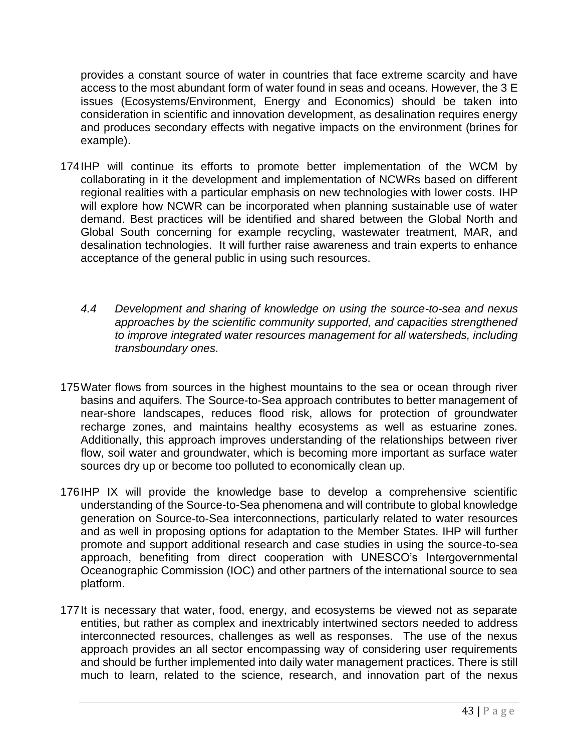provides a constant source of water in countries that face extreme scarcity and have access to the most abundant form of water found in seas and oceans. However, the 3 E issues (Ecosystems/Environment, Energy and Economics) should be taken into consideration in scientific and innovation development, as desalination requires energy and produces secondary effects with negative impacts on the environment (brines for example).

- 174IHP will continue its efforts to promote better implementation of the WCM by collaborating in it the development and implementation of NCWRs based on different regional realities with a particular emphasis on new technologies with lower costs. IHP will explore how NCWR can be incorporated when planning sustainable use of water demand. Best practices will be identified and shared between the Global North and Global South concerning for example recycling, wastewater treatment, MAR, and desalination technologies. It will further raise awareness and train experts to enhance acceptance of the general public in using such resources.
	- *4.4 Development and sharing of knowledge on using the source-to-sea and nexus approaches by the scientific community supported, and capacities strengthened to improve integrated water resources management for all watersheds, including transboundary ones.*
- 175Water flows from sources in the highest mountains to the sea or ocean through river basins and aquifers. The Source-to-Sea approach contributes to better management of near-shore landscapes, reduces flood risk, allows for protection of groundwater recharge zones, and maintains healthy ecosystems as well as estuarine zones. Additionally, this approach improves understanding of the relationships between river flow, soil water and groundwater, which is becoming more important as surface water sources dry up or become too polluted to economically clean up.
- 176IHP IX will provide the knowledge base to develop a comprehensive scientific understanding of the Source-to-Sea phenomena and will contribute to global knowledge generation on Source-to-Sea interconnections, particularly related to water resources and as well in proposing options for adaptation to the Member States. IHP will further promote and support additional research and case studies in using the source-to-sea approach, benefiting from direct cooperation with UNESCO's Intergovernmental Oceanographic Commission (IOC) and other partners of the international source to sea platform.
- 177It is necessary that water, food, energy, and ecosystems be viewed not as separate entities, but rather as complex and inextricably intertwined sectors needed to address interconnected resources, challenges as well as responses. The use of the nexus approach provides an all sector encompassing way of considering user requirements and should be further implemented into daily water management practices. There is still much to learn, related to the science, research, and innovation part of the nexus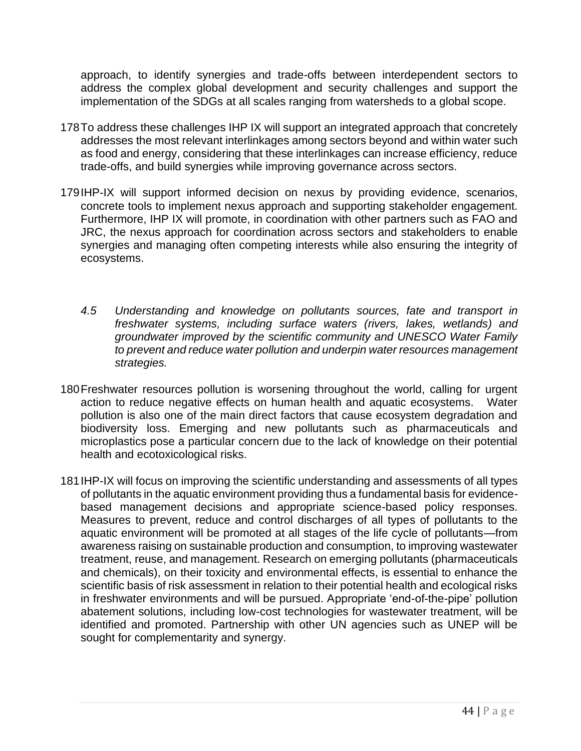approach, to identify synergies and trade-offs between interdependent sectors to address the complex global development and security challenges and support the implementation of the SDGs at all scales ranging from watersheds to a global scope.

- 178To address these challenges IHP IX will support an integrated approach that concretely addresses the most relevant interlinkages among sectors beyond and within water such as food and energy, considering that these interlinkages can increase efficiency, reduce trade-offs, and build synergies while improving governance across sectors.
- 179IHP-IX will support informed decision on nexus by providing evidence, scenarios, concrete tools to implement nexus approach and supporting stakeholder engagement. Furthermore, IHP IX will promote, in coordination with other partners such as FAO and JRC, the nexus approach for coordination across sectors and stakeholders to enable synergies and managing often competing interests while also ensuring the integrity of ecosystems.
	- *4.5 Understanding and knowledge on pollutants sources, fate and transport in freshwater systems, including surface waters (rivers, lakes, wetlands) and groundwater improved by the scientific community and UNESCO Water Family to prevent and reduce water pollution and underpin water resources management strategies.*
- 180Freshwater resources pollution is worsening throughout the world, calling for urgent action to reduce negative effects on human health and aquatic ecosystems. Water pollution is also one of the main direct factors that cause ecosystem degradation and biodiversity loss. Emerging and new pollutants such as pharmaceuticals and microplastics pose a particular concern due to the lack of knowledge on their potential health and ecotoxicological risks.
- 181IHP-IX will focus on improving the scientific understanding and assessments of all types of pollutants in the aquatic environment providing thus a fundamental basis for evidencebased management decisions and appropriate science-based policy responses. Measures to prevent, reduce and control discharges of all types of pollutants to the aquatic environment will be promoted at all stages of the life cycle of pollutants—from awareness raising on sustainable production and consumption, to improving wastewater treatment, reuse, and management. Research on emerging pollutants (pharmaceuticals and chemicals), on their toxicity and environmental effects, is essential to enhance the scientific basis of risk assessment in relation to their potential health and ecological risks in freshwater environments and will be pursued. Appropriate 'end-of-the-pipe' pollution abatement solutions, including low-cost technologies for wastewater treatment, will be identified and promoted. Partnership with other UN agencies such as UNEP will be sought for complementarity and synergy.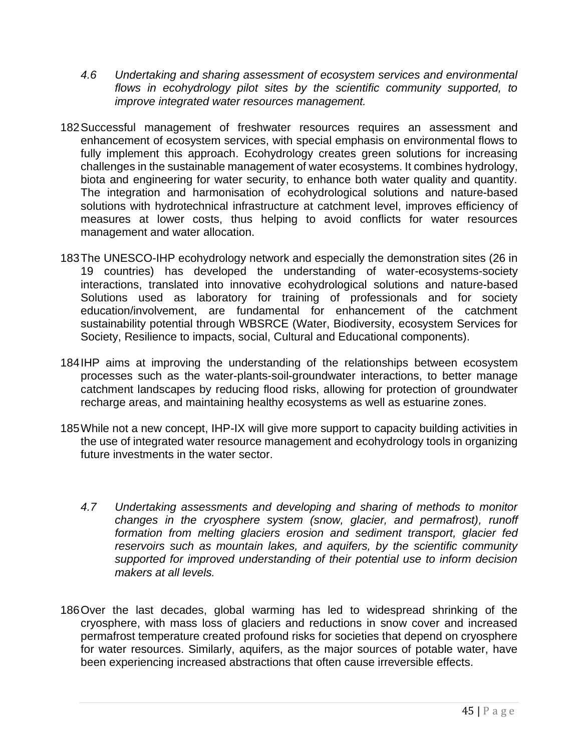- *4.6 Undertaking and sharing assessment of ecosystem services and environmental flows in ecohydrology pilot sites by the scientific community supported, to improve integrated water resources management.*
- 182Successful management of freshwater resources requires an assessment and enhancement of ecosystem services, with special emphasis on environmental flows to fully implement this approach. Ecohydrology creates green solutions for increasing challenges in the sustainable management of water ecosystems. It combines hydrology, biota and engineering for water security, to enhance both water quality and quantity. The integration and harmonisation of ecohydrological solutions and nature-based solutions with hydrotechnical infrastructure at catchment level, improves efficiency of measures at lower costs, thus helping to avoid conflicts for water resources management and water allocation.
- 183The UNESCO-IHP ecohydrology network and especially the demonstration sites (26 in 19 countries) has developed the understanding of water-ecosystems-society interactions, translated into innovative ecohydrological solutions and nature-based Solutions used as laboratory for training of professionals and for society education/involvement, are fundamental for enhancement of the catchment sustainability potential through WBSRCE (Water, Biodiversity, ecosystem Services for Society, Resilience to impacts, social, Cultural and Educational components).
- 184IHP aims at improving the understanding of the relationships between ecosystem processes such as the water-plants-soil-groundwater interactions, to better manage catchment landscapes by reducing flood risks, allowing for protection of groundwater recharge areas, and maintaining healthy ecosystems as well as estuarine zones.
- 185While not a new concept, IHP-IX will give more support to capacity building activities in the use of integrated water resource management and ecohydrology tools in organizing future investments in the water sector.
	- *4.7 Undertaking assessments and developing and sharing of methods to monitor changes in the cryosphere system (snow, glacier, and permafrost), runoff formation from melting glaciers erosion and sediment transport, glacier fed reservoirs such as mountain lakes, and aquifers, by the scientific community supported for improved understanding of their potential use to inform decision makers at all levels.*
- 186Over the last decades, global warming has led to widespread shrinking of the cryosphere, with mass loss of glaciers and reductions in snow cover and increased permafrost temperature created profound risks for societies that depend on cryosphere for water resources. Similarly, aquifers, as the major sources of potable water, have been experiencing increased abstractions that often cause irreversible effects.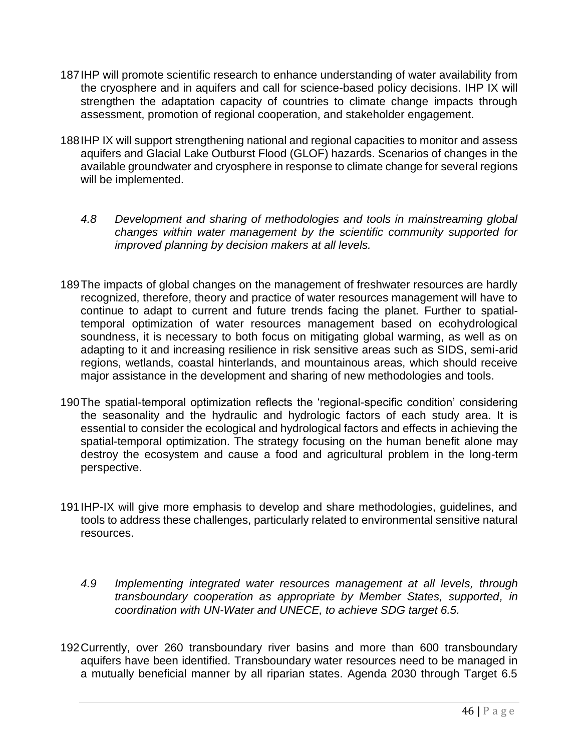- 187IHP will promote scientific research to enhance understanding of water availability from the cryosphere and in aquifers and call for science-based policy decisions. IHP IX will strengthen the adaptation capacity of countries to climate change impacts through assessment, promotion of regional cooperation, and stakeholder engagement.
- 188IHP IX will support strengthening national and regional capacities to monitor and assess aquifers and Glacial Lake Outburst Flood (GLOF) hazards. Scenarios of changes in the available groundwater and cryosphere in response to climate change for several regions will be implemented.
	- *4.8 Development and sharing of methodologies and tools in mainstreaming global changes within water management by the scientific community supported for improved planning by decision makers at all levels.*
- 189The impacts of global changes on the management of freshwater resources are hardly recognized, therefore, theory and practice of water resources management will have to continue to adapt to current and future trends facing the planet. Further to spatialtemporal optimization of water resources management based on ecohydrological soundness, it is necessary to both focus on mitigating global warming, as well as on adapting to it and increasing resilience in risk sensitive areas such as SIDS, semi-arid regions, wetlands, coastal hinterlands, and mountainous areas, which should receive major assistance in the development and sharing of new methodologies and tools.
- 190The spatial-temporal optimization reflects the 'regional-specific condition' considering the seasonality and the hydraulic and hydrologic factors of each study area. It is essential to consider the ecological and hydrological factors and effects in achieving the spatial-temporal optimization. The strategy focusing on the human benefit alone may destroy the ecosystem and cause a food and agricultural problem in the long-term perspective.
- 191IHP-IX will give more emphasis to develop and share methodologies, guidelines, and tools to address these challenges, particularly related to environmental sensitive natural resources.
	- *4.9 Implementing integrated water resources management at all levels, through transboundary cooperation as appropriate by Member States, supported, in coordination with UN-Water and UNECE, to achieve SDG target 6.5.*
- 192Currently, over 260 transboundary river basins and more than 600 transboundary aquifers have been identified. Transboundary water resources need to be managed in a mutually beneficial manner by all riparian states. Agenda 2030 through Target 6.5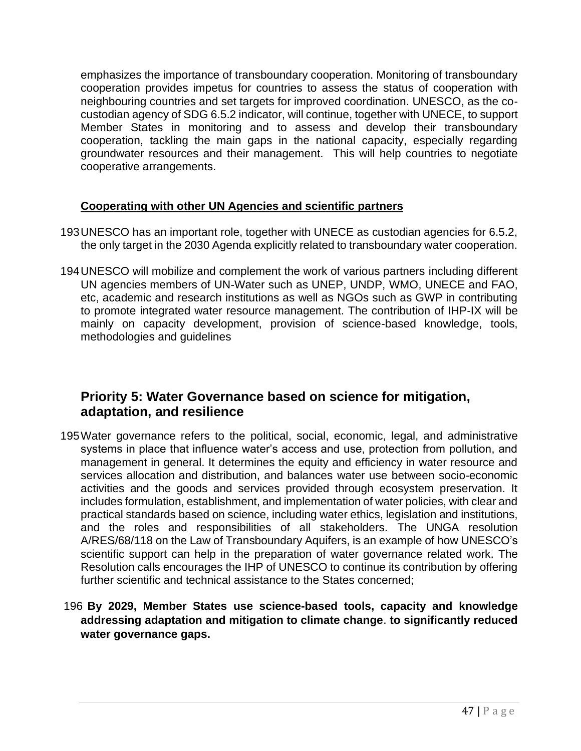emphasizes the importance of transboundary cooperation. Monitoring of transboundary cooperation provides impetus for countries to assess the status of cooperation with neighbouring countries and set targets for improved coordination. UNESCO, as the cocustodian agency of SDG 6.5.2 indicator, will continue, together with UNECE, to support Member States in monitoring and to assess and develop their transboundary cooperation, tackling the main gaps in the national capacity, especially regarding groundwater resources and their management. This will help countries to negotiate cooperative arrangements.

#### **Cooperating with other UN Agencies and scientific partners**

- 193UNESCO has an important role, together with UNECE as custodian agencies for 6.5.2, the only target in the 2030 Agenda explicitly related to transboundary water cooperation.
- 194UNESCO will mobilize and complement the work of various partners including different UN agencies members of UN-Water such as UNEP, UNDP, WMO, UNECE and FAO, etc, academic and research institutions as well as NGOs such as GWP in contributing to promote integrated water resource management. The contribution of IHP-IX will be mainly on capacity development, provision of science-based knowledge, tools, methodologies and guidelines

## **Priority 5: Water Governance based on science for mitigation, adaptation, and resilience**

195Water governance refers to the political, social, economic, legal, and administrative systems in place that influence water's access and use, protection from pollution, and management in general. It determines the equity and efficiency in water resource and services allocation and distribution, and balances water use between socio-economic activities and the goods and services provided through ecosystem preservation. It includes formulation, establishment, and implementation of water policies, with clear and practical standards based on science, including water ethics, legislation and institutions, and the roles and responsibilities of all stakeholders. The UNGA resolution A/RES/68/118 on the Law of Transboundary Aquifers, is an example of how UNESCO's scientific support can help in the preparation of water governance related work. The Resolution calls encourages the IHP of UNESCO to continue its contribution by offering further scientific and technical assistance to the States concerned;

#### 196 **By 2029, Member States use science-based tools, capacity and knowledge addressing adaptation and mitigation to climate change**. **to significantly reduced water governance gaps.**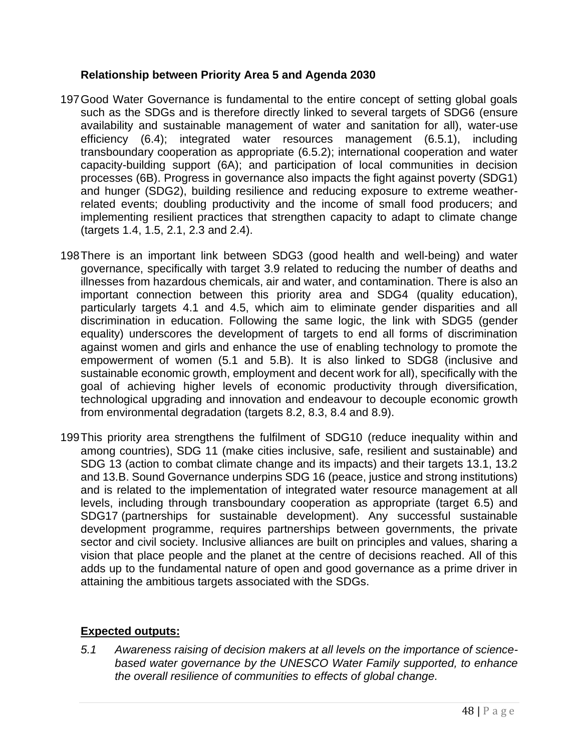#### **Relationship between Priority Area 5 and Agenda 2030**

- 197Good Water Governance is fundamental to the entire concept of setting global goals such as the SDGs and is therefore directly linked to several targets of SDG6 (ensure availability and sustainable management of water and sanitation for all), water-use efficiency (6.4); integrated water resources management (6.5.1), including transboundary cooperation as appropriate (6.5.2); international cooperation and water capacity-building support (6A); and participation of local communities in decision processes (6B). Progress in governance also impacts the fight against poverty (SDG1) and hunger (SDG2), building resilience and reducing exposure to extreme weatherrelated events; doubling productivity and the income of small food producers; and implementing resilient practices that strengthen capacity to adapt to climate change (targets 1.4, 1.5, 2.1, 2.3 and 2.4).
- 198There is an important link between SDG3 (good health and well-being) and water governance, specifically with target 3.9 related to reducing the number of deaths and illnesses from hazardous chemicals, air and water, and contamination. There is also an important connection between this priority area and SDG4 (quality education), particularly targets 4.1 and 4.5, which aim to eliminate gender disparities and all discrimination in education. Following the same logic, the link with SDG5 (gender equality) underscores the development of targets to end all forms of discrimination against women and girls and enhance the use of enabling technology to promote the empowerment of women (5.1 and 5.B). It is also linked to SDG8 (inclusive and sustainable economic growth, employment and decent work for all), specifically with the goal of achieving higher levels of economic productivity through diversification, technological upgrading and innovation and endeavour to decouple economic growth from environmental degradation (targets 8.2, 8.3, 8.4 and 8.9).
- 199This priority area strengthens the fulfilment of SDG10 (reduce inequality within and among countries), SDG 11 (make cities inclusive, safe, resilient and sustainable) and SDG 13 (action to combat climate change and its impacts) and their targets 13.1, 13.2 and 13.B. Sound Governance underpins SDG 16 (peace, justice and strong institutions) and is related to the implementation of integrated water resource management at all levels, including through transboundary cooperation as appropriate (target 6.5) and SDG17 (partnerships for sustainable development). Any successful sustainable development programme, requires partnerships between governments, the private sector and civil society. Inclusive alliances are built on principles and values, sharing a vision that place people and the planet at the centre of decisions reached. All of this adds up to the fundamental nature of open and good governance as a prime driver in attaining the ambitious targets associated with the SDGs.

#### **Expected outputs:**

*5.1 Awareness raising of decision makers at all levels on the importance of sciencebased water governance by the UNESCO Water Family supported, to enhance the overall resilience of communities to effects of global change.*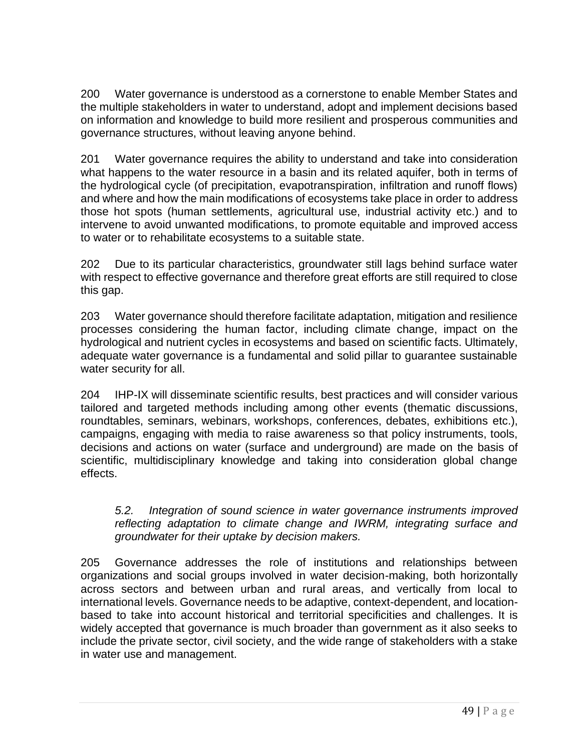200 Water governance is understood as a cornerstone to enable Member States and the multiple stakeholders in water to understand, adopt and implement decisions based on information and knowledge to build more resilient and prosperous communities and governance structures, without leaving anyone behind.

201 Water governance requires the ability to understand and take into consideration what happens to the water resource in a basin and its related aquifer, both in terms of the hydrological cycle (of precipitation, evapotranspiration, infiltration and runoff flows) and where and how the main modifications of ecosystems take place in order to address those hot spots (human settlements, agricultural use, industrial activity etc.) and to intervene to avoid unwanted modifications, to promote equitable and improved access to water or to rehabilitate ecosystems to a suitable state.

202 Due to its particular characteristics, groundwater still lags behind surface water with respect to effective governance and therefore great efforts are still required to close this gap.

203 Water governance should therefore facilitate adaptation, mitigation and resilience processes considering the human factor, including climate change, impact on the hydrological and nutrient cycles in ecosystems and based on scientific facts. Ultimately, adequate water governance is a fundamental and solid pillar to guarantee sustainable water security for all.

204 IHP-IX will disseminate scientific results, best practices and will consider various tailored and targeted methods including among other events (thematic discussions, roundtables, seminars, webinars, workshops, conferences, debates, exhibitions etc.), campaigns, engaging with media to raise awareness so that policy instruments, tools, decisions and actions on water (surface and underground) are made on the basis of scientific, multidisciplinary knowledge and taking into consideration global change effects.

#### *5.2. Integration of sound science in water governance instruments improved reflecting adaptation to climate change and IWRM, integrating surface and groundwater for their uptake by decision makers.*

205 Governance addresses the role of institutions and relationships between organizations and social groups involved in water decision-making, both horizontally across sectors and between urban and rural areas, and vertically from local to international levels. Governance needs to be adaptive, context-dependent, and locationbased to take into account historical and territorial specificities and challenges. It is widely accepted that governance is much broader than government as it also seeks to include the private sector, civil society, and the wide range of stakeholders with a stake in water use and management.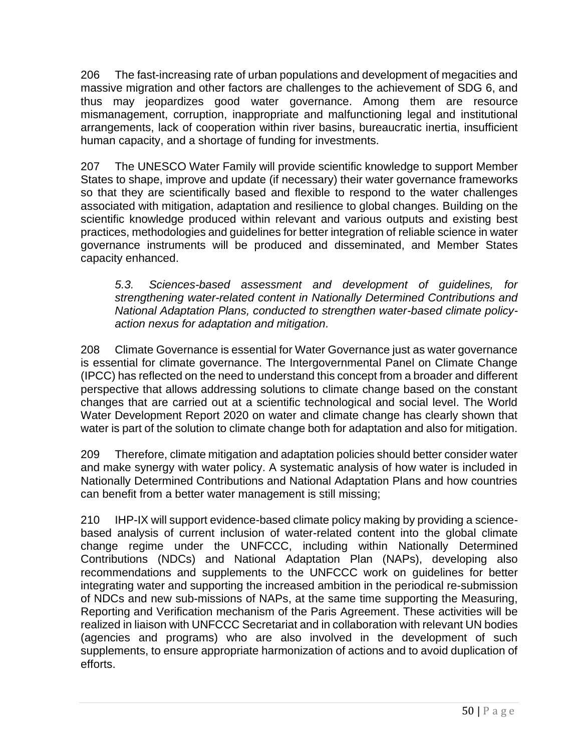206 The fast-increasing rate of urban populations and development of megacities and massive migration and other factors are challenges to the achievement of SDG 6, and thus may jeopardizes good water governance. Among them are resource mismanagement, corruption, inappropriate and malfunctioning legal and institutional arrangements, lack of cooperation within river basins, bureaucratic inertia, insufficient human capacity, and a shortage of funding for investments.

207 The UNESCO Water Family will provide scientific knowledge to support Member States to shape, improve and update (if necessary) their water governance frameworks so that they are scientifically based and flexible to respond to the water challenges associated with mitigation, adaptation and resilience to global changes. Building on the scientific knowledge produced within relevant and various outputs and existing best practices, methodologies and guidelines for better integration of reliable science in water governance instruments will be produced and disseminated, and Member States capacity enhanced.

*5.3. Sciences-based assessment and development of guidelines, for strengthening water-related content in Nationally Determined Contributions and National Adaptation Plans, conducted to strengthen water-based climate policyaction nexus for adaptation and mitigation.*

208 Climate Governance is essential for Water Governance just as water governance is essential for climate governance. The Intergovernmental Panel on Climate Change (IPCC) has reflected on the need to understand this concept from a broader and different perspective that allows addressing solutions to climate change based on the constant changes that are carried out at a scientific technological and social level. The World Water Development Report 2020 on water and climate change has clearly shown that water is part of the solution to climate change both for adaptation and also for mitigation.

209 Therefore, climate mitigation and adaptation policies should better consider water and make synergy with water policy. A systematic analysis of how water is included in Nationally Determined Contributions and National Adaptation Plans and how countries can benefit from a better water management is still missing;

210 IHP-IX will support evidence-based climate policy making by providing a sciencebased analysis of current inclusion of water-related content into the global climate change regime under the UNFCCC, including within Nationally Determined Contributions (NDCs) and National Adaptation Plan (NAPs), developing also recommendations and supplements to the UNFCCC work on guidelines for better integrating water and supporting the increased ambition in the periodical re-submission of NDCs and new sub-missions of NAPs, at the same time supporting the Measuring, Reporting and Verification mechanism of the Paris Agreement. These activities will be realized in liaison with UNFCCC Secretariat and in collaboration with relevant UN bodies (agencies and programs) who are also involved in the development of such supplements, to ensure appropriate harmonization of actions and to avoid duplication of efforts.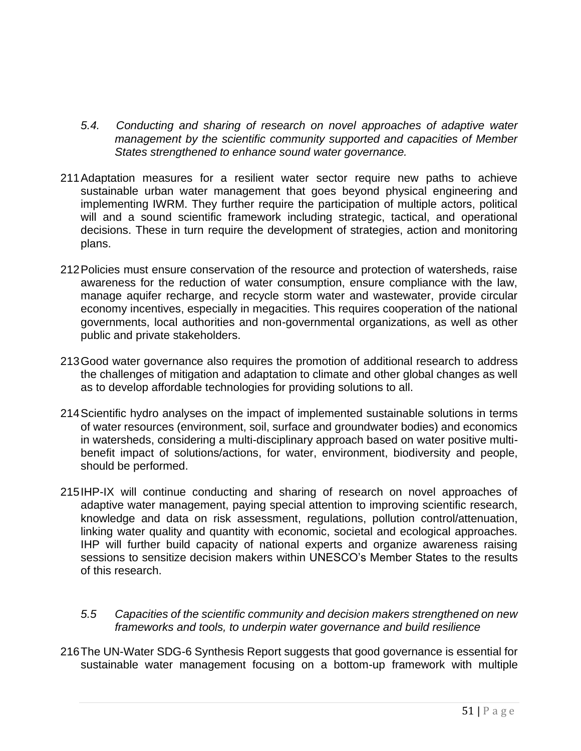- *5.4. Conducting and sharing of research on novel approaches of adaptive water management by the scientific community supported and capacities of Member States strengthened to enhance sound water governance.*
- 211Adaptation measures for a resilient water sector require new paths to achieve sustainable urban water management that goes beyond physical engineering and implementing IWRM. They further require the participation of multiple actors, political will and a sound scientific framework including strategic, tactical, and operational decisions. These in turn require the development of strategies, action and monitoring plans.
- 212Policies must ensure conservation of the resource and protection of watersheds, raise awareness for the reduction of water consumption, ensure compliance with the law, manage aquifer recharge, and recycle storm water and wastewater, provide circular economy incentives, especially in megacities. This requires cooperation of the national governments, local authorities and non-governmental organizations, as well as other public and private stakeholders.
- 213Good water governance also requires the promotion of additional research to address the challenges of mitigation and adaptation to climate and other global changes as well as to develop affordable technologies for providing solutions to all.
- 214Scientific hydro analyses on the impact of implemented sustainable solutions in terms of water resources (environment, soil, surface and groundwater bodies) and economics in watersheds, considering a multi-disciplinary approach based on water positive multibenefit impact of solutions/actions, for water, environment, biodiversity and people, should be performed.
- 215IHP-IX will continue conducting and sharing of research on novel approaches of adaptive water management, paying special attention to improving scientific research, knowledge and data on risk assessment, regulations, pollution control/attenuation, linking water quality and quantity with economic, societal and ecological approaches. IHP will further build capacity of national experts and organize awareness raising sessions to sensitize decision makers within UNESCO's Member States to the results of this research.
	- *5.5 Capacities of the scientific community and decision makers strengthened on new frameworks and tools, to underpin water governance and build resilience*
- 216The UN-Water SDG-6 Synthesis Report suggests that good governance is essential for sustainable water management focusing on a bottom-up framework with multiple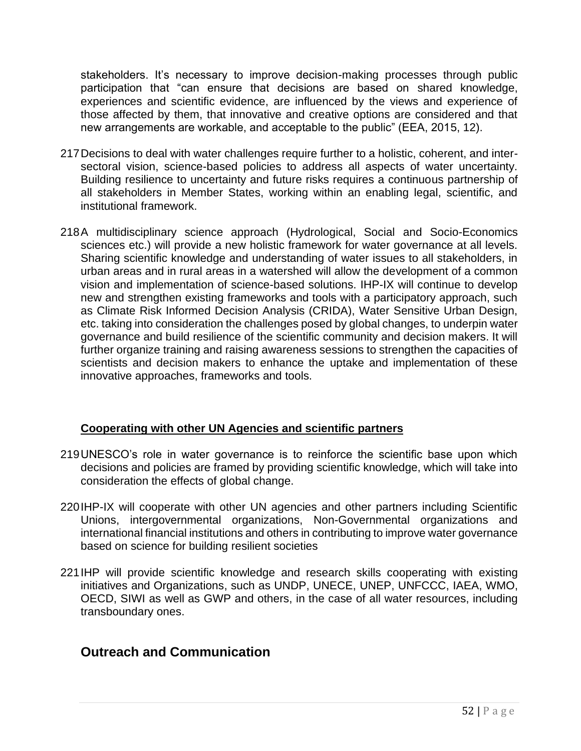stakeholders. It's necessary to improve decision-making processes through public participation that "can ensure that decisions are based on shared knowledge, experiences and scientific evidence, are influenced by the views and experience of those affected by them, that innovative and creative options are considered and that new arrangements are workable, and acceptable to the public" (EEA, 2015, 12).

- 217Decisions to deal with water challenges require further to a holistic, coherent, and intersectoral vision, science-based policies to address all aspects of water uncertainty. Building resilience to uncertainty and future risks requires a continuous partnership of all stakeholders in Member States, working within an enabling legal, scientific, and institutional framework.
- 218A multidisciplinary science approach (Hydrological, Social and Socio-Economics sciences etc.) will provide a new holistic framework for water governance at all levels. Sharing scientific knowledge and understanding of water issues to all stakeholders, in urban areas and in rural areas in a watershed will allow the development of a common vision and implementation of science-based solutions. IHP-IX will continue to develop new and strengthen existing frameworks and tools with a participatory approach, such as Climate Risk Informed Decision Analysis (CRIDA), Water Sensitive Urban Design, etc. taking into consideration the challenges posed by global changes, to underpin water governance and build resilience of the scientific community and decision makers. It will further organize training and raising awareness sessions to strengthen the capacities of scientists and decision makers to enhance the uptake and implementation of these innovative approaches, frameworks and tools.

#### **Cooperating with other UN Agencies and scientific partners**

- 219UNESCO's role in water governance is to reinforce the scientific base upon which decisions and policies are framed by providing scientific knowledge, which will take into consideration the effects of global change.
- 220IHP-IX will cooperate with other UN agencies and other partners including Scientific Unions, intergovernmental organizations, Non-Governmental organizations and international financial institutions and others in contributing to improve water governance based on science for building resilient societies
- 221IHP will provide scientific knowledge and research skills cooperating with existing initiatives and Organizations, such as UNDP, UNECE, UNEP, UNFCCC, IAEA, WMO, OECD, SIWI as well as GWP and others, in the case of all water resources, including transboundary ones.

## **Outreach and Communication**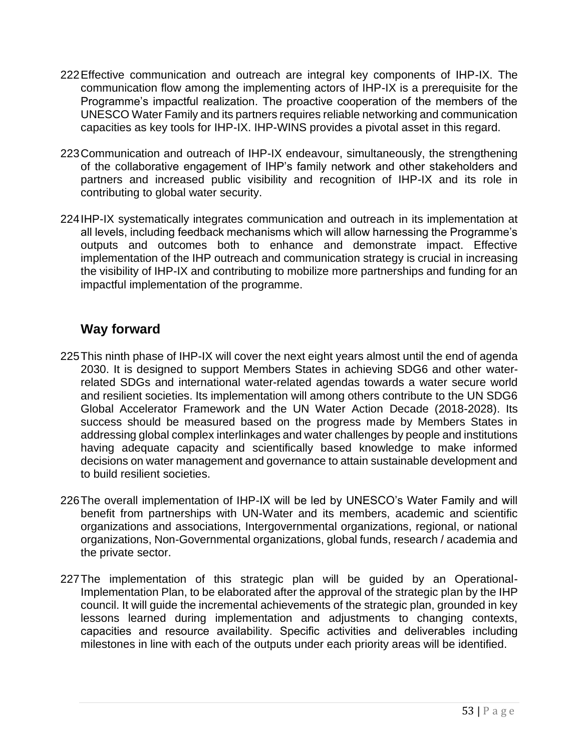- 222Effective communication and outreach are integral key components of IHP-IX. The communication flow among the implementing actors of IHP-IX is a prerequisite for the Programme's impactful realization. The proactive cooperation of the members of the UNESCO Water Family and its partners requires reliable networking and communication capacities as key tools for IHP-IX. IHP-WINS provides a pivotal asset in this regard.
- 223Communication and outreach of IHP-IX endeavour, simultaneously, the strengthening of the collaborative engagement of IHP's family network and other stakeholders and partners and increased public visibility and recognition of IHP-IX and its role in contributing to global water security.
- 224IHP-IX systematically integrates communication and outreach in its implementation at all levels, including feedback mechanisms which will allow harnessing the Programme's outputs and outcomes both to enhance and demonstrate impact. Effective implementation of the IHP outreach and communication strategy is crucial in increasing the visibility of IHP-IX and contributing to mobilize more partnerships and funding for an impactful implementation of the programme.

## **Way forward**

- 225This ninth phase of IHP-IX will cover the next eight years almost until the end of agenda 2030. It is designed to support Members States in achieving SDG6 and other waterrelated SDGs and international water-related agendas towards a water secure world and resilient societies. Its implementation will among others contribute to the UN SDG6 Global Accelerator Framework and the UN Water Action Decade (2018-2028). Its success should be measured based on the progress made by Members States in addressing global complex interlinkages and water challenges by people and institutions having adequate capacity and scientifically based knowledge to make informed decisions on water management and governance to attain sustainable development and to build resilient societies.
- 226The overall implementation of IHP-IX will be led by UNESCO's Water Family and will benefit from partnerships with UN-Water and its members, academic and scientific organizations and associations, Intergovernmental organizations, regional, or national organizations, Non-Governmental organizations, global funds, research / academia and the private sector.
- 227The implementation of this strategic plan will be guided by an Operational-Implementation Plan, to be elaborated after the approval of the strategic plan by the IHP council. It will guide the incremental achievements of the strategic plan, grounded in key lessons learned during implementation and adjustments to changing contexts, capacities and resource availability. Specific activities and deliverables including milestones in line with each of the outputs under each priority areas will be identified.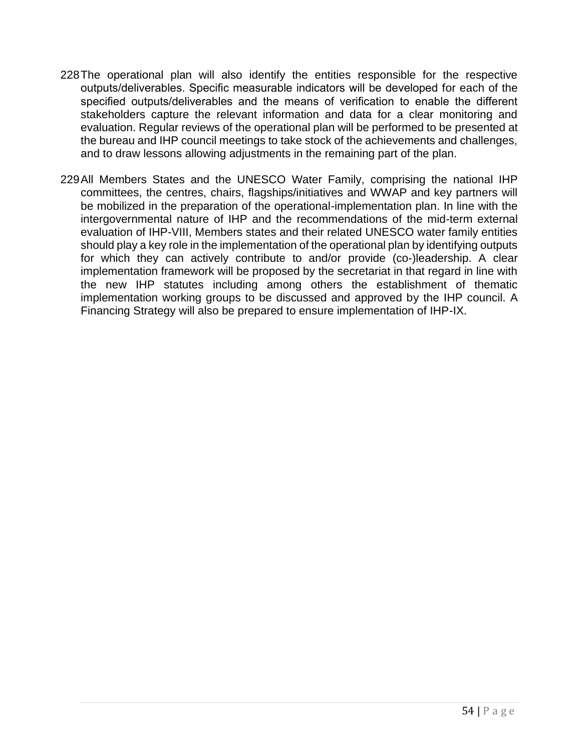- 228The operational plan will also identify the entities responsible for the respective outputs/deliverables. Specific measurable indicators will be developed for each of the specified outputs/deliverables and the means of verification to enable the different stakeholders capture the relevant information and data for a clear monitoring and evaluation. Regular reviews of the operational plan will be performed to be presented at the bureau and IHP council meetings to take stock of the achievements and challenges, and to draw lessons allowing adjustments in the remaining part of the plan.
- 229All Members States and the UNESCO Water Family, comprising the national IHP committees, the centres, chairs, flagships/initiatives and WWAP and key partners will be mobilized in the preparation of the operational-implementation plan. In line with the intergovernmental nature of IHP and the recommendations of the mid-term external evaluation of IHP-VIII, Members states and their related UNESCO water family entities should play a key role in the implementation of the operational plan by identifying outputs for which they can actively contribute to and/or provide (co-)leadership. A clear implementation framework will be proposed by the secretariat in that regard in line with the new IHP statutes including among others the establishment of thematic implementation working groups to be discussed and approved by the IHP council. A Financing Strategy will also be prepared to ensure implementation of IHP-IX.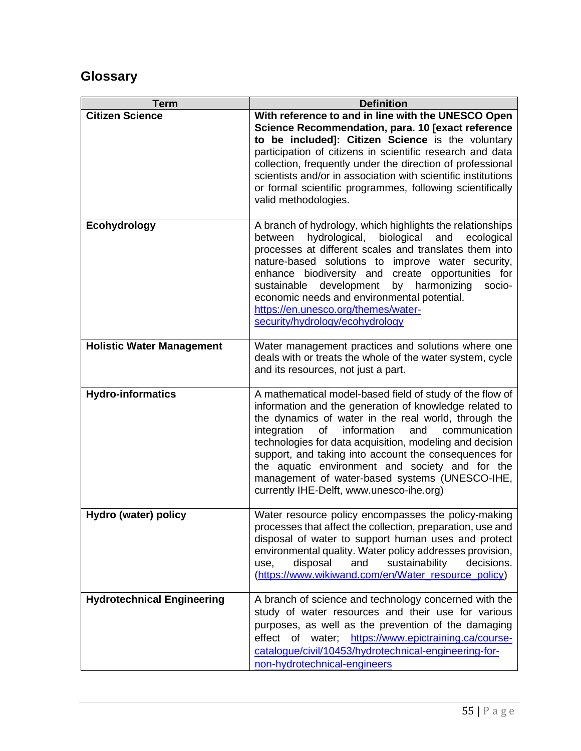# **Glossary**

| Term                              | <b>Definition</b>                                                                                                                                                                                                                                                                                                                                                                                                                                                                                            |  |  |  |  |  |  |
|-----------------------------------|--------------------------------------------------------------------------------------------------------------------------------------------------------------------------------------------------------------------------------------------------------------------------------------------------------------------------------------------------------------------------------------------------------------------------------------------------------------------------------------------------------------|--|--|--|--|--|--|
| <b>Citizen Science</b>            | With reference to and in line with the UNESCO Open<br>Science Recommendation, para. 10 [exact reference<br>to be included]: Citizen Science is the voluntary<br>participation of citizens in scientific research and data<br>collection, frequently under the direction of professional<br>scientists and/or in association with scientific institutions<br>or formal scientific programmes, following scientifically<br>valid methodologies.                                                                |  |  |  |  |  |  |
| Ecohydrology                      | A branch of hydrology, which highlights the relationships<br>biological<br>hydrological,<br>ecological<br>between<br>and<br>processes at different scales and translates them into<br>nature-based solutions to improve water security,<br>enhance biodiversity and create opportunities for<br>development<br>by harmonizing<br>sustainable<br>socio-<br>economic needs and environmental potential.<br>https://en.unesco.org/themes/water-<br>security/hydrology/ecohydrology                              |  |  |  |  |  |  |
| <b>Holistic Water Management</b>  | Water management practices and solutions where one<br>deals with or treats the whole of the water system, cycle<br>and its resources, not just a part.                                                                                                                                                                                                                                                                                                                                                       |  |  |  |  |  |  |
| <b>Hydro-informatics</b>          | A mathematical model-based field of study of the flow of<br>information and the generation of knowledge related to<br>the dynamics of water in the real world, through the<br>integration<br>information<br>of<br>and<br>communication<br>technologies for data acquisition, modeling and decision<br>support, and taking into account the consequences for<br>the aquatic environment and society and for the<br>management of water-based systems (UNESCO-IHE,<br>currently IHE-Delft, www.unesco-ihe.org) |  |  |  |  |  |  |
| Hydro (water) policy              | Water resource policy encompasses the policy-making<br>processes that affect the collection, preparation, use and<br>disposal of water to support human uses and protect<br>environmental quality. Water policy addresses provision,<br>disposal<br>and<br>sustainability<br>decisions.<br>use,<br>(https://www.wikiwand.com/en/Water resource policy)                                                                                                                                                       |  |  |  |  |  |  |
| <b>Hydrotechnical Engineering</b> | A branch of science and technology concerned with the<br>study of water resources and their use for various<br>purposes, as well as the prevention of the damaging<br>effect of water:<br>https://www.epictraining.ca/course-<br>catalogue/civil/10453/hydrotechnical-engineering-for-<br>non-hydrotechnical-engineers                                                                                                                                                                                       |  |  |  |  |  |  |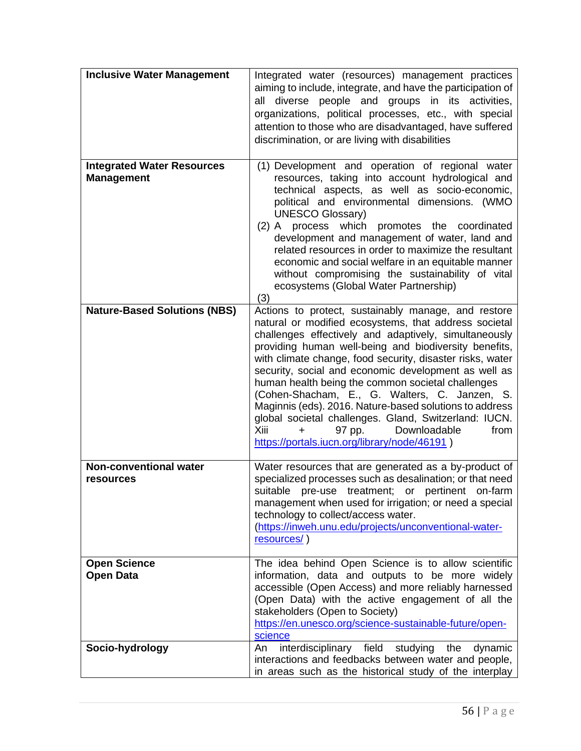| <b>Inclusive Water Management</b>                      | Integrated water (resources) management practices<br>aiming to include, integrate, and have the participation of<br>all diverse people and groups in its activities,<br>organizations, political processes, etc., with special<br>attention to those who are disadvantaged, have suffered<br>discrimination, or are living with disabilities                                                                                                                                                                                                                                                                                                                                   |
|--------------------------------------------------------|--------------------------------------------------------------------------------------------------------------------------------------------------------------------------------------------------------------------------------------------------------------------------------------------------------------------------------------------------------------------------------------------------------------------------------------------------------------------------------------------------------------------------------------------------------------------------------------------------------------------------------------------------------------------------------|
| <b>Integrated Water Resources</b><br><b>Management</b> | (1) Development and operation of regional water<br>resources, taking into account hydrological and<br>technical aspects, as well as socio-economic,<br>political and environmental dimensions. (WMO<br><b>UNESCO Glossary)</b><br>(2) A process which promotes the coordinated<br>development and management of water, land and<br>related resources in order to maximize the resultant<br>economic and social welfare in an equitable manner<br>without compromising the sustainability of vital<br>ecosystems (Global Water Partnership)<br>(3)                                                                                                                              |
| <b>Nature-Based Solutions (NBS)</b>                    | Actions to protect, sustainably manage, and restore<br>natural or modified ecosystems, that address societal<br>challenges effectively and adaptively, simultaneously<br>providing human well-being and biodiversity benefits,<br>with climate change, food security, disaster risks, water<br>security, social and economic development as well as<br>human health being the common societal challenges<br>(Cohen-Shacham, E., G. Walters, C. Janzen, S.<br>Maginnis (eds). 2016. Nature-based solutions to address<br>global societal challenges. Gland, Switzerland: IUCN.<br>Xiii<br>Downloadable<br>from<br>97 pp.<br>$+$<br>https://portals.iucn.org/library/node/46191) |
| Non-conventional water<br>resources                    | Water resources that are generated as a by-product of<br>specialized processes such as desalination; or that need<br>suitable pre-use treatment; or pertinent on-farm<br>management when used for irrigation; or need a special<br>technology to collect/access water.<br>(https://inweh.unu.edu/projects/unconventional-water-<br>resources/)                                                                                                                                                                                                                                                                                                                                 |
| <b>Open Science</b><br><b>Open Data</b>                | The idea behind Open Science is to allow scientific<br>information, data and outputs to be more widely<br>accessible (Open Access) and more reliably harnessed<br>(Open Data) with the active engagement of all the<br>stakeholders (Open to Society)<br>https://en.unesco.org/science-sustainable-future/open-<br>science                                                                                                                                                                                                                                                                                                                                                     |
| Socio-hydrology                                        | interdisciplinary field<br>studying<br>the<br>dynamic<br>An<br>interactions and feedbacks between water and people,<br>in areas such as the historical study of the interplay                                                                                                                                                                                                                                                                                                                                                                                                                                                                                                  |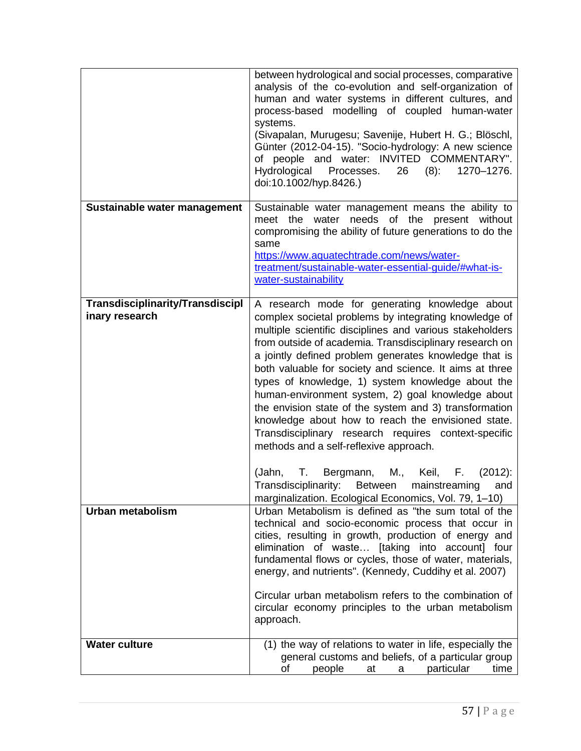|                                                    | between hydrological and social processes, comparative<br>analysis of the co-evolution and self-organization of<br>human and water systems in different cultures, and<br>process-based modelling of coupled human-water<br>systems.<br>(Sivapalan, Murugesu; Savenije, Hubert H. G.; Blöschl,<br>Günter (2012-04-15). "Socio-hydrology: A new science<br>of people and water: INVITED COMMENTARY".<br>Hydrological<br>Processes.<br>$(8)$ :<br>1270-1276.<br>26<br>doi:10.1002/hyp.8426.)                                                                                                                                                                                                                                                                                                                         |  |  |  |  |  |  |  |
|----------------------------------------------------|-------------------------------------------------------------------------------------------------------------------------------------------------------------------------------------------------------------------------------------------------------------------------------------------------------------------------------------------------------------------------------------------------------------------------------------------------------------------------------------------------------------------------------------------------------------------------------------------------------------------------------------------------------------------------------------------------------------------------------------------------------------------------------------------------------------------|--|--|--|--|--|--|--|
| Sustainable water management                       | Sustainable water management means the ability to<br>meet the water needs of the present without                                                                                                                                                                                                                                                                                                                                                                                                                                                                                                                                                                                                                                                                                                                  |  |  |  |  |  |  |  |
|                                                    | compromising the ability of future generations to do the<br>same                                                                                                                                                                                                                                                                                                                                                                                                                                                                                                                                                                                                                                                                                                                                                  |  |  |  |  |  |  |  |
|                                                    | https://www.aquatechtrade.com/news/water-                                                                                                                                                                                                                                                                                                                                                                                                                                                                                                                                                                                                                                                                                                                                                                         |  |  |  |  |  |  |  |
|                                                    | treatment/sustainable-water-essential-guide/#what-is-<br>water-sustainability                                                                                                                                                                                                                                                                                                                                                                                                                                                                                                                                                                                                                                                                                                                                     |  |  |  |  |  |  |  |
|                                                    |                                                                                                                                                                                                                                                                                                                                                                                                                                                                                                                                                                                                                                                                                                                                                                                                                   |  |  |  |  |  |  |  |
| Transdisciplinarity/Transdiscipl<br>inary research | A research mode for generating knowledge about<br>complex societal problems by integrating knowledge of<br>multiple scientific disciplines and various stakeholders<br>from outside of academia. Transdisciplinary research on<br>a jointly defined problem generates knowledge that is<br>both valuable for society and science. It aims at three<br>types of knowledge, 1) system knowledge about the<br>human-environment system, 2) goal knowledge about<br>the envision state of the system and 3) transformation<br>knowledge about how to reach the envisioned state.<br>Transdisciplinary research requires context-specific<br>methods and a self-reflexive approach.<br>(Jahn,<br>Bergmann,<br>M.,<br>Keil,<br>F.<br>$(2012)$ :<br>Т.<br>Transdisciplinarity:<br>mainstreaming<br><b>Between</b><br>and |  |  |  |  |  |  |  |
| <b>Urban metabolism</b>                            | marginalization. Ecological Economics, Vol. 79, 1-10)<br>Urban Metabolism is defined as "the sum total of the<br>technical and socio-economic process that occur in<br>cities, resulting in growth, production of energy and<br>elimination of waste [taking into account] four<br>fundamental flows or cycles, those of water, materials,                                                                                                                                                                                                                                                                                                                                                                                                                                                                        |  |  |  |  |  |  |  |
|                                                    | energy, and nutrients". (Kennedy, Cuddihy et al. 2007)<br>Circular urban metabolism refers to the combination of<br>circular economy principles to the urban metabolism<br>approach.                                                                                                                                                                                                                                                                                                                                                                                                                                                                                                                                                                                                                              |  |  |  |  |  |  |  |
| <b>Water culture</b>                               | (1) the way of relations to water in life, especially the<br>general customs and beliefs, of a particular group<br>particular<br>time<br>οf<br>people<br>at<br>a                                                                                                                                                                                                                                                                                                                                                                                                                                                                                                                                                                                                                                                  |  |  |  |  |  |  |  |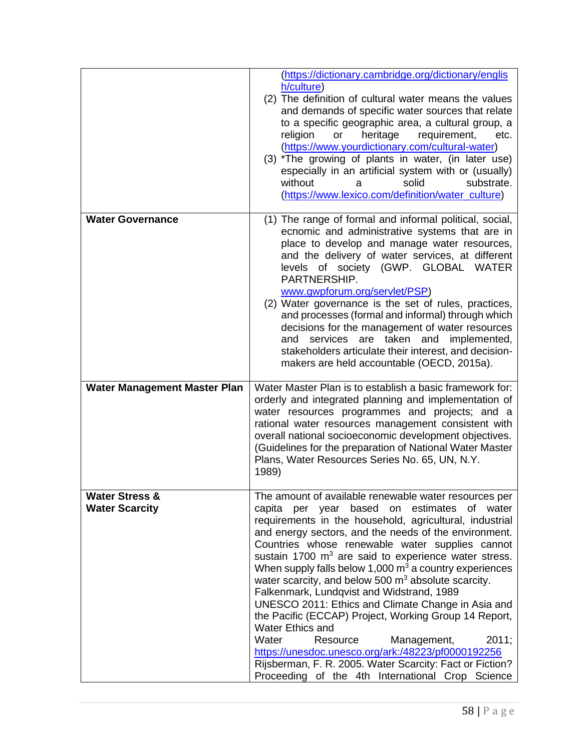|                                                    | (https://dictionary.cambridge.org/dictionary/englis<br>h/culture)<br>(2) The definition of cultural water means the values<br>and demands of specific water sources that relate<br>to a specific geographic area, a cultural group, a<br>religion<br>or<br>heritage<br>requirement,<br>etc.<br>(https://www.yourdictionary.com/cultural-water)<br>(3) *The growing of plants in water, (in later use)<br>especially in an artificial system with or (usually)<br>without<br>solid<br>substrate.<br>а<br>(https://www.lexico.com/definition/water_culture)                                                                                                                                                                                                                                                                                                                  |
|----------------------------------------------------|----------------------------------------------------------------------------------------------------------------------------------------------------------------------------------------------------------------------------------------------------------------------------------------------------------------------------------------------------------------------------------------------------------------------------------------------------------------------------------------------------------------------------------------------------------------------------------------------------------------------------------------------------------------------------------------------------------------------------------------------------------------------------------------------------------------------------------------------------------------------------|
| <b>Water Governance</b>                            | (1) The range of formal and informal political, social,<br>ecnomic and administrative systems that are in<br>place to develop and manage water resources,<br>and the delivery of water services, at different<br>levels of society (GWP. GLOBAL WATER<br>PARTNERSHIP.<br>www.gwpforum.org/servlet/PSP)<br>(2) Water governance is the set of rules, practices,<br>and processes (formal and informal) through which<br>decisions for the management of water resources<br>services are taken and implemented,<br>and<br>stakeholders articulate their interest, and decision-<br>makers are held accountable (OECD, 2015a).                                                                                                                                                                                                                                                |
| <b>Water Management Master Plan</b>                | Water Master Plan is to establish a basic framework for:<br>orderly and integrated planning and implementation of<br>water resources programmes and projects; and a<br>rational water resources management consistent with<br>overall national socioeconomic development objectives.<br>(Guidelines for the preparation of National Water Master<br>Plans, Water Resources Series No. 65, UN, N.Y.<br>1989)                                                                                                                                                                                                                                                                                                                                                                                                                                                                |
| <b>Water Stress &amp;</b><br><b>Water Scarcity</b> | The amount of available renewable water resources per<br>per year based on estimates of water<br>capita<br>requirements in the household, agricultural, industrial<br>and energy sectors, and the needs of the environment.<br>Countries whose renewable water supplies cannot<br>sustain 1700 m <sup>3</sup> are said to experience water stress.<br>When supply falls below 1,000 $m3$ a country experiences<br>water scarcity, and below 500 $m3$ absolute scarcity.<br>Falkenmark, Lundqvist and Widstrand, 1989<br>UNESCO 2011: Ethics and Climate Change in Asia and<br>the Pacific (ECCAP) Project, Working Group 14 Report,<br>Water Ethics and<br>Water<br>2011;<br>Resource<br>Management,<br>https://unesdoc.unesco.org/ark:/48223/pf0000192256<br>Rijsberman, F. R. 2005. Water Scarcity: Fact or Fiction?<br>Proceeding of the 4th International Crop Science |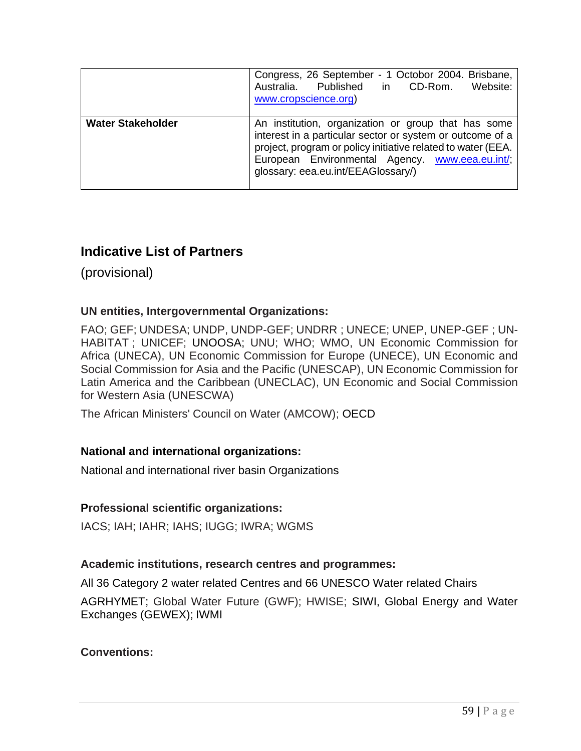|                          | Congress, 26 September - 1 Octobor 2004. Brisbane,<br>Australia. Published in CD-Rom.<br>Website:<br>www.cropscience.org)                                                                                                                                                 |
|--------------------------|---------------------------------------------------------------------------------------------------------------------------------------------------------------------------------------------------------------------------------------------------------------------------|
| <b>Water Stakeholder</b> | An institution, organization or group that has some<br>interest in a particular sector or system or outcome of a<br>project, program or policy initiative related to water (EEA.<br>European Environmental Agency. www.eea.eu.int/;<br>glossary: eea.eu.int/EEAGlossary/) |

## **Indicative List of Partners**

(provisional)

#### **UN entities, Intergovernmental Organizations:**

FAO; GEF; UNDESA; UNDP, UNDP-GEF; UNDRR ; UNECE; UNEP, UNEP-GEF ; UN-HABITAT ; UNICEF; UNOOSA; UNU; WHO; WMO, UN Economic Commission for Africa (UNECA), UN Economic Commission for Europe (UNECE), UN Economic and Social Commission for Asia and the Pacific (UNESCAP), UN Economic Commission for Latin America and the Caribbean (UNECLAC), UN Economic and Social Commission for Western Asia (UNESCWA)

The African Ministers' Council on Water (AMCOW); OECD

#### **National and international organizations:**

National and international river basin Organizations

#### **Professional scientific organizations:**

IACS; IAH; IAHR; IAHS; IUGG; IWRA; WGMS

#### **Academic institutions, research centres and programmes:**

All 36 Category 2 water related Centres and 66 UNESCO Water related Chairs

AGRHYMET; Global Water Future (GWF); HWISE; SIWI, Global Energy and Water Exchanges (GEWEX); IWMI

### **Conventions:**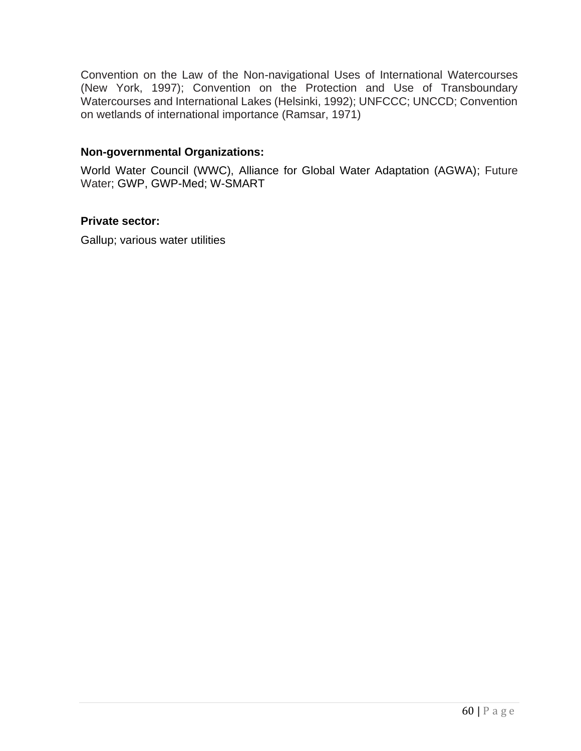Convention on the Law of the Non-navigational Uses of International Watercourses (New York, 1997); Convention on the Protection and Use of Transboundary Watercourses and International Lakes (Helsinki, 1992); UNFCCC; UNCCD; Convention on wetlands of international importance (Ramsar, 1971)

#### **Non-governmental Organizations:**

World Water Council (WWC), Alliance for Global Water Adaptation (AGWA); Future Water; GWP, GWP-Med; W-SMART

#### **Private sector:**

Gallup; various water utilities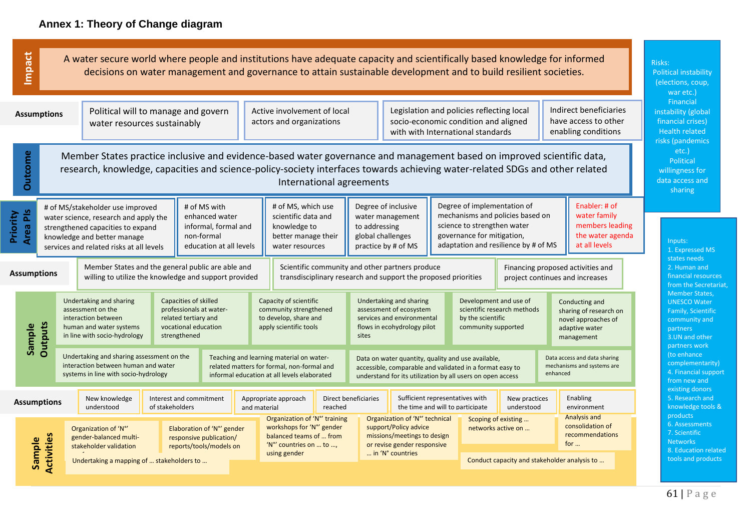|                             | Impact<br>A water secure world where people and institutions have adequate capacity and scientifically based knowledge for informed<br>decisions on water management and governance to attain sustainable development and to build resilient societies.                            |                                                                                                                                                                                                                                                    |                                                                                                                                                                                           |                                                                    |                                                                                                                                                                                                                                                       |              |                                                                                                                                  |                                                                                                                                                                                                                                                                                                                                                                                                      |  |                                                                                                                                                    |                                                                                                                                                                      |                                                                                                 | Risks:<br><b>Political instability</b><br>(elections, coup,<br>war etc.) |                                                                                       |                                                                                                                    |                            |                                                                                                              |
|-----------------------------|------------------------------------------------------------------------------------------------------------------------------------------------------------------------------------------------------------------------------------------------------------------------------------|----------------------------------------------------------------------------------------------------------------------------------------------------------------------------------------------------------------------------------------------------|-------------------------------------------------------------------------------------------------------------------------------------------------------------------------------------------|--------------------------------------------------------------------|-------------------------------------------------------------------------------------------------------------------------------------------------------------------------------------------------------------------------------------------------------|--------------|----------------------------------------------------------------------------------------------------------------------------------|------------------------------------------------------------------------------------------------------------------------------------------------------------------------------------------------------------------------------------------------------------------------------------------------------------------------------------------------------------------------------------------------------|--|----------------------------------------------------------------------------------------------------------------------------------------------------|----------------------------------------------------------------------------------------------------------------------------------------------------------------------|-------------------------------------------------------------------------------------------------|--------------------------------------------------------------------------|---------------------------------------------------------------------------------------|--------------------------------------------------------------------------------------------------------------------|----------------------------|--------------------------------------------------------------------------------------------------------------|
| <b>Assumptions</b>          |                                                                                                                                                                                                                                                                                    |                                                                                                                                                                                                                                                    |                                                                                                                                                                                           | Political will to manage and govern<br>water resources sustainably |                                                                                                                                                                                                                                                       |              |                                                                                                                                  | Active involvement of local<br>actors and organizations                                                                                                                                                                                                                                                                                                                                              |  |                                                                                                                                                    | Legislation and policies reflecting local<br>socio-economic condition and aligned<br>with with International standards                                               |                                                                                                 |                                                                          | Indirect beneficiaries<br>have access to other<br>enabling conditions                 |                                                                                                                    |                            | Financial<br>instability (global<br>financial crises)<br><b>Health related</b><br>risks (pandemics           |
| <b>Outcome</b>              | Member States practice inclusive and evidence-based water governance and management based on improved scientific data,<br>research, knowledge, capacities and science-policy-society interfaces towards achieving water-related SDGs and other related<br>International agreements |                                                                                                                                                                                                                                                    |                                                                                                                                                                                           |                                                                    |                                                                                                                                                                                                                                                       |              |                                                                                                                                  |                                                                                                                                                                                                                                                                                                                                                                                                      |  |                                                                                                                                                    |                                                                                                                                                                      |                                                                                                 | $etc.$ )<br>Political<br>willingness for<br>data access and<br>sharing   |                                                                                       |                                                                                                                    |                            |                                                                                                              |
| <b>Area PIS</b><br>Priority |                                                                                                                                                                                                                                                                                    |                                                                                                                                                                                                                                                    | # of MS/stakeholder use improved<br>water science, research and apply the<br>strengthened capacities to expand<br>knowledge and better manage<br>services and related risks at all levels |                                                                    | # of MS with<br>enhanced water<br>informal, formal and<br>non-formal<br>education at all levels                                                                                                                                                       |              |                                                                                                                                  | # of MS, which use<br>Degree of inclusive<br>scientific data and<br>water management<br>knowledge to<br>to addressing<br>global challenges<br>better manage their<br>practice by # of MS<br>water resources                                                                                                                                                                                          |  |                                                                                                                                                    | Degree of implementation of<br>mechanisms and policies based on<br>science to strengthen water<br>governance for mitigation,<br>adaptation and resilience by # of MS |                                                                                                 |                                                                          | Enabler: # of<br>water family<br>members leading<br>the water agenda<br>at all levels |                                                                                                                    | Inputs:<br>1. Expressed MS |                                                                                                              |
| <b>Assumptions</b>          |                                                                                                                                                                                                                                                                                    |                                                                                                                                                                                                                                                    | Member States and the general public are able and<br>willing to utilize the knowledge and support provided                                                                                |                                                                    |                                                                                                                                                                                                                                                       |              | Scientific community and other partners produce<br>transdisciplinary research and support the proposed priorities                |                                                                                                                                                                                                                                                                                                                                                                                                      |  |                                                                                                                                                    | Financing proposed activities and<br>project continues and increases                                                                                                 |                                                                                                 |                                                                          |                                                                                       | states needs<br>2. Human and<br>financial resources<br>from the Secretaria                                         |                            |                                                                                                              |
| Sample                      | Outputs                                                                                                                                                                                                                                                                            | Undertaking and sharing<br>Capacities of skilled<br>assessment on the<br>professionals at water-<br>related tertiary and<br>interaction between<br>human and water systems<br>vocational education<br>in line with socio-hydrology<br>strengthened |                                                                                                                                                                                           |                                                                    | Capacity of scientific<br>community strengthened<br>to develop, share and<br>apply scientific tools<br>sites<br>Teaching and learning material on water-<br>related matters for formal, non-formal and<br>informal education at all levels elaborated |              |                                                                                                                                  | Undertaking and sharing<br>Development and use of<br>assessment of ecosystem<br>scientific research methods<br>services and environmental<br>by the scientific<br>flows in ecohydrology pilot<br>community supported<br>Data on water quantity, quality and use available,<br>accessible, comparable and validated in a format easy to<br>understand for its utilization by all users on open access |  |                                                                                                                                                    |                                                                                                                                                                      | Conducting and<br>sharing of research on<br>novel approaches of<br>adaptive water<br>management |                                                                          |                                                                                       | <b>Member States.</b><br><b>UNESCO Water</b><br>Family, Scientific<br>community and<br>partners<br>3. UN and other |                            |                                                                                                              |
|                             | Undertaking and sharing assessment on the<br>interaction between human and water<br>systems in line with socio-hydrology                                                                                                                                                           |                                                                                                                                                                                                                                                    |                                                                                                                                                                                           |                                                                    |                                                                                                                                                                                                                                                       |              |                                                                                                                                  |                                                                                                                                                                                                                                                                                                                                                                                                      |  |                                                                                                                                                    |                                                                                                                                                                      | Data access and data sharing<br>mechanisms and systems are<br>enhanced                          |                                                                          |                                                                                       | partners work<br>(to enhance<br>complementarity)<br>4. Financial support<br>from new and                           |                            |                                                                                                              |
| <b>Assumptions</b>          |                                                                                                                                                                                                                                                                                    |                                                                                                                                                                                                                                                    | New knowledge<br>Interest and commitment<br>understood<br>of stakeholders                                                                                                                 |                                                                    |                                                                                                                                                                                                                                                       | and material |                                                                                                                                  | Appropriate approach<br>reached                                                                                                                                                                                                                                                                                                                                                                      |  | Direct beneficiaries<br>Sufficient representatives with<br>the time and will to participate                                                        |                                                                                                                                                                      | New practices<br>understood                                                                     |                                                                          | Enabling<br>environment                                                               |                                                                                                                    |                            | existing donors<br>5. Research and<br>knowledge tools &                                                      |
|                             |                                                                                                                                                                                                                                                                                    |                                                                                                                                                                                                                                                    | Organization of 'N°'                                                                                                                                                                      |                                                                    | Elaboration of 'N°' gender<br>responsive publication/<br>reports/tools/models on                                                                                                                                                                      |              | Organization of 'N°' training<br>workshops for 'N°' gender<br>balanced teams of  from<br>'N°' countries on  to ,<br>using gender |                                                                                                                                                                                                                                                                                                                                                                                                      |  | Organization of 'N°' technical<br>support/Policy advice<br>missions/meetings to design<br>or revise gender responsive<br>$\ldots$ in 'N° countries |                                                                                                                                                                      | Scoping of existing<br>networks active on                                                       |                                                                          | <b>Analysis and</b><br>consolidation of<br>recommendations<br>for $\ldots$            |                                                                                                                    |                            | products<br>6. Assessments<br>7. Scientific<br><b>Networks</b><br>8. Education related<br>tools and products |
|                             | Activities<br>Sample                                                                                                                                                                                                                                                               | gender-balanced multi-<br>stakeholder validation<br>Undertaking a mapping of  stakeholders to                                                                                                                                                      |                                                                                                                                                                                           |                                                                    |                                                                                                                                                                                                                                                       |              |                                                                                                                                  |                                                                                                                                                                                                                                                                                                                                                                                                      |  |                                                                                                                                                    |                                                                                                                                                                      |                                                                                                 | Conduct capacity and stakeholder analysis to                             |                                                                                       |                                                                                                                    |                            |                                                                                                              |

cretariat,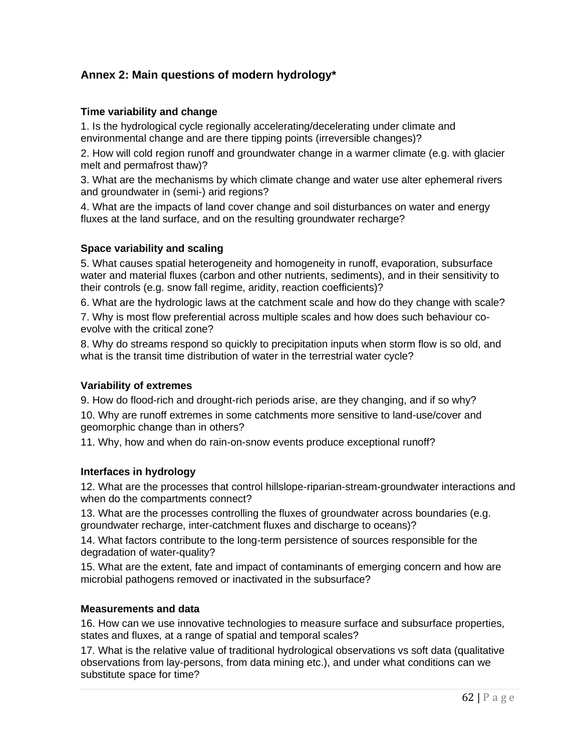#### **Annex 2: Main questions of modern hydrology\***

#### **Time variability and change**

1. Is the hydrological cycle regionally accelerating/decelerating under climate and environmental change and are there tipping points (irreversible changes)?

2. How will cold region runoff and groundwater change in a warmer climate (e.g. with glacier melt and permafrost thaw)?

3. What are the mechanisms by which climate change and water use alter ephemeral rivers and groundwater in (semi-) arid regions?

4. What are the impacts of land cover change and soil disturbances on water and energy fluxes at the land surface, and on the resulting groundwater recharge?

#### **Space variability and scaling**

5. What causes spatial heterogeneity and homogeneity in runoff, evaporation, subsurface water and material fluxes (carbon and other nutrients, sediments), and in their sensitivity to their controls (e.g. snow fall regime, aridity, reaction coefficients)?

6. What are the hydrologic laws at the catchment scale and how do they change with scale?

7. Why is most flow preferential across multiple scales and how does such behaviour coevolve with the critical zone?

8. Why do streams respond so quickly to precipitation inputs when storm flow is so old, and what is the transit time distribution of water in the terrestrial water cycle?

#### **Variability of extremes**

9. How do flood-rich and drought-rich periods arise, are they changing, and if so why?

10. Why are runoff extremes in some catchments more sensitive to land-use/cover and geomorphic change than in others?

11. Why, how and when do rain-on-snow events produce exceptional runoff?

#### **Interfaces in hydrology**

12. What are the processes that control hillslope-riparian-stream-groundwater interactions and when do the compartments connect?

13. What are the processes controlling the fluxes of groundwater across boundaries (e.g. groundwater recharge, inter-catchment fluxes and discharge to oceans)?

14. What factors contribute to the long-term persistence of sources responsible for the degradation of water-quality?

15. What are the extent, fate and impact of contaminants of emerging concern and how are microbial pathogens removed or inactivated in the subsurface?

#### **Measurements and data**

16. How can we use innovative technologies to measure surface and subsurface properties, states and fluxes, at a range of spatial and temporal scales?

17. What is the relative value of traditional hydrological observations vs soft data (qualitative observations from lay-persons, from data mining etc.), and under what conditions can we substitute space for time?